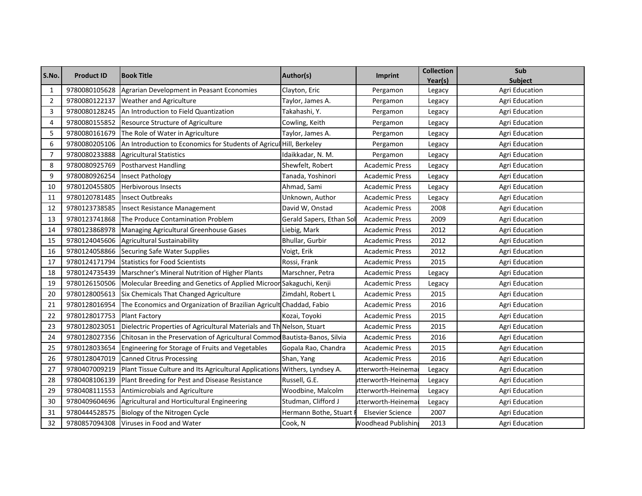| S.No.          | <b>Product ID</b> | <b>Book Title</b>                                                          | Author(s)                | <b>Imprint</b>             | <b>Collection</b> | Sub                   |
|----------------|-------------------|----------------------------------------------------------------------------|--------------------------|----------------------------|-------------------|-----------------------|
|                |                   |                                                                            |                          |                            | Year(s)           | Subject               |
| 1              | 9780080105628     | Agrarian Development in Peasant Economies                                  | Clayton, Eric            | Pergamon                   | Legacy            | <b>Agri Education</b> |
| $\overline{2}$ | 9780080122137     | <b>Weather and Agriculture</b>                                             | Taylor, James A.         | Pergamon                   | Legacy            | <b>Agri Education</b> |
| 3              | 9780080128245     | An Introduction to Field Quantization                                      | Takahashi, Y.            | Pergamon                   | Legacy            | <b>Agri Education</b> |
| 4              | 9780080155852     | Resource Structure of Agriculture                                          | Cowling, Keith           | Pergamon                   | Legacy            | Agri Education        |
| 5              | 9780080161679     | The Role of Water in Agriculture                                           | Taylor, James A.         | Pergamon                   | Legacy            | Agri Education        |
| 6              | 9780080205106     | An Introduction to Economics for Students of Agricul Hill, Berkeley        |                          | Pergamon                   | Legacy            | <b>Agri Education</b> |
| $\overline{7}$ | 9780080233888     | <b>Agricultural Statistics</b>                                             | Idaikkadar, N. M.        | Pergamon                   | Legacy            | Agri Education        |
| 8              | 9780080925769     | <b>Postharvest Handling</b>                                                | Shewfelt, Robert         | <b>Academic Press</b>      | Legacy            | <b>Agri Education</b> |
| 9              | 9780080926254     | <b>Insect Pathology</b>                                                    | Tanada, Yoshinori        | <b>Academic Press</b>      | Legacy            | <b>Agri Education</b> |
| 10             | 9780120455805     | <b>Herbivorous Insects</b>                                                 | Ahmad, Sami              | <b>Academic Press</b>      | Legacy            | <b>Agri Education</b> |
| 11             | 9780120781485     | <b>Insect Outbreaks</b>                                                    | Unknown, Author          | Academic Press             | Legacy            | Agri Education        |
| 12             | 9780123738585     | <b>Insect Resistance Management</b>                                        | David W, Onstad          | <b>Academic Press</b>      | 2008              | <b>Agri Education</b> |
| 13             | 9780123741868     | The Produce Contamination Problem                                          | Gerald Sapers, Ethan Sol | <b>Academic Press</b>      | 2009              | Agri Education        |
| 14             | 9780123868978     | Managing Agricultural Greenhouse Gases                                     | Liebig, Mark             | <b>Academic Press</b>      | 2012              | Agri Education        |
| 15             | 9780124045606     | Agricultural Sustainability                                                | Bhullar, Gurbir          | <b>Academic Press</b>      | 2012              | Agri Education        |
| 16             | 9780124058866     | <b>Securing Safe Water Supplies</b>                                        | Voigt, Erik              | <b>Academic Press</b>      | 2012              | <b>Agri Education</b> |
| 17             | 9780124171794     | <b>Statistics for Food Scientists</b>                                      | Rossi, Frank             | <b>Academic Press</b>      | 2015              | <b>Agri Education</b> |
| 18             | 9780124735439     | Marschner's Mineral Nutrition of Higher Plants                             | Marschner, Petra         | <b>Academic Press</b>      | Legacy            | <b>Agri Education</b> |
| 19             | 9780126150506     | Molecular Breeding and Genetics of Applied Microor Sakaguchi, Kenji        |                          | <b>Academic Press</b>      | Legacy            | Agri Education        |
| 20             | 9780128005613     | Six Chemicals That Changed Agriculture                                     | Zimdahl, Robert L        | <b>Academic Press</b>      | 2015              | <b>Agri Education</b> |
| 21             | 9780128016954     | The Economics and Organization of Brazilian Agricult Chaddad, Fabio        |                          | <b>Academic Press</b>      | 2016              | Agri Education        |
| 22             | 9780128017753     | <b>Plant Factory</b>                                                       | Kozai, Toyoki            | <b>Academic Press</b>      | 2015              | Agri Education        |
| 23             | 9780128023051     | Dielectric Properties of Agricultural Materials and Th Nelson, Stuart      |                          | <b>Academic Press</b>      | 2015              | Agri Education        |
| 24             | 9780128027356     | Chitosan in the Preservation of Agricultural Commod Bautista-Banos, Silvia |                          | <b>Academic Press</b>      | 2016              | Agri Education        |
| 25             | 9780128033654     | Engineering for Storage of Fruits and Vegetables                           | Gopala Rao, Chandra      | <b>Academic Press</b>      | 2015              | <b>Agri Education</b> |
| 26             | 9780128047019     | <b>Canned Citrus Processing</b>                                            | Shan, Yang               | <b>Academic Press</b>      | 2016              | <b>Agri Education</b> |
| 27             | 9780407009219     | Plant Tissue Culture and Its Agricultural Applications Withers, Lyndsey A. |                          | utterworth-Heinema         | Legacy            | Agri Education        |
| 28             | 9780408106139     | Plant Breeding for Pest and Disease Resistance                             | Russell, G.E.            | utterworth-Heinema         | Legacy            | Agri Education        |
| 29             | 9780408111553     | Antimicrobials and Agriculture                                             | Woodbine, Malcolm        | utterworth-Heinema         | Legacy            | <b>Agri Education</b> |
| 30             | 9780409604696     | Agricultural and Horticultural Engineering                                 | Studman, Clifford J      | utterworth-Heinema         | Legacy            | Agri Education        |
| 31             | 9780444528575     | Biology of the Nitrogen Cycle                                              | Hermann Bothe, Stuart I  | <b>Elsevier Science</b>    | 2007              | <b>Agri Education</b> |
| 32             | 9780857094308     | Viruses in Food and Water                                                  | Cook, N                  | <b>Noodhead Publishing</b> | 2013              | Agri Education        |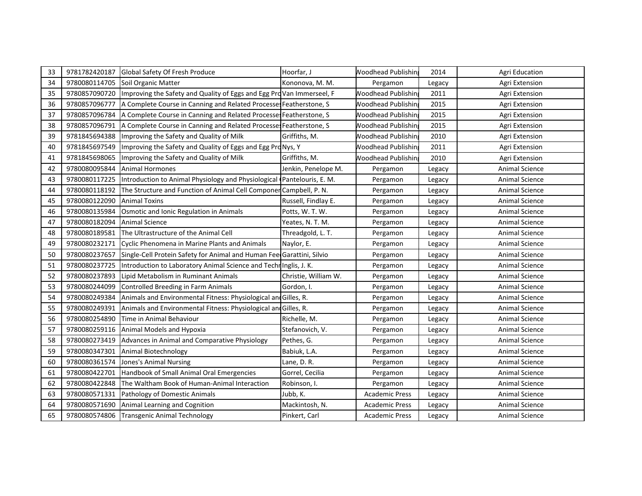| 33 | 9781782420187 | Global Safety Of Fresh Produce                                         | Hoorfar, J           | <b>Noodhead Publishin</b> | 2014   | <b>Agri Education</b> |
|----|---------------|------------------------------------------------------------------------|----------------------|---------------------------|--------|-----------------------|
| 34 | 9780080114705 | Soil Organic Matter                                                    | Kononova, M. M.      | Pergamon                  | Legacy | Agri Extension        |
| 35 | 9780857090720 | Improving the Safety and Quality of Eggs and Egg Pro Van Immerseel, F  |                      | <b>Noodhead Publishin</b> | 2011   | Agri Extension        |
| 36 | 9780857096777 | A Complete Course in Canning and Related Processes Featherstone, S     |                      | <b>Noodhead Publishin</b> | 2015   | Agri Extension        |
| 37 | 9780857096784 | A Complete Course in Canning and Related Processes Featherstone, S     |                      | <b>Noodhead Publishin</b> | 2015   | Agri Extension        |
| 38 | 9780857096791 | A Complete Course in Canning and Related Processes Featherstone, S     |                      | <b>Noodhead Publishin</b> | 2015   | Agri Extension        |
| 39 | 9781845694388 | Improving the Safety and Quality of Milk                               | Griffiths, M.        | <b>Noodhead Publishin</b> | 2010   | Agri Extension        |
| 40 | 9781845697549 | Improving the Safety and Quality of Eggs and Egg Pro Nys, Y            |                      | <b>Noodhead Publishin</b> | 2011   | Agri Extension        |
| 41 | 9781845698065 | Improving the Safety and Quality of Milk                               | Griffiths, M.        | <b>Noodhead Publishin</b> | 2010   | Agri Extension        |
| 42 | 9780080095844 | <b>Animal Hormones</b>                                                 | Jenkin, Penelope M.  | Pergamon                  | Legacy | <b>Animal Science</b> |
| 43 | 9780080117225 | Introduction to Animal Physiology and Physiological Pantelouris, E. M. |                      | Pergamon                  | Legacy | Animal Science        |
| 44 | 9780080118192 | The Structure and Function of Animal Cell Componer Campbell, P. N.     |                      | Pergamon                  | Legacy | Animal Science        |
| 45 | 9780080122090 | <b>Animal Toxins</b>                                                   | Russell, Findlay E.  | Pergamon                  | Legacy | Animal Science        |
| 46 | 9780080135984 | Osmotic and Ionic Regulation in Animals                                | Potts, W. T. W.      | Pergamon                  | Legacy | <b>Animal Science</b> |
| 47 | 9780080182094 | <b>Animal Science</b>                                                  | Yeates, N. T. M.     | Pergamon                  | Legacy | <b>Animal Science</b> |
| 48 | 9780080189581 | The Ultrastructure of the Animal Cell                                  | Threadgold, L. T.    | Pergamon                  | Legacy | <b>Animal Science</b> |
| 49 | 9780080232171 | Cyclic Phenomena in Marine Plants and Animals                          | Naylor, E.           | Pergamon                  | Legacy | <b>Animal Science</b> |
| 50 | 9780080237657 | Single-Cell Protein Safety for Animal and Human Fee Garattini, Silvio  |                      | Pergamon                  | Legacy | <b>Animal Science</b> |
| 51 | 9780080237725 | Introduction to Laboratory Animal Science and Techn Inglis, J. K.      |                      | Pergamon                  | Legacy | <b>Animal Science</b> |
| 52 | 9780080237893 | Lipid Metabolism in Ruminant Animals                                   | Christie, William W. | Pergamon                  | Legacy | Animal Science        |
| 53 | 9780080244099 | Controlled Breeding in Farm Animals                                    | Gordon, I.           | Pergamon                  | Legacy | <b>Animal Science</b> |
| 54 | 9780080249384 | Animals and Environmental Fitness: Physiological and Gilles, R.        |                      | Pergamon                  | Legacy | <b>Animal Science</b> |
| 55 | 9780080249391 | Animals and Environmental Fitness: Physiological and Gilles, R.        |                      | Pergamon                  | Legacy | <b>Animal Science</b> |
| 56 | 9780080254890 | Time in Animal Behaviour                                               | Richelle, M.         | Pergamon                  | Legacy | <b>Animal Science</b> |
| 57 | 9780080259116 | Animal Models and Hypoxia                                              | Stefanovich, V.      | Pergamon                  | Legacy | Animal Science        |
| 58 | 9780080273419 | Advances in Animal and Comparative Physiology                          | Pethes, G.           | Pergamon                  | Legacy | Animal Science        |
| 59 | 9780080347301 | Animal Biotechnology                                                   | Babiuk, L.A.         | Pergamon                  | Legacy | <b>Animal Science</b> |
| 60 | 9780080361574 | Jones's Animal Nursing                                                 | Lane, D. R.          | Pergamon                  | Legacy | <b>Animal Science</b> |
| 61 | 9780080422701 | Handbook of Small Animal Oral Emergencies                              | Gorrel, Cecilia      | Pergamon                  | Legacy | <b>Animal Science</b> |
| 62 | 9780080422848 | The Waltham Book of Human-Animal Interaction                           | Robinson, I.         | Pergamon                  | Legacy | <b>Animal Science</b> |
| 63 | 9780080571331 | Pathology of Domestic Animals                                          | Jubb, K.             | <b>Academic Press</b>     | Legacy | Animal Science        |
| 64 | 9780080571690 | Animal Learning and Cognition                                          | Mackintosh, N.       | <b>Academic Press</b>     | Legacy | Animal Science        |
| 65 | 9780080574806 | <b>Transgenic Animal Technology</b>                                    | Pinkert, Carl        | <b>Academic Press</b>     | Legacy | <b>Animal Science</b> |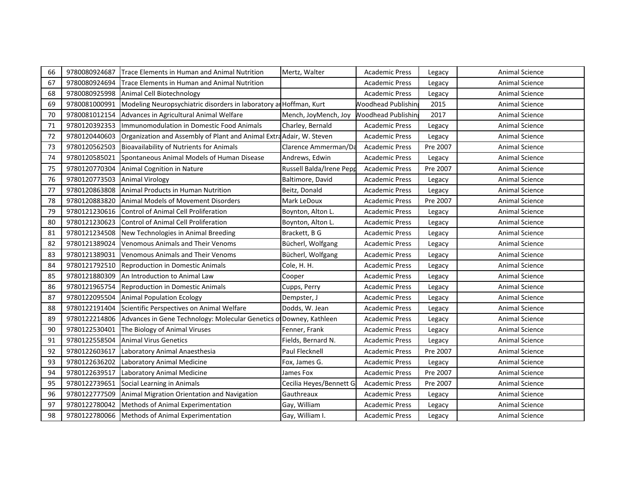| 66 | 9780080924687 | Trace Elements in Human and Animal Nutrition                         | Mertz, Walter            | <b>Academic Press</b>     | Legacy   | Animal Science        |
|----|---------------|----------------------------------------------------------------------|--------------------------|---------------------------|----------|-----------------------|
| 67 | 9780080924694 | Trace Elements in Human and Animal Nutrition                         |                          | <b>Academic Press</b>     | Legacy   | Animal Science        |
| 68 | 9780080925998 | Animal Cell Biotechnology                                            |                          | <b>Academic Press</b>     | Legacy   | Animal Science        |
| 69 | 9780081000991 | Modeling Neuropsychiatric disorders in laboratory an Hoffman, Kurt   |                          | <b>Noodhead Publishin</b> | 2015     | <b>Animal Science</b> |
| 70 | 9780081012154 | Advances in Agricultural Animal Welfare                              | Mench, JoyMench, Joy     | <b>Noodhead Publishin</b> | 2017     | <b>Animal Science</b> |
| 71 | 9780120392353 | Immunomodulation in Domestic Food Animals                            | Charley, Bernald         | <b>Academic Press</b>     | Legacy   | Animal Science        |
| 72 | 9780120440603 | Organization and Assembly of Plant and Animal Extra Adair, W. Steven |                          | <b>Academic Press</b>     | Legacy   | Animal Science        |
| 73 | 9780120562503 | <b>Bioavailability of Nutrients for Animals</b>                      | Clarence Ammerman/Da     | <b>Academic Press</b>     | Pre 2007 | <b>Animal Science</b> |
| 74 | 9780120585021 | Spontaneous Animal Models of Human Disease                           | Andrews, Edwin           | <b>Academic Press</b>     | Legacy   | Animal Science        |
| 75 | 9780120770304 | Animal Cognition in Nature                                           | Russell Balda/Irene Pepp | <b>Academic Press</b>     | Pre 2007 | Animal Science        |
| 76 | 9780120773503 | <b>Animal Virology</b>                                               | Baltimore, David         | <b>Academic Press</b>     | Legacy   | <b>Animal Science</b> |
| 77 | 9780120863808 | Animal Products in Human Nutrition                                   | Beitz, Donald            | <b>Academic Press</b>     | Legacy   | Animal Science        |
| 78 | 9780120883820 | Animal Models of Movement Disorders                                  | Mark LeDoux              | <b>Academic Press</b>     | Pre 2007 | Animal Science        |
| 79 | 9780121230616 | Control of Animal Cell Proliferation                                 | Boynton, Alton L.        | <b>Academic Press</b>     | Legacy   | Animal Science        |
| 80 | 9780121230623 | Control of Animal Cell Proliferation                                 | Boynton, Alton L.        | <b>Academic Press</b>     | Legacy   | <b>Animal Science</b> |
| 81 | 9780121234508 | New Technologies in Animal Breeding                                  | Brackett, B G            | Academic Press            | Legacy   | <b>Animal Science</b> |
| 82 | 9780121389024 | <b>Venomous Animals and Their Venoms</b>                             | Bücherl, Wolfgang        | <b>Academic Press</b>     | Legacy   | Animal Science        |
| 83 | 9780121389031 | Venomous Animals and Their Venoms                                    | Bücherl, Wolfgang        | <b>Academic Press</b>     | Legacy   | Animal Science        |
| 84 | 9780121792510 | Reproduction in Domestic Animals                                     | Cole, H. H.              | <b>Academic Press</b>     | Legacy   | <b>Animal Science</b> |
| 85 | 9780121880309 | An Introduction to Animal Law                                        | Cooper                   | <b>Academic Press</b>     | Legacy   | <b>Animal Science</b> |
| 86 | 9780121965754 | Reproduction in Domestic Animals                                     | Cupps, Perry             | <b>Academic Press</b>     | Legacy   | <b>Animal Science</b> |
| 87 | 9780122095504 | <b>Animal Population Ecology</b>                                     | Dempster, J              | <b>Academic Press</b>     | Legacy   | <b>Animal Science</b> |
| 88 | 9780122191404 | Scientific Perspectives on Animal Welfare                            | Dodds, W. Jean           | <b>Academic Press</b>     | Legacy   | Animal Science        |
| 89 | 9780122214806 | Advances in Gene Technology: Molecular Genetics of Downey, Kathleen  |                          | <b>Academic Press</b>     | Legacy   | Animal Science        |
| 90 | 9780122530401 | The Biology of Animal Viruses                                        | Fenner, Frank            | <b>Academic Press</b>     | Legacy   | <b>Animal Science</b> |
| 91 | 9780122558504 | <b>Animal Virus Genetics</b>                                         | Fields, Bernard N.       | <b>Academic Press</b>     | Legacy   | Animal Science        |
| 92 | 9780122603617 | Laboratory Animal Anaesthesia                                        | Paul Flecknell           | <b>Academic Press</b>     | Pre 2007 | Animal Science        |
| 93 | 9780122636202 | Laboratory Animal Medicine                                           | Fox, James G.            | <b>Academic Press</b>     | Legacy   | <b>Animal Science</b> |
| 94 | 9780122639517 | Laboratory Animal Medicine                                           | James Fox                | <b>Academic Press</b>     | Pre 2007 | Animal Science        |
| 95 | 9780122739651 | Social Learning in Animals                                           | Cecilia Heyes/Bennett G  | <b>Academic Press</b>     | Pre 2007 | Animal Science        |
| 96 | 9780122777509 | Animal Migration Orientation and Navigation                          | Gauthreaux               | <b>Academic Press</b>     | Legacy   | Animal Science        |
| 97 | 9780122780042 | Methods of Animal Experimentation                                    | Gay, William             | <b>Academic Press</b>     | Legacy   | Animal Science        |
| 98 |               | 9780122780066 Methods of Animal Experimentation                      | Gay, William I.          | <b>Academic Press</b>     | Legacy   | <b>Animal Science</b> |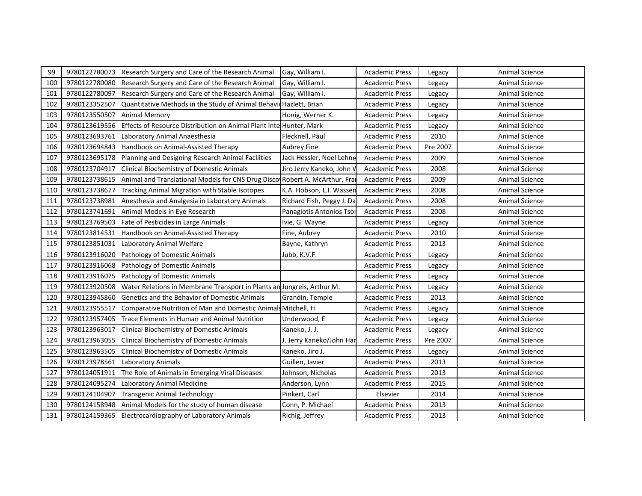| 99  | 9780122780073 | Research Surgery and Care of the Research Animal                           | Gay, William I.           | <b>Academic Press</b> | Legacy   | Animal Science        |
|-----|---------------|----------------------------------------------------------------------------|---------------------------|-----------------------|----------|-----------------------|
| 100 | 9780122780080 | Research Surgery and Care of the Research Animal                           | Gay, William I.           | <b>Academic Press</b> | Legacy   | Animal Science        |
| 101 | 9780122780097 | Research Surgery and Care of the Research Animal                           | Gay, William I.           | <b>Academic Press</b> | Legacy   | Animal Science        |
| 102 | 9780123352507 | Quantitative Methods in the Study of Animal Behavid Hazlett, Brian         |                           | <b>Academic Press</b> | Legacy   | <b>Animal Science</b> |
| 103 | 9780123550507 | Animal Memory                                                              | Honig, Werner K.          | <b>Academic Press</b> | Legacy   | Animal Science        |
| 104 | 9780123619556 | Effects of Resource Distribution on Animal Plant Inte Hunter, Mark         |                           | <b>Academic Press</b> | Legacy   | <b>Animal Science</b> |
| 105 | 9780123693761 | Laboratory Animal Anaesthesia                                              | Flecknell, Paul           | <b>Academic Press</b> | 2010     | <b>Animal Science</b> |
| 106 | 9780123694843 | Handbook on Animal-Assisted Therapy                                        | <b>Aubrey Fine</b>        | <b>Academic Press</b> | Pre 2007 | <b>Animal Science</b> |
| 107 | 9780123695178 | Planning and Designing Research Animal Facilities                          | Jack Hessler, Noel Lehne  | <b>Academic Press</b> | 2009     | <b>Animal Science</b> |
| 108 | 9780123704917 | <b>Clinical Biochemistry of Domestic Animals</b>                           | Jiro Jerry Kaneko, John \ | <b>Academic Press</b> | 2008     | Animal Science        |
| 109 | 9780123738615 | Animal and Translational Models for CNS Drug Disco Robert A. McArthur, Fra |                           | <b>Academic Press</b> | 2009     | Animal Science        |
| 110 | 9780123738677 | Tracking Animal Migration with Stable Isotopes                             | K.A. Hobson, L.I. Wasser  | <b>Academic Press</b> | 2008     | Animal Science        |
| 111 | 9780123738981 | Anesthesia and Analgesia in Laboratory Animals                             | Richard Fish, Peggy J. Da | <b>Academic Press</b> | 2008     | Animal Science        |
| 112 | 9780123741691 | Animal Models in Eye Research                                              | Panagiotis Antonios Tsor  | <b>Academic Press</b> | 2008     | Animal Science        |
| 113 | 9780123769503 | Fate of Pesticides in Large Animals                                        | Ivie, G. Wayne            | <b>Academic Press</b> | Legacy   | <b>Animal Science</b> |
| 114 | 9780123814531 | Handbook on Animal-Assisted Therapy                                        | Fine, Aubrey              | Academic Press        | 2010     | <b>Animal Science</b> |
| 115 | 9780123851031 | Laboratory Animal Welfare                                                  | Bayne, Kathryn            | <b>Academic Press</b> | 2013     | <b>Animal Science</b> |
| 116 | 9780123916020 | Pathology of Domestic Animals                                              | Jubb, K.V.F.              | <b>Academic Press</b> | Legacy   | <b>Animal Science</b> |
| 117 | 9780123916068 | Pathology of Domestic Animals                                              |                           | <b>Academic Press</b> | Legacy   | <b>Animal Science</b> |
| 118 | 9780123916075 | Pathology of Domestic Animals                                              |                           | <b>Academic Press</b> | Legacy   | Animal Science        |
| 119 | 9780123920508 | Water Relations in Membrane Transport in Plants an Jungreis, Arthur M.     |                           | <b>Academic Press</b> | Legacy   | Animal Science        |
| 120 | 9780123945860 | Genetics and the Behavior of Domestic Animals                              | Grandin, Temple           | <b>Academic Press</b> | 2013     | <b>Animal Science</b> |
| 121 | 9780123955517 | Comparative Nutrition of Man and Domestic Animals Mitchell, H              |                           | <b>Academic Press</b> | Legacy   | Animal Science        |
| 122 | 9780123957405 | Trace Elements in Human and Animal Nutrition                               | Underwood, E              | <b>Academic Press</b> | Legacy   | Animal Science        |
| 123 | 9780123963017 | <b>Clinical Biochemistry of Domestic Animals</b>                           | Kaneko, J. J.             | <b>Academic Press</b> | Legacy   | <b>Animal Science</b> |
| 124 | 9780123963055 | Clinical Biochemistry of Domestic Animals                                  | J. Jerry Kaneko/John Har  | <b>Academic Press</b> | Pre 2007 | <b>Animal Science</b> |
| 125 | 9780123963505 | Clinical Biochemistry of Domestic Animals                                  | Kaneko, Jiro J.           | <b>Academic Press</b> | Legacy   | Animal Science        |
| 126 | 9780123978561 | <b>Laboratory Animals</b>                                                  | Guillen, Javier           | <b>Academic Press</b> | 2013     | <b>Animal Science</b> |
| 127 | 9780124051911 | The Role of Animals in Emerging Viral Diseases                             | Johnson, Nicholas         | <b>Academic Press</b> | 2013     | Animal Science        |
| 128 | 9780124095274 | Laboratory Animal Medicine                                                 | Anderson, Lynn            | <b>Academic Press</b> | 2015     | <b>Animal Science</b> |
| 129 | 9780124104907 | <b>Transgenic Animal Technology</b>                                        | Pinkert, Carl             | Elsevier              | 2014     | Animal Science        |
| 130 | 9780124158948 | Animal Models for the study of human disease                               | Conn, P. Michael          | <b>Academic Press</b> | 2013     | <b>Animal Science</b> |
| 131 | 9780124159365 | Electrocardiography of Laboratory Animals                                  | Richig, Jeffrey           | <b>Academic Press</b> | 2013     | <b>Animal Science</b> |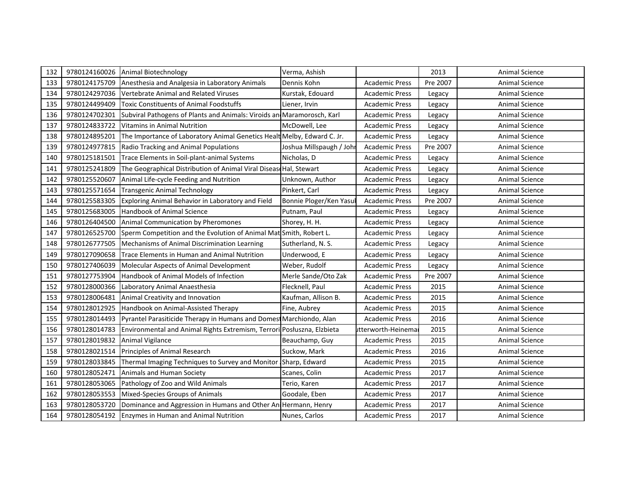| 132 | 9780124160026 | Animal Biotechnology                                                    | Verma, Ashish            |                       | 2013     | Animal Science        |
|-----|---------------|-------------------------------------------------------------------------|--------------------------|-----------------------|----------|-----------------------|
| 133 | 9780124175709 | Anesthesia and Analgesia in Laboratory Animals                          | Dennis Kohn              | <b>Academic Press</b> | Pre 2007 | <b>Animal Science</b> |
| 134 | 9780124297036 | Vertebrate Animal and Related Viruses                                   | Kurstak, Edouard         | Academic Press        | Legacy   | <b>Animal Science</b> |
| 135 | 9780124499409 | Toxic Constituents of Animal Foodstuffs                                 | Liener, Irvin            | <b>Academic Press</b> | Legacy   | <b>Animal Science</b> |
| 136 | 9780124702301 | Subviral Pathogens of Plants and Animals: Viroids an Maramorosch, Karl  |                          | Academic Press        | Legacy   | <b>Animal Science</b> |
| 137 | 9780124833722 | Vitamins in Animal Nutrition                                            | McDowell. Lee            | <b>Academic Press</b> | Legacy   | <b>Animal Science</b> |
| 138 | 9780124895201 | The Importance of Laboratory Animal Genetics Healt Melby, Edward C. Jr. |                          | <b>Academic Press</b> | Legacy   | <b>Animal Science</b> |
| 139 | 9780124977815 | Radio Tracking and Animal Populations                                   | Joshua Millspaugh / Johr | <b>Academic Press</b> | Pre 2007 | <b>Animal Science</b> |
| 140 | 9780125181501 | Trace Elements in Soil-plant-animal Systems                             | Nicholas, D              | <b>Academic Press</b> | Legacy   | <b>Animal Science</b> |
| 141 | 9780125241809 | The Geographical Distribution of Animal Viral Disease Hal, Stewart      |                          | <b>Academic Press</b> | Legacy   | Animal Science        |
| 142 | 9780125520607 | Animal Life-cycle Feeding and Nutrition                                 | Unknown, Author          | <b>Academic Press</b> | Legacy   | Animal Science        |
| 143 | 9780125571654 | <b>Transgenic Animal Technology</b>                                     | Pinkert, Carl            | <b>Academic Press</b> | Legacy   | Animal Science        |
| 144 | 9780125583305 | Exploring Animal Behavior in Laboratory and Field                       | Bonnie Ploger/Ken Yasul  | <b>Academic Press</b> | Pre 2007 | <b>Animal Science</b> |
| 145 | 9780125683005 | Handbook of Animal Science                                              | Putnam, Paul             | <b>Academic Press</b> | Legacy   | Animal Science        |
| 146 | 9780126404500 | Animal Communication by Pheromones                                      | Shorey, H. H.            | <b>Academic Press</b> | Legacy   | <b>Animal Science</b> |
| 147 | 9780126525700 | Sperm Competition and the Evolution of Animal Mat Smith, Robert L.      |                          | <b>Academic Press</b> | Legacy   | <b>Animal Science</b> |
| 148 | 9780126777505 | Mechanisms of Animal Discrimination Learning                            | Sutherland, N. S.        | <b>Academic Press</b> | Legacy   | <b>Animal Science</b> |
| 149 | 9780127090658 | <b>Trace Elements in Human and Animal Nutrition</b>                     | Underwood, E             | <b>Academic Press</b> | Legacy   | <b>Animal Science</b> |
| 150 | 9780127406039 | Molecular Aspects of Animal Development                                 | Weber, Rudolf            | <b>Academic Press</b> | Legacy   | <b>Animal Science</b> |
| 151 | 9780127753904 | Handbook of Animal Models of Infection                                  | Merle Sande/Oto Zak      | <b>Academic Press</b> | Pre 2007 | <b>Animal Science</b> |
| 152 | 9780128000366 | Laboratory Animal Anaesthesia                                           | Flecknell, Paul          | <b>Academic Press</b> | 2015     | <b>Animal Science</b> |
| 153 | 9780128006481 | Animal Creativity and Innovation                                        | Kaufman, Allison B.      | <b>Academic Press</b> | 2015     | <b>Animal Science</b> |
| 154 | 9780128012925 | Handbook on Animal-Assisted Therapy                                     | Fine, Aubrey             | <b>Academic Press</b> | 2015     | <b>Animal Science</b> |
| 155 | 9780128014493 | Pyrantel Parasiticide Therapy in Humans and Domest Marchiondo, Alan     |                          | <b>Academic Press</b> | 2016     | <b>Animal Science</b> |
| 156 | 9780128014783 | Environmental and Animal Rights Extremism, Terrori Posłuszna, Elzbieta  |                          | utterworth-Heinema    | 2015     | Animal Science        |
| 157 | 9780128019832 | Animal Vigilance                                                        | Beauchamp, Guy           | <b>Academic Press</b> | 2015     | <b>Animal Science</b> |
| 158 | 9780128021514 | Principles of Animal Research                                           | Suckow, Mark             | <b>Academic Press</b> | 2016     | <b>Animal Science</b> |
| 159 | 9780128033845 | Thermal Imaging Techniques to Survey and Monitor                        | Sharp, Edward            | <b>Academic Press</b> | 2015     | <b>Animal Science</b> |
| 160 | 9780128052471 | Animals and Human Society                                               | Scanes, Colin            | <b>Academic Press</b> | 2017     | Animal Science        |
| 161 | 9780128053065 | Pathology of Zoo and Wild Animals                                       | Terio, Karen             | <b>Academic Press</b> | 2017     | <b>Animal Science</b> |
| 162 | 9780128053553 | Mixed-Species Groups of Animals                                         | Goodale, Eben            | <b>Academic Press</b> | 2017     | Animal Science        |
| 163 | 9780128053720 | Dominance and Aggression in Humans and Other An Hermann, Henry          |                          | <b>Academic Press</b> | 2017     | Animal Science        |
| 164 | 9780128054192 | <b>Enzymes in Human and Animal Nutrition</b>                            | Nunes, Carlos            | <b>Academic Press</b> | 2017     | <b>Animal Science</b> |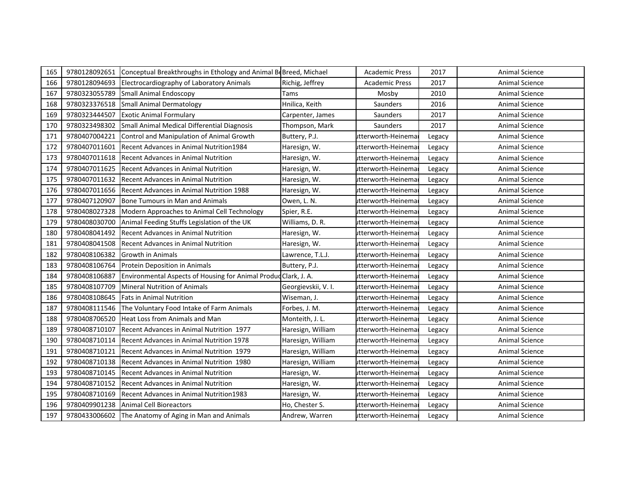| 165 | 9780128092651 | Conceptual Breakthroughs in Ethology and Animal BeBreed, Michael |                     | <b>Academic Press</b> | 2017   | Animal Science        |
|-----|---------------|------------------------------------------------------------------|---------------------|-----------------------|--------|-----------------------|
| 166 | 9780128094693 | Electrocardiography of Laboratory Animals                        | Richig, Jeffrey     | <b>Academic Press</b> | 2017   | Animal Science        |
| 167 | 9780323055789 | <b>Small Animal Endoscopy</b>                                    | Tams                | Mosby                 | 2010   | <b>Animal Science</b> |
| 168 | 9780323376518 | <b>Small Animal Dermatology</b>                                  | Hnilica, Keith      | Saunders              | 2016   | <b>Animal Science</b> |
| 169 | 9780323444507 | <b>Exotic Animal Formulary</b>                                   | Carpenter, James    | Saunders              | 2017   | <b>Animal Science</b> |
| 170 | 9780323498302 | Small Animal Medical Differential Diagnosis                      | Thompson, Mark      | Saunders              | 2017   | Animal Science        |
| 171 | 9780407004221 | Control and Manipulation of Animal Growth                        | Buttery, P.J.       | utterworth-Heinemar   | Legacy | <b>Animal Science</b> |
| 172 | 9780407011601 | Recent Advances in Animal Nutrition1984                          | Haresign, W.        | utterworth-Heinema    | Legacy | Animal Science        |
| 173 | 9780407011618 | <b>Recent Advances in Animal Nutrition</b>                       | Haresign, W.        | itterworth-Heinema    | Legacy | <b>Animal Science</b> |
| 174 | 9780407011625 | Recent Advances in Animal Nutrition                              | Haresign, W.        | utterworth-Heinema    | Legacy | <b>Animal Science</b> |
| 175 | 9780407011632 | <b>Recent Advances in Animal Nutrition</b>                       | Haresign, W.        | utterworth-Heinema    | Legacy | <b>Animal Science</b> |
| 176 | 9780407011656 | Recent Advances in Animal Nutrition 1988                         | Haresign, W.        | utterworth-Heinema    | Legacy | <b>Animal Science</b> |
| 177 | 9780407120907 | Bone Tumours in Man and Animals                                  | Owen, L. N.         | utterworth-Heinema    | Legacy | <b>Animal Science</b> |
| 178 | 9780408027328 | Modern Approaches to Animal Cell Technology                      | Spier, R.E.         | utterworth-Heinema    | Legacy | <b>Animal Science</b> |
| 179 | 9780408030700 | Animal Feeding Stuffs Legislation of the UK                      | Williams, D. R.     | utterworth-Heinema    | Legacy | <b>Animal Science</b> |
| 180 | 9780408041492 | <b>Recent Advances in Animal Nutrition</b>                       | Haresign, W.        | utterworth-Heinemar   | Legacy | <b>Animal Science</b> |
| 181 | 9780408041508 | <b>Recent Advances in Animal Nutrition</b>                       | Haresign, W.        | utterworth-Heinemar   | Legacy | <b>Animal Science</b> |
| 182 | 9780408106382 | <b>Growth in Animals</b>                                         | Lawrence, T.L.J.    | utterworth-Heinema    | Legacy | Animal Science        |
| 183 | 9780408106764 | Protein Deposition in Animals                                    | Buttery, P.J.       | utterworth-Heinema    | Legacy | <b>Animal Science</b> |
| 184 | 9780408106887 | Environmental Aspects of Housing for Animal Produd Clark, J. A.  |                     | utterworth-Heinemar   | Legacy | <b>Animal Science</b> |
| 185 | 9780408107709 | <b>Mineral Nutrition of Animals</b>                              | Georgievskii, V. I. | utterworth-Heinema    | Legacy | <b>Animal Science</b> |
| 186 | 9780408108645 | <b>Fats in Animal Nutrition</b>                                  | Wiseman, J.         | utterworth-Heinema    | Legacy | <b>Animal Science</b> |
| 187 | 9780408111546 | The Voluntary Food Intake of Farm Animals                        | Forbes, J. M.       | utterworth-Heinema    | Legacy | <b>Animal Science</b> |
| 188 | 9780408706520 | <b>Heat Loss from Animals and Man</b>                            | Monteith, J. L.     | utterworth-Heinema    | Legacy | <b>Animal Science</b> |
| 189 | 9780408710107 | Recent Advances in Animal Nutrition 1977                         | Haresign, William   | utterworth-Heinema    | Legacy | <b>Animal Science</b> |
| 190 | 9780408710114 | Recent Advances in Animal Nutrition 1978                         | Haresign, William   | utterworth-Heinema    | Legacy | <b>Animal Science</b> |
| 191 | 9780408710121 | Recent Advances in Animal Nutrition 1979                         | Haresign, William   | utterworth-Heinema    | Legacy | Animal Science        |
| 192 | 9780408710138 | Recent Advances in Animal Nutrition 1980                         | Haresign, William   | utterworth-Heinema    | Legacy | <b>Animal Science</b> |
| 193 | 9780408710145 | Recent Advances in Animal Nutrition                              | Haresign, W.        | utterworth-Heinema    | Legacy | <b>Animal Science</b> |
| 194 | 9780408710152 | <b>Recent Advances in Animal Nutrition</b>                       | Haresign, W.        | utterworth-Heinema    | Legacy | Animal Science        |
| 195 | 9780408710169 | Recent Advances in Animal Nutrition1983                          | Haresign, W.        | utterworth-Heinema    | Legacy | Animal Science        |
| 196 | 9780409901238 | <b>Animal Cell Bioreactors</b>                                   | Ho, Chester S.      | utterworth-Heinema    | Legacy | Animal Science        |
| 197 | 9780433006602 | The Anatomy of Aging in Man and Animals                          | Andrew, Warren      | utterworth-Heinemal   | Legacy | Animal Science        |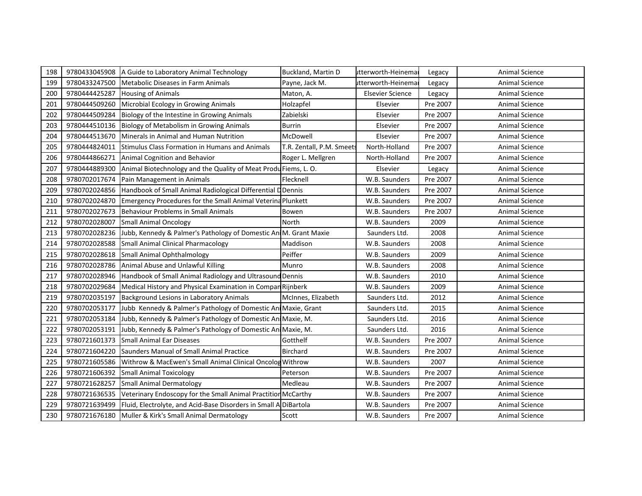| 198 | 9780433045908 | A Guide to Laboratory Animal Technology                          | Buckland, Martin D        | utterworth-Heinema      | Legacy   | Animal Science        |
|-----|---------------|------------------------------------------------------------------|---------------------------|-------------------------|----------|-----------------------|
| 199 | 9780433247500 | Metabolic Diseases in Farm Animals                               | Payne, Jack M.            | utterworth-Heinema      | Legacy   | Animal Science        |
| 200 | 9780444425287 | <b>Housing of Animals</b>                                        | Maton, A.                 | <b>Elsevier Science</b> | Legacy   | Animal Science        |
| 201 | 9780444509260 | Microbial Ecology in Growing Animals                             | Holzapfel                 | Elsevier                | Pre 2007 | <b>Animal Science</b> |
| 202 | 9780444509284 | Biology of the Intestine in Growing Animals                      | Zabielski                 | Elsevier                | Pre 2007 | <b>Animal Science</b> |
| 203 | 9780444510136 | Biology of Metabolism in Growing Animals                         | <b>Burrin</b>             | Elsevier                | Pre 2007 | <b>Animal Science</b> |
| 204 | 9780444513670 | Minerals in Animal and Human Nutrition                           | McDowell                  | Elsevier                | Pre 2007 | <b>Animal Science</b> |
| 205 | 9780444824011 | Stimulus Class Formation in Humans and Animals                   | T.R. Zentall, P.M. Smeets | North-Holland           | Pre 2007 | <b>Animal Science</b> |
| 206 | 9780444866271 | Animal Cognition and Behavior                                    | Roger L. Mellgren         | North-Holland           | Pre 2007 | <b>Animal Science</b> |
| 207 | 9780444889300 | Animal Biotechnology and the Quality of Meat Produ Fiems, L. O.  |                           | Elsevier                | Legacy   | <b>Animal Science</b> |
| 208 | 9780702017674 | Pain Management in Animals                                       | Flecknell                 | W.B. Saunders           | Pre 2007 | <b>Animal Science</b> |
| 209 | 9780702024856 | Handbook of Small Animal Radiological Differential DDennis       |                           | W.B. Saunders           | Pre 2007 | <b>Animal Science</b> |
| 210 | 9780702024870 | Emergency Procedures for the Small Animal Veterina Plunkett      |                           | W.B. Saunders           | Pre 2007 | <b>Animal Science</b> |
| 211 | 9780702027673 | <b>Behaviour Problems in Small Animals</b>                       | Bowen                     | W.B. Saunders           | Pre 2007 | Animal Science        |
| 212 | 9780702028007 | <b>Small Animal Oncology</b>                                     | North                     | W.B. Saunders           | 2009     | <b>Animal Science</b> |
| 213 | 9780702028236 | Jubb, Kennedy & Palmer's Pathology of Domestic An M. Grant Maxie |                           | Saunders Ltd.           | 2008     | Animal Science        |
| 214 | 9780702028588 | <b>Small Animal Clinical Pharmacology</b>                        | Maddison                  | W.B. Saunders           | 2008     | Animal Science        |
| 215 | 9780702028618 | Small Animal Ophthalmology                                       | Peiffer                   | W.B. Saunders           | 2009     | <b>Animal Science</b> |
| 216 | 9780702028786 | Animal Abuse and Unlawful Killing                                | Munro                     | W.B. Saunders           | 2008     | <b>Animal Science</b> |
| 217 | 9780702028946 | Handbook of Small Animal Radiology and Ultrasound Dennis         |                           | W.B. Saunders           | 2010     | <b>Animal Science</b> |
| 218 | 9780702029684 | Medical History and Physical Examination in Compan Rijnberk      |                           | W.B. Saunders           | 2009     | Animal Science        |
| 219 | 9780702035197 | Background Lesions in Laboratory Animals                         | McInnes, Elizabeth        | Saunders Ltd.           | 2012     | <b>Animal Science</b> |
| 220 | 9780702053177 | Jubb Kennedy & Palmer's Pathology of Domestic Ani Maxie, Grant   |                           | Saunders Ltd.           | 2015     | <b>Animal Science</b> |
| 221 | 9780702053184 | Jubb, Kennedy & Palmer's Pathology of Domestic An Maxie, M.      |                           | Saunders Ltd.           | 2016     | <b>Animal Science</b> |
| 222 | 9780702053191 | Jubb, Kennedy & Palmer's Pathology of Domestic Ani Maxie, M.     |                           | Saunders Ltd.           | 2016     | <b>Animal Science</b> |
| 223 | 9780721601373 | Small Animal Ear Diseases                                        | Gotthelf                  | W.B. Saunders           | Pre 2007 | <b>Animal Science</b> |
| 224 | 9780721604220 | Saunders Manual of Small Animal Practice                         | Birchard                  | W.B. Saunders           | Pre 2007 | <b>Animal Science</b> |
| 225 | 9780721605586 | Withrow & MacEwen's Small Animal Clinical Oncolog Withrow        |                           | W.B. Saunders           | 2007     | <b>Animal Science</b> |
| 226 | 9780721606392 | <b>Small Animal Toxicology</b>                                   | Peterson                  | W.B. Saunders           | Pre 2007 | Animal Science        |
| 227 | 9780721628257 | <b>Small Animal Dermatology</b>                                  | Medleau                   | W.B. Saunders           | Pre 2007 | Animal Science        |
| 228 | 9780721636535 | Veterinary Endoscopy for the Small Animal Practition McCarthy    |                           | W.B. Saunders           | Pre 2007 | Animal Science        |
| 229 | 9780721639499 | Fluid, Electrolyte, and Acid-Base Disorders in Small A DiBartola |                           | W.B. Saunders           | Pre 2007 | Animal Science        |
| 230 | 9780721676180 | Muller & Kirk's Small Animal Dermatology                         | Scott                     | W.B. Saunders           | Pre 2007 | <b>Animal Science</b> |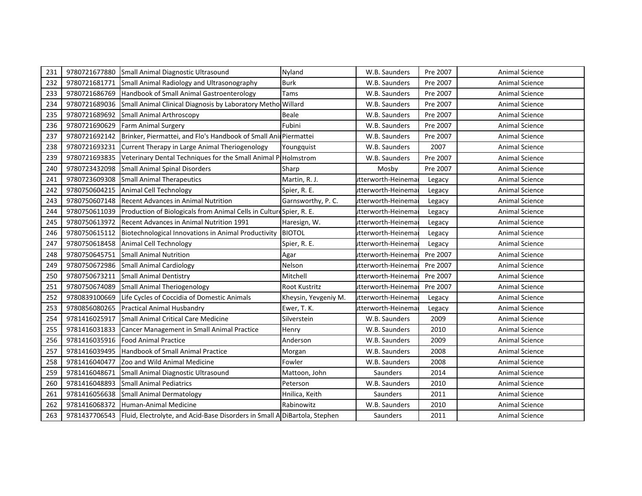| 231 | 9780721677880 | Small Animal Diagnostic Ultrasound                                                        | Nyland               | W.B. Saunders       | Pre 2007 | Animal Science        |
|-----|---------------|-------------------------------------------------------------------------------------------|----------------------|---------------------|----------|-----------------------|
| 232 | 9780721681771 | Small Animal Radiology and Ultrasonography                                                | <b>Burk</b>          | W.B. Saunders       | Pre 2007 | <b>Animal Science</b> |
| 233 | 9780721686769 | Handbook of Small Animal Gastroenterology                                                 | Tams                 | W.B. Saunders       | Pre 2007 | <b>Animal Science</b> |
| 234 | 9780721689036 | Small Animal Clinical Diagnosis by Laboratory Metho Willard                               |                      | W.B. Saunders       | Pre 2007 | <b>Animal Science</b> |
| 235 | 9780721689692 | <b>Small Animal Arthroscopy</b>                                                           | Beale                | W.B. Saunders       | Pre 2007 | <b>Animal Science</b> |
| 236 | 9780721690629 | <b>Farm Animal Surgery</b>                                                                | Fubini               | W.B. Saunders       | Pre 2007 | Animal Science        |
| 237 | 9780721692142 | Brinker, Piermattei, and Flo's Handbook of Small Animermattei                             |                      | W.B. Saunders       | Pre 2007 | <b>Animal Science</b> |
| 238 | 9780721693231 | Current Therapy in Large Animal Theriogenology                                            | Youngquist           | W.B. Saunders       | 2007     | Animal Science        |
| 239 | 9780721693835 | Veterinary Dental Techniques for the Small Animal PHolmstrom                              |                      | W.B. Saunders       | Pre 2007 | <b>Animal Science</b> |
| 240 | 9780723432098 | <b>Small Animal Spinal Disorders</b>                                                      | Sharp                | Mosby               | Pre 2007 | <b>Animal Science</b> |
| 241 | 9780723609308 | <b>Small Animal Therapeutics</b>                                                          | Martin, R. J.        | utterworth-Heinema  | Legacy   | <b>Animal Science</b> |
| 242 | 9780750604215 | Animal Cell Technology                                                                    | Spier, R. E.         | utterworth-Heinema  | Legacy   | <b>Animal Science</b> |
| 243 | 9780750607148 | <b>Recent Advances in Animal Nutrition</b>                                                | Garnsworthy, P.C.    | utterworth-Heinemar | Legacy   | <b>Animal Science</b> |
| 244 | 9780750611039 | Production of Biologicals from Animal Cells in Culture Spier, R. E.                       |                      | utterworth-Heinema  | Legacy   | <b>Animal Science</b> |
| 245 | 9780750613972 | Recent Advances in Animal Nutrition 1991                                                  | Haresign, W.         | itterworth-Heinema  | Legacy   | <b>Animal Science</b> |
| 246 | 9780750615112 | Biotechnological Innovations in Animal Productivity                                       | <b>BIOTOL</b>        | itterworth-Heinemai | Legacy   | <b>Animal Science</b> |
| 247 | 9780750618458 | Animal Cell Technology                                                                    | Spier, R. E.         | utterworth-Heinemar | Legacy   | <b>Animal Science</b> |
| 248 | 9780750645751 | <b>Small Animal Nutrition</b>                                                             | Agar                 | utterworth-Heinemar | Pre 2007 | <b>Animal Science</b> |
| 249 | 9780750672986 | <b>Small Animal Cardiology</b>                                                            | Nelson               | itterworth-Heinema  | Pre 2007 | <b>Animal Science</b> |
| 250 | 9780750673211 | <b>Small Animal Dentistry</b>                                                             | Mitchell             | itterworth-Heinema  | Pre 2007 | <b>Animal Science</b> |
| 251 | 9780750674089 | <b>Small Animal Theriogenology</b>                                                        | <b>Root Kustritz</b> | utterworth-Heinema  | Pre 2007 | <b>Animal Science</b> |
| 252 | 9780839100669 | Life Cycles of Coccidia of Domestic Animals                                               | Kheysin, Yevgeniy M. | utterworth-Heinema  | Legacy   | <b>Animal Science</b> |
| 253 | 9780856080265 | <b>Practical Animal Husbandry</b>                                                         | Ewer, T. K.          | itterworth-Heinema  | Legacy   | <b>Animal Science</b> |
| 254 | 9781416025917 | Small Animal Critical Care Medicine                                                       | Silverstein          | W.B. Saunders       | 2009     | <b>Animal Science</b> |
| 255 | 9781416031833 | Cancer Management in Small Animal Practice                                                | Henry                | W.B. Saunders       | 2010     | <b>Animal Science</b> |
| 256 | 9781416035916 | <b>Food Animal Practice</b>                                                               | Anderson             | W.B. Saunders       | 2009     | <b>Animal Science</b> |
| 257 | 9781416039495 | Handbook of Small Animal Practice                                                         | Morgan               | W.B. Saunders       | 2008     | Animal Science        |
| 258 | 9781416040477 | Zoo and Wild Animal Medicine                                                              | Fowler               | W.B. Saunders       | 2008     | <b>Animal Science</b> |
| 259 | 9781416048671 | Small Animal Diagnostic Ultrasound                                                        | Mattoon, John        | Saunders            | 2014     | <b>Animal Science</b> |
| 260 | 9781416048893 | <b>Small Animal Pediatrics</b>                                                            | Peterson             | W.B. Saunders       | 2010     | Animal Science        |
| 261 | 9781416056638 | <b>Small Animal Dermatology</b>                                                           | Hnilica, Keith       | Saunders            | 2011     | Animal Science        |
| 262 | 9781416068372 | Human-Animal Medicine                                                                     | Rabinowitz           | W.B. Saunders       | 2010     | Animal Science        |
| 263 |               | 9781437706543   Fluid, Electrolyte, and Acid-Base Disorders in Small A DiBartola, Stephen |                      | Saunders            | 2011     | <b>Animal Science</b> |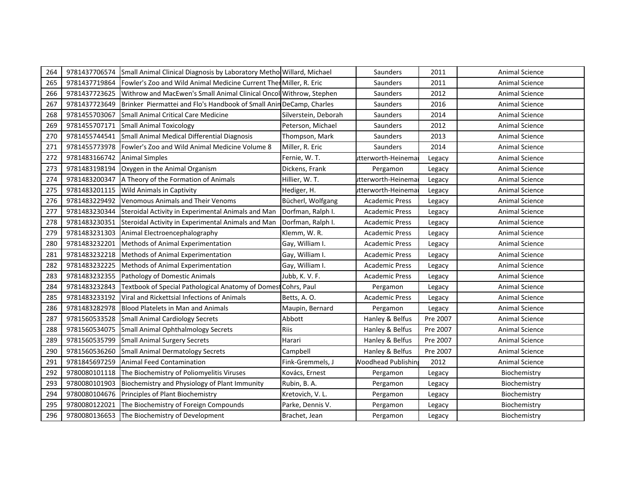| 264 | 9781437706574 | Small Animal Clinical Diagnosis by Laboratory Metho Willard, Michael |                      | Saunders                  | 2011     | Animal Science        |
|-----|---------------|----------------------------------------------------------------------|----------------------|---------------------------|----------|-----------------------|
| 265 | 9781437719864 | Fowler's Zoo and Wild Animal Medicine Current Then Miller, R. Eric   |                      | Saunders                  | 2011     | Animal Science        |
| 266 | 9781437723625 | Withrow and MacEwen's Small Animal Clinical Oncol Withrow, Stephen   |                      | Saunders                  | 2012     | <b>Animal Science</b> |
| 267 | 9781437723649 | Brinker Piermattei and Flo's Handbook of Small Anin DeCamp, Charles  |                      | Saunders                  | 2016     | Animal Science        |
| 268 | 9781455703067 | Small Animal Critical Care Medicine                                  | Silverstein, Deborah | Saunders                  | 2014     | <b>Animal Science</b> |
| 269 | 9781455707171 | <b>Small Animal Toxicology</b>                                       | Peterson, Michael    | Saunders                  | 2012     | Animal Science        |
| 270 | 9781455744541 | Small Animal Medical Differential Diagnosis                          | Thompson, Mark       | Saunders                  | 2013     | <b>Animal Science</b> |
| 271 | 9781455773978 | Fowler's Zoo and Wild Animal Medicine Volume 8                       | Miller, R. Eric      | Saunders                  | 2014     | <b>Animal Science</b> |
| 272 | 9781483166742 | <b>Animal Simples</b>                                                | Fernie, W.T.         | itterworth-Heinema        | Legacy   | Animal Science        |
| 273 | 9781483198194 | Oxygen in the Animal Organism                                        | Dickens, Frank       | Pergamon                  | Legacy   | <b>Animal Science</b> |
| 274 | 9781483200347 | A Theory of the Formation of Animals                                 | Hillier, W. T.       | utterworth-Heinema        | Legacy   | Animal Science        |
| 275 | 9781483201115 | <b>Wild Animals in Captivity</b>                                     | Hediger, H.          | itterworth-Heinema        | Legacy   | Animal Science        |
| 276 | 9781483229492 | Venomous Animals and Their Venoms                                    | Bücherl, Wolfgang    | <b>Academic Press</b>     | Legacy   | Animal Science        |
| 277 | 9781483230344 | Steroidal Activity in Experimental Animals and Man                   | Dorfman, Ralph I.    | <b>Academic Press</b>     | Legacy   | <b>Animal Science</b> |
| 278 | 9781483230351 | Steroidal Activity in Experimental Animals and Man                   | Dorfman, Ralph I.    | <b>Academic Press</b>     | Legacy   | Animal Science        |
| 279 | 9781483231303 | Animal Electroencephalography                                        | Klemm, W.R.          | <b>Academic Press</b>     | Legacy   | <b>Animal Science</b> |
| 280 | 9781483232201 | Methods of Animal Experimentation                                    | Gay, William I.      | <b>Academic Press</b>     | Legacy   | Animal Science        |
| 281 | 9781483232218 | Methods of Animal Experimentation                                    | Gay, William I.      | <b>Academic Press</b>     | Legacy   | <b>Animal Science</b> |
| 282 | 9781483232225 | Methods of Animal Experimentation                                    | Gay, William I.      | <b>Academic Press</b>     | Legacy   | Animal Science        |
| 283 | 9781483232355 | Pathology of Domestic Animals                                        | Jubb, K. V. F.       | <b>Academic Press</b>     | Legacy   | <b>Animal Science</b> |
| 284 | 9781483232843 | Textbook of Special Pathological Anatomy of Domest Cohrs, Paul       |                      | Pergamon                  | Legacy   | <b>Animal Science</b> |
| 285 | 9781483233192 | Viral and Rickettsial Infections of Animals                          | Betts, A.O.          | <b>Academic Press</b>     | Legacy   | <b>Animal Science</b> |
| 286 | 9781483282978 | <b>Blood Platelets in Man and Animals</b>                            | Maupin, Bernard      | Pergamon                  | Legacy   | Animal Science        |
| 287 | 9781560533528 | <b>Small Animal Cardiology Secrets</b>                               | Abbott               | Hanley & Belfus           | Pre 2007 | Animal Science        |
| 288 | 9781560534075 | Small Animal Ophthalmology Secrets                                   | Riis                 | Hanley & Belfus           | Pre 2007 | <b>Animal Science</b> |
| 289 | 9781560535799 | <b>Small Animal Surgery Secrets</b>                                  | Harari               | Hanley & Belfus           | Pre 2007 | Animal Science        |
| 290 | 9781560536260 | <b>Small Animal Dermatology Secrets</b>                              | Campbell             | Hanley & Belfus           | Pre 2007 | Animal Science        |
| 291 | 9781845697259 | Animal Feed Contamination                                            | Fink-Gremmels, J     | <b>Noodhead Publishin</b> | 2012     | <b>Animal Science</b> |
| 292 | 9780080101118 | The Biochemistry of Poliomyelitis Viruses                            | Kovács, Ernest       | Pergamon                  | Legacy   | Biochemistry          |
| 293 | 9780080101903 | Biochemistry and Physiology of Plant Immunity                        | Rubin, B. A.         | Pergamon                  | Legacy   | Biochemistry          |
| 294 | 9780080104676 | Principles of Plant Biochemistry                                     | Kretovich, V. L.     | Pergamon                  | Legacy   | Biochemistry          |
| 295 | 9780080122021 | The Biochemistry of Foreign Compounds                                | Parke, Dennis V.     | Pergamon                  | Legacy   | Biochemistry          |
| 296 |               | 9780080136653 The Biochemistry of Development                        | Brachet, Jean        | Pergamon                  | Legacy   | Biochemistry          |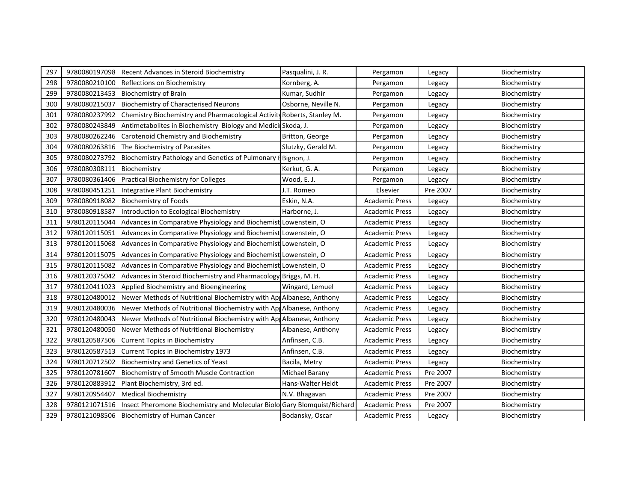| 297 | 9780080197098 | Recent Advances in Steroid Biochemistry                                  | Pasqualini, J. R.     | Pergamon              | Legacy   | Biochemistry |
|-----|---------------|--------------------------------------------------------------------------|-----------------------|-----------------------|----------|--------------|
| 298 | 9780080210100 | Reflections on Biochemistry                                              | Kornberg, A.          | Pergamon              | Legacy   | Biochemistry |
| 299 | 9780080213453 | <b>Biochemistry of Brain</b>                                             | Kumar, Sudhir         | Pergamon              | Legacy   | Biochemistry |
| 300 | 9780080215037 | <b>Biochemistry of Characterised Neurons</b>                             | Osborne, Neville N.   | Pergamon              | Legacy   | Biochemistry |
| 301 | 9780080237992 | Chemistry Biochemistry and Pharmacological Activity Roberts, Stanley M.  |                       | Pergamon              | Legacy   | Biochemistry |
| 302 | 9780080243849 | Antimetabolites in Biochemistry Biology and Medicil Skoda, J.            |                       | Pergamon              | Legacy   | Biochemistry |
| 303 | 9780080262246 | Carotenoid Chemistry and Biochemistry                                    | Britton, George       | Pergamon              | Legacy   | Biochemistry |
| 304 | 9780080263816 | The Biochemistry of Parasites                                            | Slutzky, Gerald M.    | Pergamon              | Legacy   | Biochemistry |
| 305 | 9780080273792 | Biochemistry Pathology and Genetics of Pulmonary E Bignon, J.            |                       | Pergamon              | Legacy   | Biochemistry |
| 306 | 9780080308111 | Biochemistry                                                             | Kerkut, G. A.         | Pergamon              | Legacy   | Biochemistry |
| 307 | 9780080361406 | <b>Practical Biochemistry for Colleges</b>                               | Wood, E. J.           | Pergamon              | Legacy   | Biochemistry |
| 308 | 9780080451251 | Integrative Plant Biochemistry                                           | J.T. Romeo            | Elsevier              | Pre 2007 | Biochemistry |
| 309 | 9780080918082 | <b>Biochemistry of Foods</b>                                             | Eskin, N.A.           | <b>Academic Press</b> | Legacy   | Biochemistry |
| 310 | 9780080918587 | Introduction to Ecological Biochemistry                                  | Harborne, J.          | <b>Academic Press</b> | Legacy   | Biochemistry |
| 311 | 9780120115044 | Advances in Comparative Physiology and Biochemist Lowenstein, O          |                       | <b>Academic Press</b> | Legacy   | Biochemistry |
| 312 | 9780120115051 | Advances in Comparative Physiology and Biochemist Lowenstein, O          |                       | <b>Academic Press</b> | Legacy   | Biochemistry |
| 313 | 9780120115068 | Advances in Comparative Physiology and Biochemist Lowenstein, O          |                       | <b>Academic Press</b> | Legacy   | Biochemistry |
| 314 | 9780120115075 | Advances in Comparative Physiology and Biochemist Lowenstein, O          |                       | <b>Academic Press</b> | Legacy   | Biochemistry |
| 315 | 9780120115082 | Advances in Comparative Physiology and Biochemist Lowenstein, O          |                       | <b>Academic Press</b> | Legacy   | Biochemistry |
| 316 | 9780120375042 | Advances in Steroid Biochemistry and Pharmacology Briggs, M. H.          |                       | <b>Academic Press</b> | Legacy   | Biochemistry |
| 317 | 9780120411023 | Applied Biochemistry and Bioengineering                                  | Wingard, Lemuel       | <b>Academic Press</b> | Legacy   | Biochemistry |
| 318 | 9780120480012 | Newer Methods of Nutritional Biochemistry with AppAlbanese, Anthony      |                       | <b>Academic Press</b> | Legacy   | Biochemistry |
| 319 | 9780120480036 | Newer Methods of Nutritional Biochemistry with AppAlbanese, Anthony      |                       | <b>Academic Press</b> | Legacy   | Biochemistry |
| 320 | 9780120480043 | Newer Methods of Nutritional Biochemistry with AprAlbanese, Anthony      |                       | <b>Academic Press</b> | Legacy   | Biochemistry |
| 321 | 9780120480050 | Newer Methods of Nutritional Biochemistry                                | Albanese, Anthony     | <b>Academic Press</b> | Legacy   | Biochemistry |
| 322 | 9780120587506 | <b>Current Topics in Biochemistry</b>                                    | Anfinsen, C.B.        | <b>Academic Press</b> | Legacy   | Biochemistry |
| 323 | 9780120587513 | Current Topics in Biochemistry 1973                                      | Anfinsen, C.B.        | <b>Academic Press</b> | Legacy   | Biochemistry |
| 324 | 9780120712502 | <b>Biochemistry and Genetics of Yeast</b>                                | Bacila, Metry         | <b>Academic Press</b> | Legacy   | Biochemistry |
| 325 | 9780120781607 | <b>Biochemistry of Smooth Muscle Contraction</b>                         | <b>Michael Barany</b> | <b>Academic Press</b> | Pre 2007 | Biochemistry |
| 326 | 9780120883912 | Plant Biochemistry, 3rd ed.                                              | Hans-Walter Heldt     | <b>Academic Press</b> | Pre 2007 | Biochemistry |
| 327 | 9780120954407 | <b>Medical Biochemistry</b>                                              | N.V. Bhagavan         | <b>Academic Press</b> | Pre 2007 | Biochemistry |
| 328 | 9780121071516 | Insect Pheromone Biochemistry and Molecular Biolo Gary Blomquist/Richard |                       | <b>Academic Press</b> | Pre 2007 | Biochemistry |
| 329 | 9780121098506 | Biochemistry of Human Cancer                                             | Bodansky, Oscar       | <b>Academic Press</b> | Legacy   | Biochemistry |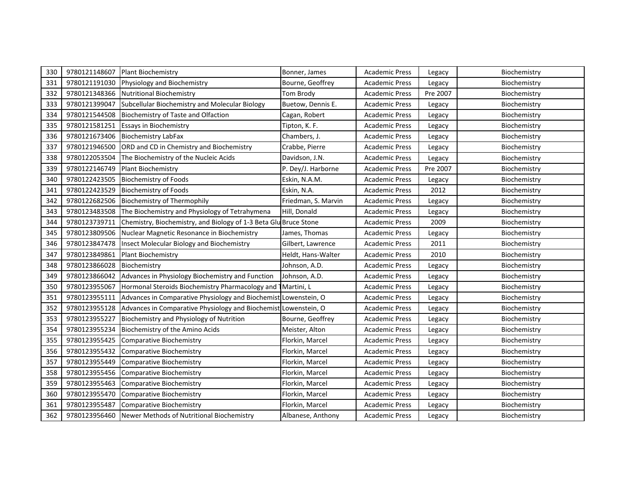| 330 | 9780121148607 | <b>Plant Biochemistry</b>                                        | Bonner, James       | <b>Academic Press</b> | Legacy   | Biochemistry |
|-----|---------------|------------------------------------------------------------------|---------------------|-----------------------|----------|--------------|
| 331 | 9780121191030 | Physiology and Biochemistry                                      | Bourne, Geoffrey    | <b>Academic Press</b> | Legacy   | Biochemistry |
| 332 | 9780121348366 | <b>Nutritional Biochemistry</b>                                  | Tom Brody           | <b>Academic Press</b> | Pre 2007 | Biochemistry |
| 333 | 9780121399047 | Subcellular Biochemistry and Molecular Biology                   | Buetow, Dennis E.   | <b>Academic Press</b> | Legacy   | Biochemistry |
| 334 | 9780121544508 | Biochemistry of Taste and Olfaction                              | Cagan, Robert       | <b>Academic Press</b> | Legacy   | Biochemistry |
| 335 | 9780121581251 | <b>Essays in Biochemistry</b>                                    | Tipton, K. F.       | <b>Academic Press</b> | Legacy   | Biochemistry |
| 336 | 9780121673406 | <b>Biochemistry LabFax</b>                                       | Chambers, J.        | <b>Academic Press</b> | Legacy   | Biochemistry |
| 337 | 9780121946500 | ORD and CD in Chemistry and Biochemistry                         | Crabbe, Pierre      | <b>Academic Press</b> | Legacy   | Biochemistry |
| 338 | 9780122053504 | The Biochemistry of the Nucleic Acids                            | Davidson, J.N.      | <b>Academic Press</b> | Legacy   | Biochemistry |
| 339 | 9780122146749 | <b>Plant Biochemistry</b>                                        | P. Dey/J. Harborne  | <b>Academic Press</b> | Pre 2007 | Biochemistry |
| 340 | 9780122423505 | <b>Biochemistry of Foods</b>                                     | Eskin, N.A.M.       | <b>Academic Press</b> | Legacy   | Biochemistry |
| 341 | 9780122423529 | <b>Biochemistry of Foods</b>                                     | Eskin, N.A.         | <b>Academic Press</b> | 2012     | Biochemistry |
| 342 | 9780122682506 | <b>Biochemistry of Thermophily</b>                               | Friedman, S. Marvin | <b>Academic Press</b> | Legacy   | Biochemistry |
| 343 | 9780123483508 | The Biochemistry and Physiology of Tetrahymena                   | Hill, Donald        | <b>Academic Press</b> | Legacy   | Biochemistry |
| 344 | 9780123739711 | Chemistry, Biochemistry, and Biology of 1-3 Beta Glu Bruce Stone |                     | <b>Academic Press</b> | 2009     | Biochemistry |
| 345 | 9780123809506 | Nuclear Magnetic Resonance in Biochemistry                       | James, Thomas       | <b>Academic Press</b> | Legacy   | Biochemistry |
| 346 | 9780123847478 | Insect Molecular Biology and Biochemistry                        | Gilbert, Lawrence   | <b>Academic Press</b> | 2011     | Biochemistry |
| 347 | 9780123849861 | <b>Plant Biochemistry</b>                                        | Heldt, Hans-Walter  | <b>Academic Press</b> | 2010     | Biochemistry |
| 348 | 9780123866028 | Biochemistry                                                     | Johnson, A.D.       | <b>Academic Press</b> | Legacy   | Biochemistry |
| 349 | 9780123866042 | Advances in Physiology Biochemistry and Function                 | Johnson, A.D.       | <b>Academic Press</b> | Legacy   | Biochemistry |
| 350 | 9780123955067 | Hormonal Steroids Biochemistry Pharmacology and                  | 1 Martini, L        | <b>Academic Press</b> | Legacy   | Biochemistry |
| 351 | 9780123955111 | Advances in Comparative Physiology and Biochemist Lowenstein, O  |                     | <b>Academic Press</b> | Legacy   | Biochemistry |
| 352 | 9780123955128 | Advances in Comparative Physiology and Biochemist Lowenstein, O  |                     | <b>Academic Press</b> | Legacy   | Biochemistry |
| 353 | 9780123955227 | Biochemistry and Physiology of Nutrition                         | Bourne, Geoffrey    | <b>Academic Press</b> | Legacy   | Biochemistry |
| 354 | 9780123955234 | Biochemistry of the Amino Acids                                  | Meister, Alton      | <b>Academic Press</b> | Legacy   | Biochemistry |
| 355 | 9780123955425 | <b>Comparative Biochemistry</b>                                  | Florkin, Marcel     | <b>Academic Press</b> | Legacy   | Biochemistry |
| 356 | 9780123955432 | Comparative Biochemistry                                         | Florkin, Marcel     | <b>Academic Press</b> | Legacy   | Biochemistry |
| 357 | 9780123955449 | <b>Comparative Biochemistry</b>                                  | Florkin, Marcel     | <b>Academic Press</b> | Legacy   | Biochemistry |
| 358 | 9780123955456 | <b>Comparative Biochemistry</b>                                  | Florkin, Marcel     | <b>Academic Press</b> | Legacy   | Biochemistry |
| 359 | 9780123955463 | Comparative Biochemistry                                         | Florkin, Marcel     | <b>Academic Press</b> | Legacy   | Biochemistry |
| 360 | 9780123955470 | <b>Comparative Biochemistry</b>                                  | Florkin, Marcel     | <b>Academic Press</b> | Legacy   | Biochemistry |
| 361 | 9780123955487 | Comparative Biochemistry                                         | Florkin, Marcel     | <b>Academic Press</b> | Legacy   | Biochemistry |
| 362 | 9780123956460 | Newer Methods of Nutritional Biochemistry                        | Albanese, Anthony   | <b>Academic Press</b> | Legacy   | Biochemistry |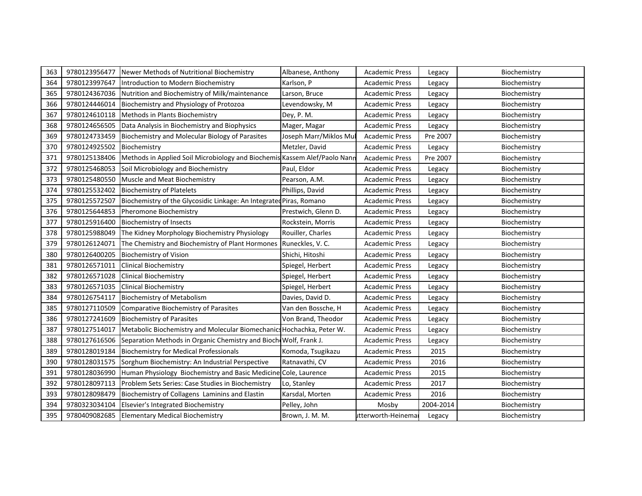| 363 | 9780123956477 | Newer Methods of Nutritional Biochemistry                                 | Albanese, Anthony      | <b>Academic Press</b> | Legacy    | Biochemistry |
|-----|---------------|---------------------------------------------------------------------------|------------------------|-----------------------|-----------|--------------|
| 364 | 9780123997647 | Introduction to Modern Biochemistry                                       | Karlson, P             | <b>Academic Press</b> | Legacy    | Biochemistry |
| 365 | 9780124367036 | Nutrition and Biochemistry of Milk/maintenance                            | Larson, Bruce          | <b>Academic Press</b> | Legacy    | Biochemistry |
| 366 | 9780124446014 | Biochemistry and Physiology of Protozoa                                   | Levendowsky, M         | <b>Academic Press</b> | Legacy    | Biochemistry |
| 367 | 9780124610118 | Methods in Plants Biochemistry                                            | Dey, P. M.             | <b>Academic Press</b> | Legacy    | Biochemistry |
| 368 | 9780124656505 | Data Analysis in Biochemistry and Biophysics                              | Mager, Magar           | <b>Academic Press</b> | Legacy    | Biochemistry |
| 369 | 9780124733459 | <b>Biochemistry and Molecular Biology of Parasites</b>                    | Joseph Marr/Miklos Mul | <b>Academic Press</b> | Pre 2007  | Biochemistry |
| 370 | 9780124925502 | Biochemistry                                                              | Metzler, David         | <b>Academic Press</b> | Legacy    | Biochemistry |
| 371 | 9780125138406 | Methods in Applied Soil Microbiology and Biochemis Kassem Alef/Paolo Nann |                        | <b>Academic Press</b> | Pre 2007  | Biochemistry |
| 372 | 9780125468053 | Soil Microbiology and Biochemistry                                        | Paul, Eldor            | <b>Academic Press</b> | Legacy    | Biochemistry |
| 373 | 9780125480550 | Muscle and Meat Biochemistry                                              | Pearson, A.M.          | <b>Academic Press</b> | Legacy    | Biochemistry |
| 374 | 9780125532402 | <b>Biochemistry of Platelets</b>                                          | Phillips, David        | <b>Academic Press</b> | Legacy    | Biochemistry |
| 375 | 9780125572507 | Biochemistry of the Glycosidic Linkage: An Integrated Piras, Romano       |                        | <b>Academic Press</b> | Legacy    | Biochemistry |
| 376 | 9780125644853 | Pheromone Biochemistry                                                    | Prestwich, Glenn D.    | <b>Academic Press</b> | Legacy    | Biochemistry |
| 377 | 9780125916400 | <b>Biochemistry of Insects</b>                                            | Rockstein, Morris      | <b>Academic Press</b> | Legacy    | Biochemistry |
| 378 | 9780125988049 | The Kidney Morphology Biochemistry Physiology                             | Rouiller, Charles      | <b>Academic Press</b> | Legacy    | Biochemistry |
| 379 | 9780126124071 | The Chemistry and Biochemistry of Plant Hormones                          | Runeckles, V. C.       | <b>Academic Press</b> | Legacy    | Biochemistry |
| 380 | 9780126400205 | <b>Biochemistry of Vision</b>                                             | Shichi, Hitoshi        | <b>Academic Press</b> | Legacy    | Biochemistry |
| 381 | 9780126571011 | <b>Clinical Biochemistry</b>                                              | Spiegel, Herbert       | <b>Academic Press</b> | Legacy    | Biochemistry |
| 382 | 9780126571028 | <b>Clinical Biochemistry</b>                                              | Spiegel, Herbert       | <b>Academic Press</b> | Legacy    | Biochemistry |
| 383 | 9780126571035 | <b>Clinical Biochemistry</b>                                              | Spiegel, Herbert       | <b>Academic Press</b> | Legacy    | Biochemistry |
| 384 | 9780126754117 | <b>Biochemistry of Metabolism</b>                                         | Davies, David D.       | <b>Academic Press</b> | Legacy    | Biochemistry |
| 385 | 9780127110509 | Comparative Biochemistry of Parasites                                     | Van den Bossche, H     | <b>Academic Press</b> | Legacy    | Biochemistry |
| 386 | 9780127241609 | <b>Biochemistry of Parasites</b>                                          | Von Brand, Theodor     | <b>Academic Press</b> | Legacy    | Biochemistry |
| 387 | 9780127514017 | Metabolic Biochemistry and Molecular Biomechanics Hochachka, Peter W.     |                        | <b>Academic Press</b> | Legacy    | Biochemistry |
| 388 | 9780127616506 | Separation Methods in Organic Chemistry and Bioch Wolf, Frank J.          |                        | <b>Academic Press</b> | Legacy    | Biochemistry |
| 389 | 9780128019184 | <b>Biochemistry for Medical Professionals</b>                             | Komoda, Tsugikazu      | <b>Academic Press</b> | 2015      | Biochemistry |
| 390 | 9780128031575 | Sorghum Biochemistry: An Industrial Perspective                           | Ratnavathi, CV         | <b>Academic Press</b> | 2016      | Biochemistry |
| 391 | 9780128036990 | Human Physiology Biochemistry and Basic Medicine Cole, Laurence           |                        | <b>Academic Press</b> | 2015      | Biochemistry |
| 392 | 9780128097113 | Problem Sets Series: Case Studies in Biochemistry                         | Lo, Stanley            | <b>Academic Press</b> | 2017      | Biochemistry |
| 393 | 9780128098479 | Biochemistry of Collagens Laminins and Elastin                            | Karsdal, Morten        | <b>Academic Press</b> | 2016      | Biochemistry |
| 394 | 9780323034104 | Elsevier's Integrated Biochemistry                                        | Pelley, John           | Mosby                 | 2004-2014 | Biochemistry |
| 395 | 9780409082685 | <b>Elementary Medical Biochemistry</b>                                    | Brown, J. M. M.        | utterworth-Heinemal   | Legacy    | Biochemistry |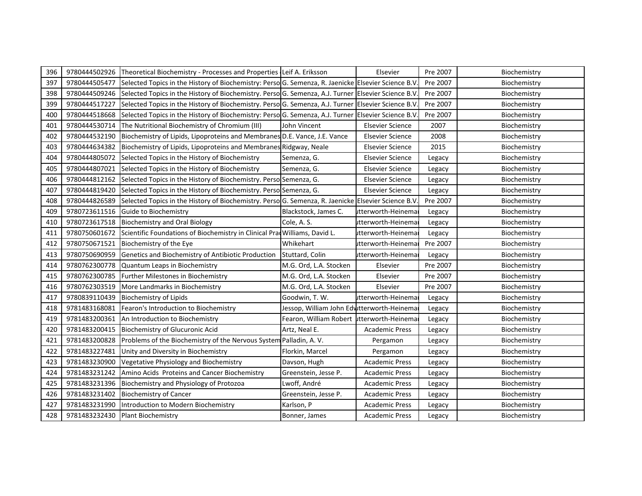| 396 | 9780444502926 | Theoretical Biochemistry - Processes and Properties Leif A. Eriksson                                |                                            | Elsevier                | Pre 2007 | Biochemistry |
|-----|---------------|-----------------------------------------------------------------------------------------------------|--------------------------------------------|-------------------------|----------|--------------|
| 397 | 9780444505477 | Selected Topics in the History of Biochemistry: Perso G. Semenza, R. Jaenicke Elsevier Science B.V  |                                            |                         | Pre 2007 | Biochemistry |
| 398 | 9780444509246 | Selected Topics in the History of Biochemistry. Perso G. Semenza, A.J. Turner Elsevier Science B.V. |                                            |                         | Pre 2007 | Biochemistry |
| 399 | 9780444517227 | Selected Topics in the History of Biochemistry. Perso G. Semenza, A.J. Turner Elsevier Science B.V. |                                            |                         | Pre 2007 | Biochemistry |
| 400 | 9780444518668 | Selected Topics in the History of Biochemistry: Perso G. Semenza, A.J. Turner Elsevier Science B.V  |                                            |                         | Pre 2007 | Biochemistry |
| 401 | 9780444530714 | The Nutritional Biochemistry of Chromium (III)                                                      | John Vincent                               | <b>Elsevier Science</b> | 2007     | Biochemistry |
| 402 | 9780444532190 | Biochemistry of Lipids, Lipoproteins and Membranes D.E. Vance, J.E. Vance                           |                                            | <b>Elsevier Science</b> | 2008     | Biochemistry |
| 403 | 9780444634382 | Biochemistry of Lipids, Lipoproteins and Membranes Ridgway, Neale                                   |                                            | <b>Elsevier Science</b> | 2015     | Biochemistry |
| 404 | 9780444805072 | Selected Topics in the History of Biochemistry                                                      | Semenza, G.                                | <b>Elsevier Science</b> | Legacy   | Biochemistry |
| 405 | 9780444807021 | Selected Topics in the History of Biochemistry                                                      | Semenza, G.                                | <b>Elsevier Science</b> | Legacy   | Biochemistry |
| 406 | 9780444812162 | Selected Topics in the History of Biochemistry. Perso Semenza, G.                                   |                                            | <b>Elsevier Science</b> | Legacy   | Biochemistry |
| 407 | 9780444819420 | Selected Topics in the History of Biochemistry. Perso Semenza, G.                                   |                                            | <b>Elsevier Science</b> | Legacy   | Biochemistry |
| 408 | 9780444826589 | Selected Topics in the History of Biochemistry. Perso G. Semenza, R. Jaenicke Elsevier Science B.V  |                                            |                         | Pre 2007 | Biochemistry |
| 409 | 9780723611516 | Guide to Biochemistry                                                                               | Blackstock, James C.                       | utterworth-Heinema      | Legacy   | Biochemistry |
| 410 | 9780723617518 | <b>Biochemistry and Oral Biology</b>                                                                | Cole, A.S.                                 | utterworth-Heinema      | Legacy   | Biochemistry |
| 411 | 9780750601672 | Scientific Foundations of Biochemistry in Clinical Prad Williams, David L.                          |                                            | utterworth-Heinemar     | Legacy   | Biochemistry |
| 412 | 9780750671521 | Biochemistry of the Eye                                                                             | Whikehart                                  | itterworth-Heinemai     | Pre 2007 | Biochemistry |
| 413 | 9780750690959 | Genetics and Biochemistry of Antibiotic Production                                                  | Stuttard, Colin                            | utterworth-Heinema      | Legacy   | Biochemistry |
| 414 | 9780762300778 | Quantum Leaps in Biochemistry                                                                       | M.G. Ord, L.A. Stocken                     | Elsevier                | Pre 2007 | Biochemistry |
| 415 | 9780762300785 | <b>Further Milestones in Biochemistry</b>                                                           | M.G. Ord, L.A. Stocken                     | Elsevier                | Pre 2007 | Biochemistry |
| 416 | 9780762303519 | More Landmarks in Biochemistry                                                                      | M.G. Ord, L.A. Stocken                     | Elsevier                | Pre 2007 | Biochemistry |
| 417 | 9780839110439 | <b>Biochemistry of Lipids</b>                                                                       | Goodwin, T. W.                             | utterworth-Heinemar     | Legacy   | Biochemistry |
| 418 | 9781483168081 | Fearon's Introduction to Biochemistry                                                               | Jessop, William John Edutterworth-Heinemar |                         | Legacy   | Biochemistry |
| 419 | 9781483200361 | An Introduction to Biochemistry                                                                     | Fearon, William Robert utterworth-Heinema  |                         | Legacy   | Biochemistry |
| 420 | 9781483200415 | <b>Biochemistry of Glucuronic Acid</b>                                                              | Artz, Neal E.                              | <b>Academic Press</b>   | Legacy   | Biochemistry |
| 421 | 9781483200828 | Problems of the Biochemistry of the Nervous System Palladin, A.V.                                   |                                            | Pergamon                | Legacy   | Biochemistry |
| 422 | 9781483227481 | Unity and Diversity in Biochemistry                                                                 | Florkin, Marcel                            | Pergamon                | Legacy   | Biochemistry |
| 423 | 9781483230900 | Vegetative Physiology and Biochemistry                                                              | Davson, Hugh                               | <b>Academic Press</b>   | Legacy   | Biochemistry |
| 424 | 9781483231242 | Amino Acids Proteins and Cancer Biochemistry                                                        | Greenstein, Jesse P.                       | <b>Academic Press</b>   | Legacy   | Biochemistry |
| 425 | 9781483231396 | Biochemistry and Physiology of Protozoa                                                             | Lwoff, André                               | <b>Academic Press</b>   | Legacy   | Biochemistry |
| 426 | 9781483231402 | <b>Biochemistry of Cancer</b>                                                                       | Greenstein, Jesse P.                       | <b>Academic Press</b>   | Legacy   | Biochemistry |
| 427 | 9781483231990 | Introduction to Modern Biochemistry                                                                 | Karlson, P                                 | <b>Academic Press</b>   | Legacy   | Biochemistry |
| 428 | 9781483232430 | <b>Plant Biochemistry</b>                                                                           | Bonner, James                              | <b>Academic Press</b>   | Legacy   | Biochemistry |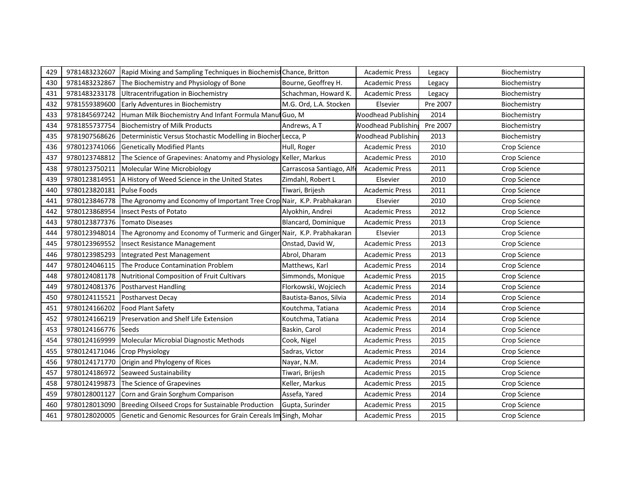| 429 | 9781483232607 | Rapid Mixing and Sampling Techniques in Biochemist Chance, Britton     |                           | <b>Academic Press</b>      | Legacy   | Biochemistry |
|-----|---------------|------------------------------------------------------------------------|---------------------------|----------------------------|----------|--------------|
| 430 | 9781483232867 | The Biochemistry and Physiology of Bone                                | Bourne, Geoffrey H.       | <b>Academic Press</b>      | Legacy   | Biochemistry |
| 431 | 9781483233178 | Ultracentrifugation in Biochemistry                                    | Schachman, Howard K.      | <b>Academic Press</b>      | Legacy   | Biochemistry |
| 432 | 9781559389600 | Early Adventures in Biochemistry                                       | M.G. Ord, L.A. Stocken    | Elsevier                   | Pre 2007 | Biochemistry |
| 433 | 9781845697242 | Human Milk Biochemistry And Infant Formula Manul Guo, M                |                           | <b>Noodhead Publishin</b>  | 2014     | Biochemistry |
| 434 | 9781855737754 | <b>Biochemistry of Milk Products</b>                                   | Andrews, AT               | <b>Noodhead Publishin</b>  | Pre 2007 | Biochemistry |
| 435 | 9781907568626 | Deterministic Versus Stochastic Modelling in Biocher Lecca, P          |                           | <b>Noodhead Publishing</b> | 2013     | Biochemistry |
| 436 | 9780123741066 | <b>Genetically Modified Plants</b>                                     | Hull, Roger               | <b>Academic Press</b>      | 2010     | Crop Science |
| 437 | 9780123748812 | The Science of Grapevines: Anatomy and Physiology Keller, Markus       |                           | <b>Academic Press</b>      | 2010     | Crop Science |
| 438 | 9780123750211 | Molecular Wine Microbiology                                            | Carrascosa Santiago, Alfo | <b>Academic Press</b>      | 2011     | Crop Science |
| 439 | 9780123814951 | A History of Weed Science in the United States                         | Zimdahl, Robert L         | Elsevier                   | 2010     | Crop Science |
| 440 | 9780123820181 | <b>Pulse Foods</b>                                                     | Tiwari, Brijesh           | <b>Academic Press</b>      | 2011     | Crop Science |
| 441 | 9780123846778 | The Agronomy and Economy of Important Tree Crop Nair, K.P. Prabhakaran |                           | Elsevier                   | 2010     | Crop Science |
| 442 | 9780123868954 | <b>Insect Pests of Potato</b>                                          | Alyokhin, Andrei          | <b>Academic Press</b>      | 2012     | Crop Science |
| 443 | 9780123877376 | Tomato Diseases                                                        | Blancard, Dominique       | <b>Academic Press</b>      | 2013     | Crop Science |
| 444 | 9780123948014 | The Agronomy and Economy of Turmeric and Ginger Nair, K.P. Prabhakaran |                           | Elsevier                   | 2013     | Crop Science |
| 445 | 9780123969552 | Insect Resistance Management                                           | Onstad, David W,          | <b>Academic Press</b>      | 2013     | Crop Science |
| 446 | 9780123985293 | Integrated Pest Management                                             | Abrol, Dharam             | <b>Academic Press</b>      | 2013     | Crop Science |
| 447 | 9780124046115 | The Produce Contamination Problem                                      | Matthews, Karl            | <b>Academic Press</b>      | 2014     | Crop Science |
| 448 | 9780124081178 | Nutritional Composition of Fruit Cultivars                             | Simmonds, Monique         | <b>Academic Press</b>      | 2015     | Crop Science |
| 449 | 9780124081376 | <b>Postharvest Handling</b>                                            | Florkowski, Wojciech      | <b>Academic Press</b>      | 2014     | Crop Science |
| 450 | 9780124115521 | <b>Postharvest Decay</b>                                               | Bautista-Banos, Silvia    | <b>Academic Press</b>      | 2014     | Crop Science |
| 451 | 9780124166202 | <b>Food Plant Safety</b>                                               | Koutchma, Tatiana         | Academic Press             | 2014     | Crop Science |
| 452 | 9780124166219 | Preservation and Shelf Life Extension                                  | Koutchma, Tatiana         | <b>Academic Press</b>      | 2014     | Crop Science |
| 453 | 9780124166776 | Seeds                                                                  | Baskin, Carol             | <b>Academic Press</b>      | 2014     | Crop Science |
| 454 | 9780124169999 | Molecular Microbial Diagnostic Methods                                 | Cook, Nigel               | <b>Academic Press</b>      | 2015     | Crop Science |
| 455 | 9780124171046 | <b>Crop Physiology</b>                                                 | Sadras, Victor            | <b>Academic Press</b>      | 2014     | Crop Science |
| 456 | 9780124171770 | Origin and Phylogeny of Rices                                          | Nayar, N.M.               | <b>Academic Press</b>      | 2014     | Crop Science |
| 457 | 9780124186972 | Seaweed Sustainability                                                 | Tiwari, Brijesh           | <b>Academic Press</b>      | 2015     | Crop Science |
| 458 | 9780124199873 | The Science of Grapevines                                              | Keller, Markus            | <b>Academic Press</b>      | 2015     | Crop Science |
| 459 | 9780128001127 | Corn and Grain Sorghum Comparison                                      | Assefa, Yared             | <b>Academic Press</b>      | 2014     | Crop Science |
| 460 | 9780128013090 | Breeding Oilseed Crops for Sustainable Production                      | Gupta, Surinder           | <b>Academic Press</b>      | 2015     | Crop Science |
| 461 | 9780128020005 | Genetic and Genomic Resources for Grain Cereals Im Singh, Mohar        |                           | <b>Academic Press</b>      | 2015     | Crop Science |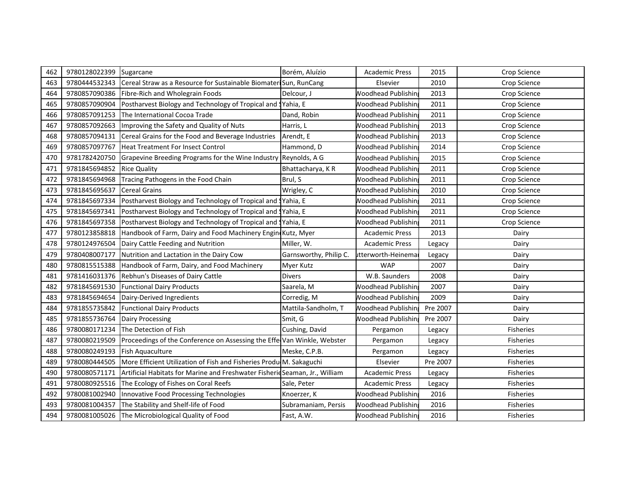| 462 | 9780128022399 | Sugarcane                                                                   | Borém, Aluízio         | <b>Academic Press</b>      | 2015     | Crop Science     |
|-----|---------------|-----------------------------------------------------------------------------|------------------------|----------------------------|----------|------------------|
| 463 | 9780444532343 | Cereal Straw as a Resource for Sustainable Biomater Sun, RunCang            |                        | Elsevier                   | 2010     | Crop Science     |
| 464 | 9780857090386 | Fibre-Rich and Wholegrain Foods                                             | Delcour, J             | <b>Noodhead Publishin</b>  | 2013     | Crop Science     |
| 465 | 9780857090904 | Postharvest Biology and Technology of Tropical and SYahia, E                |                        | <b>Noodhead Publishin</b>  | 2011     | Crop Science     |
| 466 | 9780857091253 | The International Cocoa Trade                                               | Dand, Robin            | <b>Noodhead Publishin</b>  | 2011     | Crop Science     |
| 467 | 9780857092663 | Improving the Safety and Quality of Nuts                                    | Harris, L              | <b>Noodhead Publishin</b>  | 2013     | Crop Science     |
| 468 | 9780857094131 | Cereal Grains for the Food and Beverage Industries                          | Arendt, E              | <b>Noodhead Publishin</b>  | 2013     | Crop Science     |
| 469 | 9780857097767 | <b>Heat Treatment For Insect Control</b>                                    | Hammond, D             | <b>Noodhead Publishin</b>  | 2014     | Crop Science     |
| 470 | 9781782420750 | Grapevine Breeding Programs for the Wine Industry Reynolds, A G             |                        | <b>Noodhead Publishin</b>  | 2015     | Crop Science     |
| 471 | 9781845694852 | <b>Rice Quality</b>                                                         | Bhattacharya, KR       | <b>Noodhead Publishin</b>  | 2011     | Crop Science     |
| 472 | 9781845694968 | Tracing Pathogens in the Food Chain                                         | Brul, S                | <b>Noodhead Publishin</b>  | 2011     | Crop Science     |
| 473 | 9781845695637 | <b>Cereal Grains</b>                                                        | Wrigley, C             | <b>Noodhead Publishin</b>  | 2010     | Crop Science     |
| 474 | 9781845697334 | Postharvest Biology and Technology of Tropical and                          | SYahia, E              | <b>Noodhead Publishin</b>  | 2011     | Crop Science     |
| 475 | 9781845697341 | Postharvest Biology and Technology of Tropical and Syahia, E                |                        | <b>Noodhead Publishin</b>  | 2011     | Crop Science     |
| 476 | 9781845697358 | Postharvest Biology and Technology of Tropical and Yahia, E                 |                        | <b>Noodhead Publishin</b>  | 2011     | Crop Science     |
| 477 | 9780123858818 | Handbook of Farm, Dairy and Food Machinery Engin Kutz, Myer                 |                        | <b>Academic Press</b>      | 2013     | Dairy            |
| 478 | 9780124976504 | Dairy Cattle Feeding and Nutrition                                          | Miller, W.             | <b>Academic Press</b>      | Legacy   | Dairy            |
| 479 | 9780408007177 | Nutrition and Lactation in the Dairy Cow                                    | Garnsworthy, Philip C. | utterworth-Heinema         | Legacy   | Dairy            |
| 480 | 9780815515388 | Handbook of Farm, Dairy, and Food Machinery                                 | Myer Kutz              | <b>WAP</b>                 | 2007     | Dairy            |
| 481 | 9781416031376 | Rebhun's Diseases of Dairy Cattle                                           | Divers                 | W.B. Saunders              | 2008     | Dairy            |
| 482 | 9781845691530 | <b>Functional Dairy Products</b>                                            | Saarela, M             | <b>Noodhead Publishin</b>  | 2007     | Dairy            |
| 483 | 9781845694654 | Dairy-Derived Ingredients                                                   | Corredig, M            | <b>Noodhead Publishin</b>  | 2009     | Dairy            |
| 484 | 9781855735842 | <b>Functional Dairy Products</b>                                            | Mattila-Sandholm, T    | <b>Noodhead Publishin</b>  | Pre 2007 | Dairy            |
| 485 | 9781855736764 | <b>Dairy Processing</b>                                                     | Smit, G                | <b>Noodhead Publishin</b>  | Pre 2007 | Dairy            |
| 486 | 9780080171234 | The Detection of Fish                                                       | Cushing, David         | Pergamon                   | Legacy   | <b>Fisheries</b> |
| 487 | 9780080219509 | Proceedings of the Conference on Assessing the Effe Van Winkle, Webster     |                        | Pergamon                   | Legacy   | <b>Fisheries</b> |
| 488 | 9780080249193 | <b>Fish Aquaculture</b>                                                     | Meske, C.P.B.          | Pergamon                   | Legacy   | Fisheries        |
| 489 | 9780080444505 | More Efficient Utilization of Fish and Fisheries Produ M. Sakaguchi         |                        | Elsevier                   | Pre 2007 | <b>Fisheries</b> |
| 490 | 9780080571171 | Artificial Habitats for Marine and Freshwater Fisherid Seaman, Jr., William |                        | <b>Academic Press</b>      | Legacy   | <b>Fisheries</b> |
| 491 | 9780080925516 | The Ecology of Fishes on Coral Reefs                                        | Sale, Peter            | <b>Academic Press</b>      | Legacy   | <b>Fisheries</b> |
| 492 | 9780081002940 | Innovative Food Processing Technologies                                     | Knoerzer, K            | <b>Noodhead Publishin</b>  | 2016     | Fisheries        |
| 493 | 9780081004357 | The Stability and Shelf-life of Food                                        | Subramaniam, Persis    | <b>Noodhead Publishin</b>  | 2016     | Fisheries        |
| 494 | 9780081005026 | The Microbiological Quality of Food                                         | Fast, A.W.             | <b>Noodhead Publishing</b> | 2016     | Fisheries        |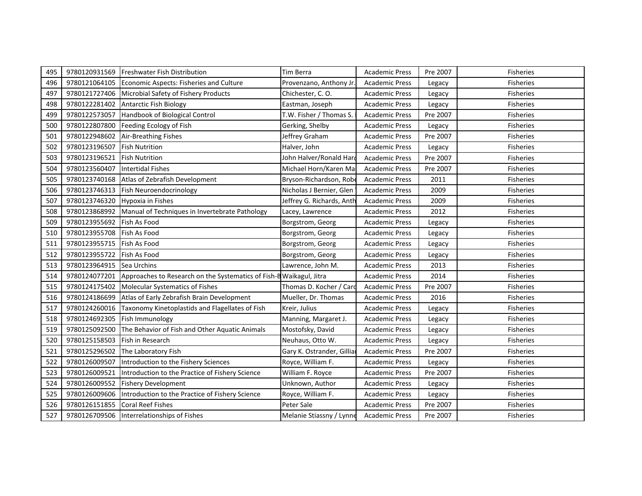| 495 | 9780120931569 | <b>Freshwater Fish Distribution</b>                                 | Tim Berra                  | <b>Academic Press</b> | Pre 2007 | <b>Fisheries</b> |
|-----|---------------|---------------------------------------------------------------------|----------------------------|-----------------------|----------|------------------|
| 496 | 9780121064105 | Economic Aspects: Fisheries and Culture                             | Provenzano, Anthony Jr.    | <b>Academic Press</b> | Legacy   | <b>Fisheries</b> |
| 497 | 9780121727406 | Microbial Safety of Fishery Products                                | Chichester, C.O.           | <b>Academic Press</b> | Legacy   | <b>Fisheries</b> |
| 498 | 9780122281402 | <b>Antarctic Fish Biology</b>                                       | Eastman, Joseph            | <b>Academic Press</b> | Legacy   | <b>Fisheries</b> |
| 499 | 9780122573057 | Handbook of Biological Control                                      | T.W. Fisher / Thomas S.    | <b>Academic Press</b> | Pre 2007 | <b>Fisheries</b> |
| 500 | 9780122807800 | Feeding Ecology of Fish                                             | Gerking, Shelby            | <b>Academic Press</b> | Legacy   | <b>Fisheries</b> |
| 501 | 9780122948602 | Air-Breathing Fishes                                                | Jeffrey Graham             | <b>Academic Press</b> | Pre 2007 | <b>Fisheries</b> |
| 502 | 9780123196507 | <b>Fish Nutrition</b>                                               | Halver, John               | <b>Academic Press</b> | Legacy   | <b>Fisheries</b> |
| 503 | 9780123196521 | <b>Fish Nutrition</b>                                               | John Halver/Ronald Hard    | <b>Academic Press</b> | Pre 2007 | <b>Fisheries</b> |
| 504 | 9780123560407 | <b>Intertidal Fishes</b>                                            | Michael Horn/Karen Ma      | <b>Academic Press</b> | Pre 2007 | Fisheries        |
| 505 | 9780123740168 | Atlas of Zebrafish Development                                      | Bryson-Richardson, Robe    | <b>Academic Press</b> | 2011     | <b>Fisheries</b> |
| 506 | 9780123746313 | <b>Fish Neuroendocrinology</b>                                      | Nicholas J Bernier, Glen   | <b>Academic Press</b> | 2009     | <b>Fisheries</b> |
| 507 | 9780123746320 | <b>Hypoxia in Fishes</b>                                            | Jeffrey G. Richards, Anth  | <b>Academic Press</b> | 2009     | <b>Fisheries</b> |
| 508 | 9780123868992 | Manual of Techniques in Invertebrate Pathology                      | Lacey, Lawrence            | <b>Academic Press</b> | 2012     | <b>Fisheries</b> |
| 509 | 9780123955692 | Fish As Food                                                        | Borgstrom, Georg           | <b>Academic Press</b> | Legacy   | <b>Fisheries</b> |
| 510 | 9780123955708 | Fish As Food                                                        | Borgstrom, Georg           | <b>Academic Press</b> | Legacy   | Fisheries        |
| 511 | 9780123955715 | Fish As Food                                                        | Borgstrom, Georg           | <b>Academic Press</b> | Legacy   | <b>Fisheries</b> |
| 512 | 9780123955722 | Fish As Food                                                        | Borgstrom, Georg           | <b>Academic Press</b> | Legacy   | <b>Fisheries</b> |
| 513 | 9780123964915 | Sea Urchins                                                         | Lawrence, John M.          | <b>Academic Press</b> | 2013     | Fisheries        |
| 514 | 9780124077201 | Approaches to Research on the Systematics of Fish-B Waikagul, Jitra |                            | <b>Academic Press</b> | 2014     | <b>Fisheries</b> |
| 515 | 9780124175402 | Molecular Systematics of Fishes                                     | Thomas D. Kocher / Card    | <b>Academic Press</b> | Pre 2007 | Fisheries        |
| 516 | 9780124186699 | Atlas of Early Zebrafish Brain Development                          | Mueller, Dr. Thomas        | <b>Academic Press</b> | 2016     | <b>Fisheries</b> |
| 517 | 9780124260016 | Taxonomy Kinetoplastids and Flagellates of Fish                     | Kreir, Julius              | <b>Academic Press</b> | Legacy   | <b>Fisheries</b> |
| 518 | 9780124692305 | Fish Immunology                                                     | Manning, Margaret J.       | <b>Academic Press</b> | Legacy   | <b>Fisheries</b> |
| 519 | 9780125092500 | The Behavior of Fish and Other Aquatic Animals                      | Mostofsky, David           | <b>Academic Press</b> | Legacy   | <b>Fisheries</b> |
| 520 | 9780125158503 | <b>Fish in Research</b>                                             | Neuhaus, Otto W.           | <b>Academic Press</b> | Legacy   | <b>Fisheries</b> |
| 521 | 9780125296502 | The Laboratory Fish                                                 | Gary K. Ostrander, Gilliaı | <b>Academic Press</b> | Pre 2007 | <b>Fisheries</b> |
| 522 | 9780126009507 | Introduction to the Fishery Sciences                                | Royce, William F.          | <b>Academic Press</b> | Legacy   | <b>Fisheries</b> |
| 523 | 9780126009521 | Introduction to the Practice of Fishery Science                     | William F. Royce           | <b>Academic Press</b> | Pre 2007 | <b>Fisheries</b> |
| 524 | 9780126009552 | <b>Fishery Development</b>                                          | Unknown, Author            | <b>Academic Press</b> | Legacy   | <b>Fisheries</b> |
| 525 | 9780126009606 | Introduction to the Practice of Fishery Science                     | Royce, William F.          | <b>Academic Press</b> | Legacy   | Fisheries        |
| 526 | 9780126151855 | <b>Coral Reef Fishes</b>                                            | Peter Sale                 | <b>Academic Press</b> | Pre 2007 | Fisheries        |
| 527 | 9780126709506 | Interrelationships of Fishes                                        | Melanie Stiassny / Lynne   | <b>Academic Press</b> | Pre 2007 | Fisheries        |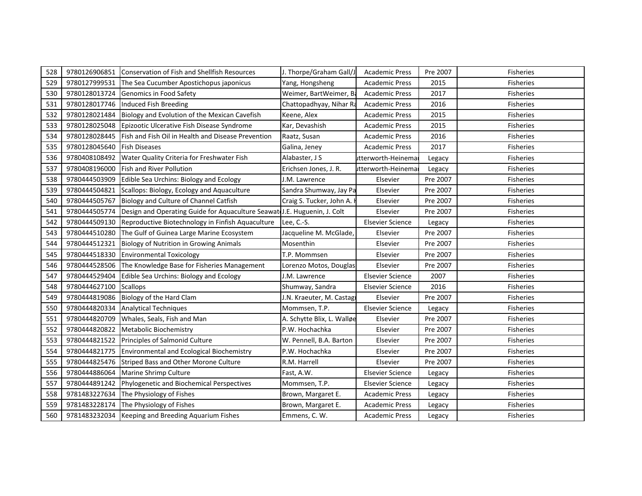| 528 | 9780126906851 | Conservation of Fish and Shellfish Resources                             | J. Thorpe/Graham Gall/J    | <b>Academic Press</b>   | Pre 2007 | <b>Fisheries</b> |
|-----|---------------|--------------------------------------------------------------------------|----------------------------|-------------------------|----------|------------------|
| 529 | 9780127999531 | The Sea Cucumber Apostichopus japonicus                                  | Yang, Hongsheng            | <b>Academic Press</b>   | 2015     | <b>Fisheries</b> |
| 530 | 9780128013724 | Genomics in Food Safety                                                  | Weimer, BartWeimer, Ba     | <b>Academic Press</b>   | 2017     | Fisheries        |
| 531 | 9780128017746 | Induced Fish Breeding                                                    | Chattopadhyay, Nihar Ra    | <b>Academic Press</b>   | 2016     | Fisheries        |
| 532 | 9780128021484 | Biology and Evolution of the Mexican Cavefish                            | Keene, Alex                | <b>Academic Press</b>   | 2015     | Fisheries        |
| 533 | 9780128025048 | Epizootic Ulcerative Fish Disease Syndrome                               | Kar, Devashish             | <b>Academic Press</b>   | 2015     | <b>Fisheries</b> |
| 534 | 9780128028445 | Fish and Fish Oil in Health and Disease Prevention                       | Raatz, Susan               | <b>Academic Press</b>   | 2016     | <b>Fisheries</b> |
| 535 | 9780128045640 | <b>Fish Diseases</b>                                                     | Galina, Jeney              | <b>Academic Press</b>   | 2017     | Fisheries        |
| 536 | 9780408108492 | Water Quality Criteria for Freshwater Fish                               | Alabaster, J S             | utterworth-Heinema      | Legacy   | <b>Fisheries</b> |
| 537 | 9780408196000 | Fish and River Pollution                                                 | Erichsen Jones, J. R.      | itterworth-Heinema      | Legacy   | Fisheries        |
| 538 | 9780444503909 | Edible Sea Urchins: Biology and Ecology                                  | J.M. Lawrence              | Elsevier                | Pre 2007 | <b>Fisheries</b> |
| 539 | 9780444504821 | Scallops: Biology, Ecology and Aquaculture                               | Sandra Shumway, Jay Pa     | Elsevier                | Pre 2007 | <b>Fisheries</b> |
| 540 | 9780444505767 | Biology and Culture of Channel Catfish                                   | Craig S. Tucker, John A.   | Elsevier                | Pre 2007 | <b>Fisheries</b> |
| 541 | 9780444505774 | Design and Operating Guide for Aquaculture Seawat J.E. Huguenin, J. Colt |                            | Elsevier                | Pre 2007 | <b>Fisheries</b> |
| 542 | 9780444509130 | Reproductive Biotechnology in Finfish Aquaculture                        | Lee, C.-S.                 | <b>Elsevier Science</b> | Legacy   | Fisheries        |
| 543 | 9780444510280 | The Gulf of Guinea Large Marine Ecosystem                                | Jacqueline M. McGlade,     | Elsevier                | Pre 2007 | Fisheries        |
| 544 | 9780444512321 | <b>Biology of Nutrition in Growing Animals</b>                           | Mosenthin                  | Elsevier                | Pre 2007 | <b>Fisheries</b> |
| 545 | 9780444518330 | <b>Environmental Toxicology</b>                                          | T.P. Mommsen               | Elsevier                | Pre 2007 | <b>Fisheries</b> |
| 546 | 9780444528506 | The Knowledge Base for Fisheries Management                              | Lorenzo Motos, Douglas     | Elsevier                | Pre 2007 | Fisheries        |
| 547 | 9780444529404 | Edible Sea Urchins: Biology and Ecology                                  | J.M. Lawrence              | <b>Elsevier Science</b> | 2007     | <b>Fisheries</b> |
| 548 | 9780444627100 | <b>Scallops</b>                                                          | Shumway, Sandra            | <b>Elsevier Science</b> | 2016     | Fisheries        |
| 549 | 9780444819086 | Biology of the Hard Clam                                                 | J.N. Kraeuter, M. Castag   | Elsevier                | Pre 2007 | <b>Fisheries</b> |
| 550 | 9780444820334 | <b>Analytical Techniques</b>                                             | Mommsen, T.P.              | <b>Elsevier Science</b> | Legacy   | <b>Fisheries</b> |
| 551 | 9780444820709 | Whales, Seals, Fish and Man                                              | A. Schytte Blix, L. Walløe | Elsevier                | Pre 2007 | <b>Fisheries</b> |
| 552 | 9780444820822 | Metabolic Biochemistry                                                   | P.W. Hochachka             | Elsevier                | Pre 2007 | <b>Fisheries</b> |
| 553 | 9780444821522 | Principles of Salmonid Culture                                           | W. Pennell, B.A. Barton    | Elsevier                | Pre 2007 | <b>Fisheries</b> |
| 554 | 9780444821775 | <b>Environmental and Ecological Biochemistry</b>                         | P.W. Hochachka             | Elsevier                | Pre 2007 | <b>Fisheries</b> |
| 555 | 9780444825476 | Striped Bass and Other Morone Culture                                    | R.M. Harrell               | Elsevier                | Pre 2007 | <b>Fisheries</b> |
| 556 | 9780444886064 | Marine Shrimp Culture                                                    | Fast, A.W.                 | <b>Elsevier Science</b> | Legacy   | <b>Fisheries</b> |
| 557 | 9780444891242 | Phylogenetic and Biochemical Perspectives                                | Mommsen, T.P.              | <b>Elsevier Science</b> | Legacy   | Fisheries        |
| 558 | 9781483227634 | The Physiology of Fishes                                                 | Brown, Margaret E.         | <b>Academic Press</b>   | Legacy   | Fisheries        |
| 559 | 9781483228174 | The Physiology of Fishes                                                 | Brown, Margaret E.         | <b>Academic Press</b>   | Legacy   | Fisheries        |
| 560 |               | 9781483232034 Keeping and Breeding Aquarium Fishes                       | Emmens, C. W.              | <b>Academic Press</b>   | Legacy   | <b>Fisheries</b> |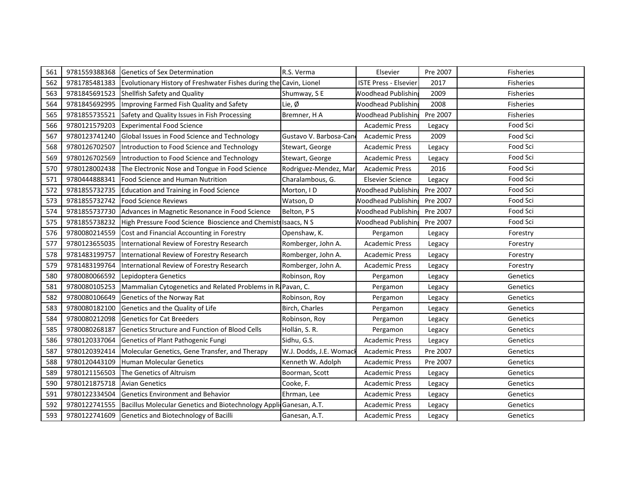| 561 | 9781559388368 | Genetics of Sex Determination                                      | R.S. Verma              | Elsevier                     | Pre 2007 | <b>Fisheries</b> |
|-----|---------------|--------------------------------------------------------------------|-------------------------|------------------------------|----------|------------------|
| 562 | 9781785481383 | Evolutionary History of Freshwater Fishes during the Cavin, Lionel |                         | <b>ISTE Press - Elsevier</b> | 2017     | <b>Fisheries</b> |
| 563 | 9781845691523 | Shellfish Safety and Quality                                       | Shumway, SE             | <b>Noodhead Publishin</b>    | 2009     | <b>Fisheries</b> |
| 564 | 9781845692995 | Improving Farmed Fish Quality and Safety                           | Lie, Ø                  | <b>Noodhead Publishin</b>    | 2008     | <b>Fisheries</b> |
| 565 | 9781855735521 | Safety and Quality Issues in Fish Processing                       | Bremner, H A            | <b>Noodhead Publishing</b>   | Pre 2007 | <b>Fisheries</b> |
| 566 | 9780121579203 | <b>Experimental Food Science</b>                                   |                         | <b>Academic Press</b>        | Legacy   | Food Sci         |
| 567 | 9780123741240 | Global Issues in Food Science and Technology                       | Gustavo V. Barbosa-Cano | <b>Academic Press</b>        | 2009     | Food Sci         |
| 568 | 9780126702507 | Introduction to Food Science and Technology                        | Stewart, George         | <b>Academic Press</b>        | Legacy   | Food Sci         |
| 569 | 9780126702569 | Introduction to Food Science and Technology                        | Stewart, George         | <b>Academic Press</b>        | Legacy   | Food Sci         |
| 570 | 9780128002438 | The Electronic Nose and Tongue in Food Science                     | Rodriguez-Mendez, Mar   | <b>Academic Press</b>        | 2016     | Food Sci         |
| 571 | 9780444888341 | Food Science and Human Nutrition                                   | Charalambous, G.        | <b>Elsevier Science</b>      | Legacy   | Food Sci         |
| 572 | 9781855732735 | Education and Training in Food Science                             | Morton, ID              | <b>Noodhead Publishin</b>    | Pre 2007 | Food Sci         |
| 573 | 9781855732742 | <b>Food Science Reviews</b>                                        | Watson, D               | <b>Noodhead Publishing</b>   | Pre 2007 | Food Sci         |
| 574 | 9781855737730 | Advances in Magnetic Resonance in Food Science                     | Belton, PS              | <b>Noodhead Publishin</b>    | Pre 2007 | Food Sci         |
| 575 | 9781855738232 | High Pressure Food Science Bioscience and Chemistr Isaacs, N S     |                         | <b>Noodhead Publishing</b>   | Pre 2007 | Food Sci         |
| 576 | 9780080214559 | Cost and Financial Accounting in Forestry                          | Openshaw, K.            | Pergamon                     | Legacy   | Forestry         |
| 577 | 9780123655035 | International Review of Forestry Research                          | Romberger, John A.      | <b>Academic Press</b>        | Legacy   | Forestry         |
| 578 | 9781483199757 | International Review of Forestry Research                          | Romberger, John A.      | <b>Academic Press</b>        | Legacy   | Forestry         |
| 579 | 9781483199764 | International Review of Forestry Research                          | Romberger, John A.      | <b>Academic Press</b>        | Legacy   | Forestry         |
| 580 | 9780080066592 | Lepidoptera Genetics                                               | Robinson, Roy           | Pergamon                     | Legacy   | Genetics         |
| 581 | 9780080105253 | Mammalian Cytogenetics and Related Problems in Ri Pavan, C.        |                         | Pergamon                     | Legacy   | Genetics         |
| 582 | 9780080106649 | Genetics of the Norway Rat                                         | Robinson, Roy           | Pergamon                     | Legacy   | Genetics         |
| 583 | 9780080182100 | Genetics and the Quality of Life                                   | Birch, Charles          | Pergamon                     | Legacy   | Genetics         |
| 584 | 9780080212098 | <b>Genetics for Cat Breeders</b>                                   | Robinson, Roy           | Pergamon                     | Legacy   | Genetics         |
| 585 | 9780080268187 | Genetics Structure and Function of Blood Cells                     | Hollán, S. R.           | Pergamon                     | Legacy   | Genetics         |
| 586 | 9780120337064 | Genetics of Plant Pathogenic Fungi                                 | Sidhu, G.S.             | <b>Academic Press</b>        | Legacy   | Genetics         |
| 587 | 9780120392414 | Molecular Genetics, Gene Transfer, and Therapy                     | W.J. Dodds, J.E. Womack | <b>Academic Press</b>        | Pre 2007 | Genetics         |
| 588 | 9780120443109 | <b>Human Molecular Genetics</b>                                    | Kenneth W. Adolph       | <b>Academic Press</b>        | Pre 2007 | Genetics         |
| 589 | 9780121156503 | The Genetics of Altruism                                           | Boorman, Scott          | <b>Academic Press</b>        | Legacy   | Genetics         |
| 590 | 9780121875718 | <b>Avian Genetics</b>                                              | Cooke, F.               | <b>Academic Press</b>        | Legacy   | Genetics         |
| 591 | 9780122334504 | <b>Genetics Environment and Behavior</b>                           | Ehrman, Lee             | <b>Academic Press</b>        | Legacy   | Genetics         |
| 592 | 9780122741555 | Bacillus Molecular Genetics and Biotechnology Appli Ganesan, A.T.  |                         | <b>Academic Press</b>        | Legacy   | Genetics         |
| 593 | 9780122741609 | Genetics and Biotechnology of Bacilli                              | Ganesan, A.T.           | <b>Academic Press</b>        | Legacy   | Genetics         |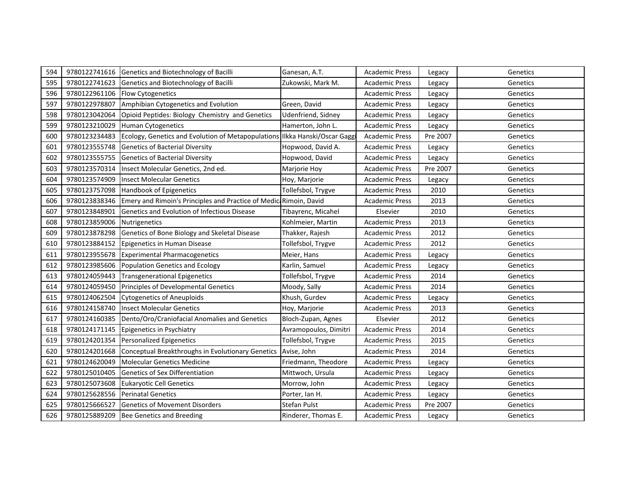| 594 | 9780122741616 | Genetics and Biotechnology of Bacilli                                       | Ganesan, A.T.         | <b>Academic Press</b> | Legacy   | Genetics |
|-----|---------------|-----------------------------------------------------------------------------|-----------------------|-----------------------|----------|----------|
| 595 | 9780122741623 | Genetics and Biotechnology of Bacilli                                       | Zukowski, Mark M.     | <b>Academic Press</b> | Legacy   | Genetics |
| 596 | 9780122961106 | Flow Cytogenetics                                                           |                       | Academic Press        | Legacy   | Genetics |
| 597 | 9780122978807 | Amphibian Cytogenetics and Evolution                                        | Green, David          | <b>Academic Press</b> | Legacy   | Genetics |
| 598 | 9780123042064 | Opioid Peptides: Biology Chemistry and Genetics                             | Udenfriend, Sidney    | <b>Academic Press</b> | Legacy   | Genetics |
| 599 | 9780123210029 | <b>Human Cytogenetics</b>                                                   | Hamerton, John L.     | <b>Academic Press</b> | Legacy   | Genetics |
| 600 | 9780123234483 | Ecology, Genetics and Evolution of Metapopulations Ilkka Hanski/Oscar Gaggi |                       | <b>Academic Press</b> | Pre 2007 | Genetics |
| 601 | 9780123555748 | <b>Genetics of Bacterial Diversity</b>                                      | Hopwood, David A.     | <b>Academic Press</b> | Legacy   | Genetics |
| 602 | 9780123555755 | <b>Genetics of Bacterial Diversity</b>                                      | Hopwood, David        | <b>Academic Press</b> | Legacy   | Genetics |
| 603 | 9780123570314 | Insect Molecular Genetics, 2nd ed.                                          | Marjorie Hoy          | <b>Academic Press</b> | Pre 2007 | Genetics |
| 604 | 9780123574909 | <b>Insect Molecular Genetics</b>                                            | Hoy, Marjorie         | <b>Academic Press</b> | Legacy   | Genetics |
| 605 | 9780123757098 | Handbook of Epigenetics                                                     | Tollefsbol, Trygve    | <b>Academic Press</b> | 2010     | Genetics |
| 606 | 9780123838346 | Emery and Rimoin's Principles and Practice of Medici Rimoin, David          |                       | <b>Academic Press</b> | 2013     | Genetics |
| 607 | 9780123848901 | Genetics and Evolution of Infectious Disease                                | Tibayrenc, Micahel    | Elsevier              | 2010     | Genetics |
| 608 | 9780123859006 | Nutrigenetics                                                               | Kohlmeier, Martin     | <b>Academic Press</b> | 2013     | Genetics |
| 609 | 9780123878298 | Genetics of Bone Biology and Skeletal Disease                               | Thakker, Rajesh       | <b>Academic Press</b> | 2012     | Genetics |
| 610 | 9780123884152 | Epigenetics in Human Disease                                                | Tollefsbol, Trygve    | <b>Academic Press</b> | 2012     | Genetics |
| 611 | 9780123955678 | <b>Experimental Pharmacogenetics</b>                                        | Meier, Hans           | <b>Academic Press</b> | Legacy   | Genetics |
| 612 | 9780123985606 | Population Genetics and Ecology                                             | Karlin, Samuel        | <b>Academic Press</b> | Legacy   | Genetics |
| 613 | 9780124059443 | <b>Transgenerational Epigenetics</b>                                        | Tollefsbol, Trygve    | <b>Academic Press</b> | 2014     | Genetics |
| 614 | 9780124059450 | Principles of Developmental Genetics                                        | Moody, Sally          | <b>Academic Press</b> | 2014     | Genetics |
| 615 | 9780124062504 | <b>Cytogenetics of Aneuploids</b>                                           | Khush, Gurdev         | <b>Academic Press</b> | Legacy   | Genetics |
| 616 | 9780124158740 | <b>Insect Molecular Genetics</b>                                            | Hoy, Marjorie         | Academic Press        | 2013     | Genetics |
| 617 | 9780124160385 | Dento/Oro/Craniofacial Anomalies and Genetics                               | Bloch-Zupan, Agnes    | Elsevier              | 2012     | Genetics |
| 618 | 9780124171145 | Epigenetics in Psychiatry                                                   | Avramopoulos, Dimitri | <b>Academic Press</b> | 2014     | Genetics |
| 619 | 9780124201354 | <b>Personalized Epigenetics</b>                                             | Tollefsbol, Trygve    | <b>Academic Press</b> | 2015     | Genetics |
| 620 | 9780124201668 | Conceptual Breakthroughs in Evolutionary Genetics                           | Avise, John           | <b>Academic Press</b> | 2014     | Genetics |
| 621 | 9780124620049 | <b>Molecular Genetics Medicine</b>                                          | Friedmann, Theodore   | <b>Academic Press</b> | Legacy   | Genetics |
| 622 | 9780125010405 | Genetics of Sex Differentiation                                             | Mittwoch, Ursula      | <b>Academic Press</b> | Legacy   | Genetics |
| 623 | 9780125073608 | <b>Eukaryotic Cell Genetics</b>                                             | Morrow, John          | <b>Academic Press</b> | Legacy   | Genetics |
| 624 | 9780125628556 | <b>Perinatal Genetics</b>                                                   | Porter, Ian H.        | <b>Academic Press</b> | Legacy   | Genetics |
| 625 | 9780125666527 | <b>Genetics of Movement Disorders</b>                                       | <b>Stefan Pulst</b>   | <b>Academic Press</b> | Pre 2007 | Genetics |
| 626 | 9780125889209 | Bee Genetics and Breeding                                                   | Rinderer, Thomas E.   | <b>Academic Press</b> | Legacy   | Genetics |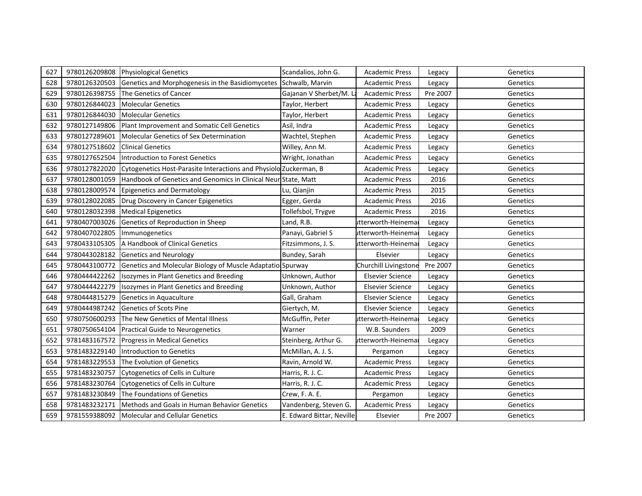| 627 | 9780126209808 | <b>Physiological Genetics</b>                                     | Scandalios, John G.       | <b>Academic Press</b>   | Legacy   | Genetics |
|-----|---------------|-------------------------------------------------------------------|---------------------------|-------------------------|----------|----------|
| 628 | 9780126320503 | Genetics and Morphogenesis in the Basidiomycetes                  | Schwalb, Marvin           | <b>Academic Press</b>   | Legacy   | Genetics |
| 629 | 9780126398755 | The Genetics of Cancer                                            | Gajanan V Sherbet/M. L    | <b>Academic Press</b>   | Pre 2007 | Genetics |
| 630 | 9780126844023 | <b>Molecular Genetics</b>                                         | Taylor, Herbert           | <b>Academic Press</b>   | Legacy   | Genetics |
| 631 | 9780126844030 | <b>Molecular Genetics</b>                                         | Taylor, Herbert           | <b>Academic Press</b>   | Legacy   | Genetics |
| 632 | 9780127149806 | Plant Improvement and Somatic Cell Genetics                       | Asil, Indra               | <b>Academic Press</b>   | Legacy   | Genetics |
| 633 | 9780127289601 | Molecular Genetics of Sex Determination                           | Wachtel, Stephen          | <b>Academic Press</b>   | Legacy   | Genetics |
| 634 | 9780127518602 | <b>Clinical Genetics</b>                                          | Willey, Ann M.            | <b>Academic Press</b>   | Legacy   | Genetics |
| 635 | 9780127652504 | Introduction to Forest Genetics                                   | Wright, Jonathan          | <b>Academic Press</b>   | Legacy   | Genetics |
| 636 | 9780127822020 | Cytogenetics Host-Parasite Interactions and Physiolo Zuckerman, B |                           | Academic Press          | Legacy   | Genetics |
| 637 | 9780128001059 | Handbook of Genetics and Genomics in Clinical Neur State, Matt    |                           | <b>Academic Press</b>   | 2016     | Genetics |
| 638 | 9780128009574 | <b>Epigenetics and Dermatology</b>                                | Lu, Qianjin               | <b>Academic Press</b>   | 2015     | Genetics |
| 639 | 9780128022085 | Drug Discovery in Cancer Epigenetics                              | Egger, Gerda              | <b>Academic Press</b>   | 2016     | Genetics |
| 640 | 9780128032398 | <b>Medical Epigenetics</b>                                        | Tollefsbol, Trygve        | <b>Academic Press</b>   | 2016     | Genetics |
| 641 | 9780407003026 | Genetics of Reproduction in Sheep                                 | Land, R.B.                | utterworth-Heinema      | Legacy   | Genetics |
| 642 | 9780407022805 | Immunogenetics                                                    | Panayi, Gabriel S         | utterworth-Heinema      | Legacy   | Genetics |
| 643 | 9780433105305 | A Handbook of Clinical Genetics                                   | Fitzsimmons, J. S.        | utterworth-Heinema      | Legacy   | Genetics |
| 644 | 9780443028182 | <b>Genetics and Neurology</b>                                     | Bundey, Sarah             | Elsevier                | Legacy   | Genetics |
| 645 | 9780443100772 | Genetics and Molecular Biology of Muscle Adaptatio Spurway        |                           | Churchill Livingstone   | Pre 2007 | Genetics |
| 646 | 9780444422262 | Isozymes in Plant Genetics and Breeding                           | Unknown, Author           | <b>Elsevier Science</b> | Legacy   | Genetics |
| 647 | 9780444422279 | Isozymes in Plant Genetics and Breeding                           | Unknown, Author           | <b>Elsevier Science</b> | Legacy   | Genetics |
| 648 | 9780444815279 | Genetics in Aquaculture                                           | Gall, Graham              | <b>Elsevier Science</b> | Legacy   | Genetics |
| 649 | 9780444987242 | <b>Genetics of Scots Pine</b>                                     | Giertych, M.              | <b>Elsevier Science</b> | Legacy   | Genetics |
| 650 | 9780750600293 | The New Genetics of Mental Illness                                | McGuffin, Peter           | utterworth-Heinema      | Legacy   | Genetics |
| 651 | 9780750654104 | <b>Practical Guide to Neurogenetics</b>                           | Warner                    | W.B. Saunders           | 2009     | Genetics |
| 652 | 9781483167572 | <b>Progress in Medical Genetics</b>                               | Steinberg, Arthur G.      | utterworth-Heinema      | Legacy   | Genetics |
| 653 | 9781483229140 | Introduction to Genetics                                          | McMillan, A. J. S.        | Pergamon                | Legacy   | Genetics |
| 654 | 9781483229553 | The Evolution of Genetics                                         | Ravin, Arnold W.          | <b>Academic Press</b>   | Legacy   | Genetics |
| 655 | 9781483230757 | Cytogenetics of Cells in Culture                                  | Harris, R. J. C.          | <b>Academic Press</b>   | Legacy   | Genetics |
| 656 | 9781483230764 | Cytogenetics of Cells in Culture                                  | Harris, R. J. C.          | <b>Academic Press</b>   | Legacy   | Genetics |
| 657 | 9781483230849 | The Foundations of Genetics                                       | Crew, F. A. E.            | Pergamon                | Legacy   | Genetics |
| 658 | 9781483232171 | Methods and Goals in Human Behavior Genetics                      | Vandenberg, Steven G.     | <b>Academic Press</b>   | Legacy   | Genetics |
| 659 |               | 9781559388092 Molecular and Cellular Genetics                     | E. Edward Bittar, Neville | Elsevier                | Pre 2007 | Genetics |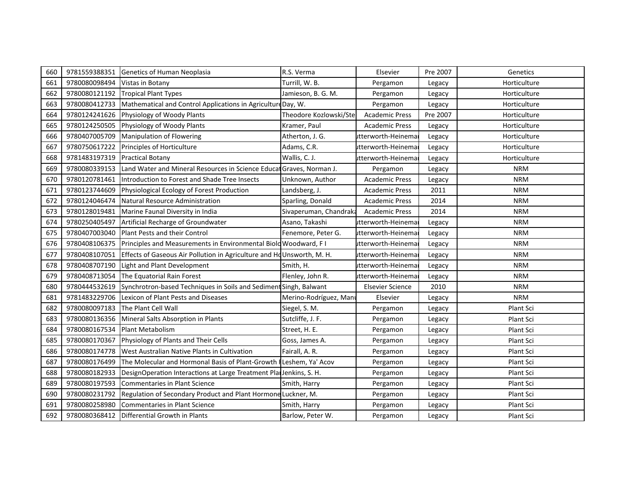| 660 | 9781559388351 | Genetics of Human Neoplasia                                           | R.S. Verma             | Elsevier                | Pre 2007 | Genetics     |
|-----|---------------|-----------------------------------------------------------------------|------------------------|-------------------------|----------|--------------|
| 661 | 9780080098494 | Vistas in Botany                                                      | Turrill, W. B.         | Pergamon                | Legacy   | Horticulture |
| 662 | 9780080121192 | <b>Tropical Plant Types</b>                                           | Jamieson, B. G. M.     | Pergamon                | Legacy   | Horticulture |
| 663 | 9780080412733 | Mathematical and Control Applications in Agriculture Day, W.          |                        | Pergamon                | Legacy   | Horticulture |
| 664 | 9780124241626 | Physiology of Woody Plants                                            | Theodore Kozlowski/Ste | <b>Academic Press</b>   | Pre 2007 | Horticulture |
| 665 | 9780124250505 | Physiology of Woody Plants                                            | Kramer, Paul           | <b>Academic Press</b>   | Legacy   | Horticulture |
| 666 | 9780407005709 | Manipulation of Flowering                                             | Atherton, J. G.        | itterworth-Heinema      | Legacy   | Horticulture |
| 667 | 9780750617222 | Principles of Horticulture                                            | Adams, C.R.            | utterworth-Heinema      | Legacy   | Horticulture |
| 668 | 9781483197319 | <b>Practical Botany</b>                                               | Wallis, C. J.          | itterworth-Heinema      | Legacy   | Horticulture |
| 669 | 9780080339153 | Land Water and Mineral Resources in Science Educat Graves, Norman J.  |                        | Pergamon                | Legacy   | <b>NRM</b>   |
| 670 | 9780120781461 | Introduction to Forest and Shade Tree Insects                         | Unknown, Author        | <b>Academic Press</b>   | Legacy   | <b>NRM</b>   |
| 671 | 9780123744609 | Physiological Ecology of Forest Production                            | Landsberg, J.          | <b>Academic Press</b>   | 2011     | <b>NRM</b>   |
| 672 | 9780124046474 | Natural Resource Administration                                       | Sparling, Donald       | <b>Academic Press</b>   | 2014     | <b>NRM</b>   |
| 673 | 9780128019481 | Marine Faunal Diversity in India                                      | Sivaperuman, Chandraka | <b>Academic Press</b>   | 2014     | <b>NRM</b>   |
| 674 | 9780250405497 | Artificial Recharge of Groundwater                                    | Asano, Takashi         | utterworth-Heinema      | Legacy   | <b>NRM</b>   |
| 675 | 9780407003040 | Plant Pests and their Control                                         | Fenemore, Peter G.     | itterworth-Heinema      | Legacy   | <b>NRM</b>   |
| 676 | 9780408106375 | Principles and Measurements in Environmental Biold Woodward, F I      |                        | utterworth-Heinema      | Legacy   | <b>NRM</b>   |
| 677 | 9780408107051 | Effects of Gaseous Air Pollution in Agriculture and HoUnsworth, M. H. |                        | itterworth-Heinema      | Legacy   | <b>NRM</b>   |
| 678 | 9780408707190 | Light and Plant Development                                           | Smith, H.              | utterworth-Heinema      | Legacy   | <b>NRM</b>   |
| 679 | 9780408713054 | The Equatorial Rain Forest                                            | Flenley, John R.       | utterworth-Heinemar     | Legacy   | <b>NRM</b>   |
| 680 | 9780444532619 | Synchrotron-based Techniques in Soils and Sediment Singh, Balwant     |                        | <b>Elsevier Science</b> | 2010     | <b>NRM</b>   |
| 681 | 9781483229706 | Lexicon of Plant Pests and Diseases                                   | Merino-Rodríguez, Mani | Elsevier                | Legacy   | <b>NRM</b>   |
| 682 | 9780080097183 | The Plant Cell Wall                                                   | Siegel, S. M.          | Pergamon                | Legacy   | Plant Sci    |
| 683 | 9780080136356 | Mineral Salts Absorption in Plants                                    | Sutcliffe, J. F.       | Pergamon                | Legacy   | Plant Sci    |
| 684 | 9780080167534 | <b>Plant Metabolism</b>                                               | Street, H. E.          | Pergamon                | Legacy   | Plant Sci    |
| 685 | 9780080170367 | Physiology of Plants and Their Cells                                  | Goss, James A.         | Pergamon                | Legacy   | Plant Sci    |
| 686 | 9780080174778 | West Australian Native Plants in Cultivation                          | Fairall, A. R.         | Pergamon                | Legacy   | Plant Sci    |
| 687 | 9780080176499 | The Molecular and Hormonal Basis of Plant-Growth I Leshem, Ya' Acov   |                        | Pergamon                | Legacy   | Plant Sci    |
| 688 | 9780080182933 | DesignOperation Interactions at Large Treatment PlanJenkins, S. H.    |                        | Pergamon                | Legacy   | Plant Sci    |
| 689 | 9780080197593 | <b>Commentaries in Plant Science</b>                                  | Smith, Harry           | Pergamon                | Legacy   | Plant Sci    |
| 690 | 9780080231792 | Regulation of Secondary Product and Plant Hormone Luckner, M.         |                        | Pergamon                | Legacy   | Plant Sci    |
| 691 | 9780080258980 | <b>Commentaries in Plant Science</b>                                  | Smith, Harry           | Pergamon                | Legacy   | Plant Sci    |
| 692 | 9780080368412 | Differential Growth in Plants                                         | Barlow, Peter W.       | Pergamon                | Legacy   | Plant Sci    |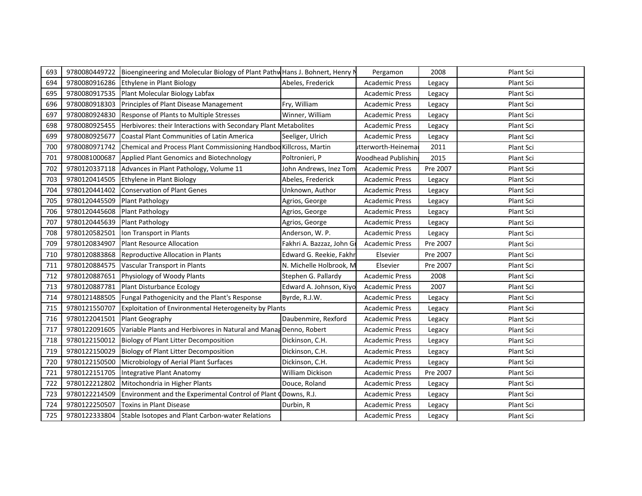| 693 | 9780080449722 | Bioengineering and Molecular Biology of Plant Pathw Hans J. Bohnert, Henry N |                           | Pergamon                  | 2008     | Plant Sci |
|-----|---------------|------------------------------------------------------------------------------|---------------------------|---------------------------|----------|-----------|
| 694 | 9780080916286 | Ethylene in Plant Biology                                                    | Abeles, Frederick         | <b>Academic Press</b>     | Legacy   | Plant Sci |
| 695 | 9780080917535 | Plant Molecular Biology Labfax                                               |                           | <b>Academic Press</b>     | Legacy   | Plant Sci |
| 696 | 9780080918303 | Principles of Plant Disease Management                                       | Fry, William              | <b>Academic Press</b>     | Legacy   | Plant Sci |
| 697 | 9780080924830 | <b>Response of Plants to Multiple Stresses</b>                               | Winner, William           | <b>Academic Press</b>     | Legacy   | Plant Sci |
| 698 | 9780080925455 | Herbivores: their Interactions with Secondary Plant Metabolites              |                           | <b>Academic Press</b>     | Legacy   | Plant Sci |
| 699 | 9780080925677 | Coastal Plant Communities of Latin America                                   | Seeliger, Ulrich          | <b>Academic Press</b>     | Legacy   | Plant Sci |
| 700 | 9780080971742 | Chemical and Process Plant Commissioning Handbod Killcross, Martin           |                           | utterworth-Heinema        | 2011     | Plant Sci |
| 701 | 9780081000687 | Applied Plant Genomics and Biotechnology                                     | Poltronieri, P            | <b>Noodhead Publishin</b> | 2015     | Plant Sci |
| 702 | 9780120337118 | Advances in Plant Pathology, Volume 11                                       | John Andrews, Inez Tom    | <b>Academic Press</b>     | Pre 2007 | Plant Sci |
| 703 | 9780120414505 | Ethylene in Plant Biology                                                    | Abeles, Frederick         | <b>Academic Press</b>     | Legacy   | Plant Sci |
| 704 | 9780120441402 | <b>Conservation of Plant Genes</b>                                           | Unknown, Author           | <b>Academic Press</b>     | Legacy   | Plant Sci |
| 705 | 9780120445509 | <b>Plant Pathology</b>                                                       | Agrios, George            | <b>Academic Press</b>     | Legacy   | Plant Sci |
| 706 | 9780120445608 | <b>Plant Pathology</b>                                                       | Agrios, George            | <b>Academic Press</b>     | Legacy   | Plant Sci |
| 707 | 9780120445639 | <b>Plant Pathology</b>                                                       | Agrios, George            | <b>Academic Press</b>     | Legacy   | Plant Sci |
| 708 | 9780120582501 | Ion Transport in Plants                                                      | Anderson, W. P.           | <b>Academic Press</b>     | Legacy   | Plant Sci |
| 709 | 9780120834907 | <b>Plant Resource Allocation</b>                                             | Fakhri A. Bazzaz, John Gr | <b>Academic Press</b>     | Pre 2007 | Plant Sci |
| 710 | 9780120883868 | Reproductive Allocation in Plants                                            | Edward G. Reekie, Fakhr   | Elsevier                  | Pre 2007 | Plant Sci |
| 711 | 9780120884575 | Vascular Transport in Plants                                                 | N. Michelle Holbrook, M   | Elsevier                  | Pre 2007 | Plant Sci |
| 712 | 9780120887651 | Physiology of Woody Plants                                                   | Stephen G. Pallardy       | <b>Academic Press</b>     | 2008     | Plant Sci |
| 713 | 9780120887781 | Plant Disturbance Ecology                                                    | Edward A. Johnson, Kiyo   | <b>Academic Press</b>     | 2007     | Plant Sci |
| 714 | 9780121488505 | Fungal Pathogenicity and the Plant's Response                                | Byrde, R.J.W.             | <b>Academic Press</b>     | Legacy   | Plant Sci |
| 715 | 9780121550707 | Exploitation of Environmental Heterogeneity by Plants                        |                           | <b>Academic Press</b>     | Legacy   | Plant Sci |
| 716 | 9780122041501 | Plant Geography                                                              | Daubenmire, Rexford       | <b>Academic Press</b>     | Legacy   | Plant Sci |
| 717 | 9780122091605 | Variable Plants and Herbivores in Natural and Manag Denno, Robert            |                           | <b>Academic Press</b>     | Legacy   | Plant Sci |
| 718 | 9780122150012 | <b>Biology of Plant Litter Decomposition</b>                                 | Dickinson, C.H.           | <b>Academic Press</b>     | Legacy   | Plant Sci |
| 719 | 9780122150029 | <b>Biology of Plant Litter Decomposition</b>                                 | Dickinson, C.H.           | <b>Academic Press</b>     | Legacy   | Plant Sci |
| 720 | 9780122150500 | Microbiology of Aerial Plant Surfaces                                        | Dickinson, C.H.           | <b>Academic Press</b>     | Legacy   | Plant Sci |
| 721 | 9780122151705 | Integrative Plant Anatomy                                                    | <b>William Dickison</b>   | <b>Academic Press</b>     | Pre 2007 | Plant Sci |
| 722 | 9780122212802 | Mitochondria in Higher Plants                                                | Douce, Roland             | <b>Academic Press</b>     | Legacy   | Plant Sci |
| 723 | 9780122214509 | Environment and the Experimental Control of Plant (Downs, R.J.               |                           | <b>Academic Press</b>     | Legacy   | Plant Sci |
| 724 | 9780122250507 | Toxins in Plant Disease                                                      | Durbin, R                 | <b>Academic Press</b>     | Legacy   | Plant Sci |
| 725 | 9780122333804 | Stable Isotopes and Plant Carbon-water Relations                             |                           | <b>Academic Press</b>     | Legacy   | Plant Sci |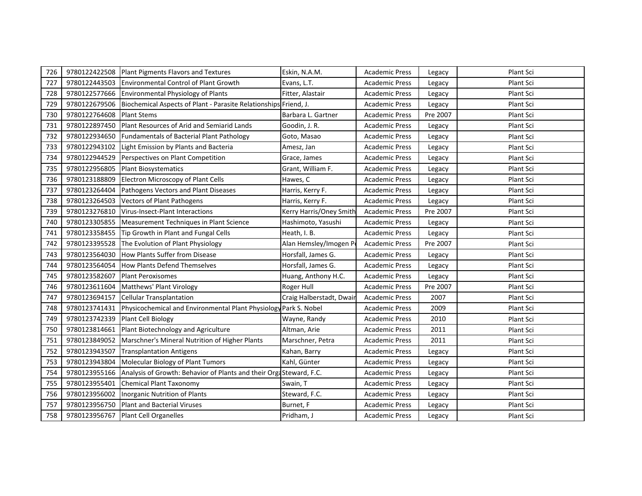| 726 | 9780122422508 | Plant Pigments Flavors and Textures                                 | Eskin, N.A.M.            | <b>Academic Press</b> | Legacy   | Plant Sci |
|-----|---------------|---------------------------------------------------------------------|--------------------------|-----------------------|----------|-----------|
| 727 | 9780122443503 | <b>Environmental Control of Plant Growth</b>                        | Evans, L.T.              | <b>Academic Press</b> | Legacy   | Plant Sci |
| 728 | 9780122577666 | Environmental Physiology of Plants                                  | Fitter, Alastair         | <b>Academic Press</b> | Legacy   | Plant Sci |
| 729 | 9780122679506 | Biochemical Aspects of Plant - Parasite Relationships Friend, J.    |                          | <b>Academic Press</b> | Legacy   | Plant Sci |
| 730 | 9780122764608 | <b>Plant Stems</b>                                                  | Barbara L. Gartner       | <b>Academic Press</b> | Pre 2007 | Plant Sci |
| 731 | 9780122897450 | Plant Resources of Arid and Semiarid Lands                          | Goodin, J. R.            | <b>Academic Press</b> | Legacy   | Plant Sci |
| 732 | 9780122934650 | Fundamentals of Bacterial Plant Pathology                           | Goto, Masao              | <b>Academic Press</b> | Legacy   | Plant Sci |
| 733 | 9780122943102 | Light Emission by Plants and Bacteria                               | Amesz, Jan               | <b>Academic Press</b> | Legacy   | Plant Sci |
| 734 | 9780122944529 | Perspectives on Plant Competition                                   | Grace, James             | <b>Academic Press</b> | Legacy   | Plant Sci |
| 735 | 9780122956805 | <b>Plant Biosystematics</b>                                         | Grant, William F.        | <b>Academic Press</b> | Legacy   | Plant Sci |
| 736 | 9780123188809 | <b>Electron Microscopy of Plant Cells</b>                           | Hawes, C                 | <b>Academic Press</b> | Legacy   | Plant Sci |
| 737 | 9780123264404 | Pathogens Vectors and Plant Diseases                                | Harris, Kerry F.         | <b>Academic Press</b> | Legacy   | Plant Sci |
| 738 | 9780123264503 | <b>Vectors of Plant Pathogens</b>                                   | Harris, Kerry F.         | <b>Academic Press</b> | Legacy   | Plant Sci |
| 739 | 9780123276810 | Virus-Insect-Plant Interactions                                     | Kerry Harris/Oney Smith  | <b>Academic Press</b> | Pre 2007 | Plant Sci |
| 740 | 9780123305855 | Measurement Techniques in Plant Science                             | Hashimoto, Yasushi       | <b>Academic Press</b> | Legacy   | Plant Sci |
| 741 | 9780123358455 | Tip Growth in Plant and Fungal Cells                                | Heath, I. B.             | <b>Academic Press</b> | Legacy   | Plant Sci |
| 742 | 9780123395528 | The Evolution of Plant Physiology                                   | Alan Hemsley/Imogen Po   | <b>Academic Press</b> | Pre 2007 | Plant Sci |
| 743 | 9780123564030 | <b>How Plants Suffer from Disease</b>                               | Horsfall, James G.       | <b>Academic Press</b> | Legacy   | Plant Sci |
| 744 | 9780123564054 | <b>How Plants Defend Themselves</b>                                 | Horsfall, James G.       | <b>Academic Press</b> | Legacy   | Plant Sci |
| 745 | 9780123582607 | <b>Plant Peroxisomes</b>                                            | Huang, Anthony H.C.      | <b>Academic Press</b> | Legacy   | Plant Sci |
| 746 | 9780123611604 | Matthews' Plant Virology                                            | Roger Hull               | <b>Academic Press</b> | Pre 2007 | Plant Sci |
| 747 | 9780123694157 | <b>Cellular Transplantation</b>                                     | Craig Halberstadt, Dwair | <b>Academic Press</b> | 2007     | Plant Sci |
| 748 | 9780123741431 | Physicochemical and Environmental Plant Physiology Park S. Nobel    |                          | <b>Academic Press</b> | 2009     | Plant Sci |
| 749 | 9780123742339 | Plant Cell Biology                                                  | Wayne, Randy             | <b>Academic Press</b> | 2010     | Plant Sci |
| 750 | 9780123814661 | Plant Biotechnology and Agriculture                                 | Altman, Arie             | <b>Academic Press</b> | 2011     | Plant Sci |
| 751 | 9780123849052 | Marschner's Mineral Nutrition of Higher Plants                      | Marschner, Petra         | <b>Academic Press</b> | 2011     | Plant Sci |
| 752 | 9780123943507 | <b>Transplantation Antigens</b>                                     | Kahan, Barry             | <b>Academic Press</b> | Legacy   | Plant Sci |
| 753 | 9780123943804 | Molecular Biology of Plant Tumors                                   | Kahl, Günter             | <b>Academic Press</b> | Legacy   | Plant Sci |
| 754 | 9780123955166 | Analysis of Growth: Behavior of Plants and their Orga Steward, F.C. |                          | <b>Academic Press</b> | Legacy   | Plant Sci |
| 755 | 9780123955401 | <b>Chemical Plant Taxonomy</b>                                      | Swain, T                 | <b>Academic Press</b> | Legacy   | Plant Sci |
| 756 | 9780123956002 | Inorganic Nutrition of Plants                                       | Steward, F.C.            | <b>Academic Press</b> | Legacy   | Plant Sci |
| 757 | 9780123956750 | <b>Plant and Bacterial Viruses</b>                                  | Burnet, F                | <b>Academic Press</b> | Legacy   | Plant Sci |
| 758 | 9780123956767 | <b>Plant Cell Organelles</b>                                        | Pridham, J               | Academic Press        | Legacy   | Plant Sci |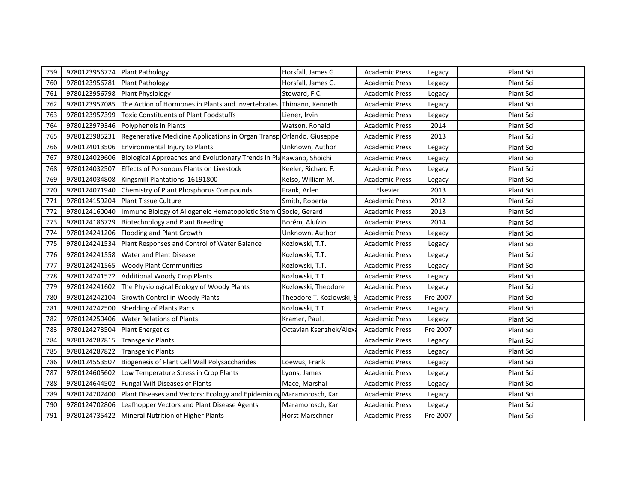| 759 | 9780123956774 | <b>Plant Pathology</b>                                                | Horsfall, James G.      | <b>Academic Press</b> | Legacy   | Plant Sci |
|-----|---------------|-----------------------------------------------------------------------|-------------------------|-----------------------|----------|-----------|
| 760 | 9780123956781 | Plant Pathology                                                       | Horsfall, James G.      | <b>Academic Press</b> | Legacy   | Plant Sci |
| 761 | 9780123956798 | <b>Plant Physiology</b>                                               | Steward, F.C.           | <b>Academic Press</b> | Legacy   | Plant Sci |
| 762 | 9780123957085 | The Action of Hormones in Plants and Invertebrates                    | Thimann, Kenneth        | <b>Academic Press</b> | Legacy   | Plant Sci |
| 763 | 9780123957399 | <b>Toxic Constituents of Plant Foodstuffs</b>                         | Liener, Irvin           | <b>Academic Press</b> | Legacy   | Plant Sci |
| 764 | 9780123979346 | Polyphenols in Plants                                                 | Watson, Ronald          | <b>Academic Press</b> | 2014     | Plant Sci |
| 765 | 9780123985231 | Regenerative Medicine Applications in Organ Transp Orlando, Giuseppe  |                         | <b>Academic Press</b> | 2013     | Plant Sci |
| 766 | 9780124013506 | Environmental Injury to Plants                                        | Unknown, Author         | <b>Academic Press</b> | Legacy   | Plant Sci |
| 767 | 9780124029606 | Biological Approaches and Evolutionary Trends in Pla Kawano, Shoichi  |                         | <b>Academic Press</b> | Legacy   | Plant Sci |
| 768 | 9780124032507 | <b>Effects of Poisonous Plants on Livestock</b>                       | Keeler, Richard F.      | <b>Academic Press</b> | Legacy   | Plant Sci |
| 769 | 9780124034808 | Kingsmill Plantations 16191800                                        | Kelso, William M.       | <b>Academic Press</b> | Legacy   | Plant Sci |
| 770 | 9780124071940 | <b>Chemistry of Plant Phosphorus Compounds</b>                        | Frank, Arlen            | Elsevier              | 2013     | Plant Sci |
| 771 | 9780124159204 | <b>Plant Tissue Culture</b>                                           | Smith, Roberta          | <b>Academic Press</b> | 2012     | Plant Sci |
| 772 | 9780124160040 | Immune Biology of Allogeneic Hematopoietic Stem OSocie, Gerard        |                         | <b>Academic Press</b> | 2013     | Plant Sci |
| 773 | 9780124186729 | <b>Biotechnology and Plant Breeding</b>                               | Borém, Aluízio          | <b>Academic Press</b> | 2014     | Plant Sci |
| 774 | 9780124241206 | Flooding and Plant Growth                                             | Unknown, Author         | <b>Academic Press</b> | Legacy   | Plant Sci |
| 775 | 9780124241534 | Plant Responses and Control of Water Balance                          | Kozlowski, T.T.         | <b>Academic Press</b> | Legacy   | Plant Sci |
| 776 | 9780124241558 | <b>Water and Plant Disease</b>                                        | Kozlowski, T.T.         | <b>Academic Press</b> | Legacy   | Plant Sci |
| 777 | 9780124241565 | <b>Woody Plant Communities</b>                                        | Kozlowski, T.T.         | <b>Academic Press</b> | Legacy   | Plant Sci |
| 778 | 9780124241572 | <b>Additional Woody Crop Plants</b>                                   | Kozlowski, T.T.         | <b>Academic Press</b> | Legacy   | Plant Sci |
| 779 | 9780124241602 | The Physiological Ecology of Woody Plants                             | Kozlowski, Theodore     | <b>Academic Press</b> | Legacy   | Plant Sci |
| 780 | 9780124242104 | Growth Control in Woody Plants                                        | Theodore T. Kozlowski,  | <b>Academic Press</b> | Pre 2007 | Plant Sci |
| 781 | 9780124242500 | <b>Shedding of Plants Parts</b>                                       | Kozlowski, T.T.         | <b>Academic Press</b> | Legacy   | Plant Sci |
| 782 | 9780124250406 | <b>Water Relations of Plants</b>                                      | Kramer, Paul J          | <b>Academic Press</b> | Legacy   | Plant Sci |
| 783 | 9780124273504 | <b>Plant Energetics</b>                                               | Octavian Ksenzhek/Alexa | <b>Academic Press</b> | Pre 2007 | Plant Sci |
| 784 | 9780124287815 | <b>Transgenic Plants</b>                                              |                         | <b>Academic Press</b> | Legacy   | Plant Sci |
| 785 | 9780124287822 | <b>Transgenic Plants</b>                                              |                         | <b>Academic Press</b> | Legacy   | Plant Sci |
| 786 | 9780124553507 | Biogenesis of Plant Cell Wall Polysaccharides                         | Loewus, Frank           | <b>Academic Press</b> | Legacy   | Plant Sci |
| 787 | 9780124605602 | Low Temperature Stress in Crop Plants                                 | Lyons, James            | <b>Academic Press</b> | Legacy   | Plant Sci |
| 788 | 9780124644502 | Fungal Wilt Diseases of Plants                                        | Mace, Marshal           | <b>Academic Press</b> | Legacy   | Plant Sci |
| 789 | 9780124702400 | Plant Diseases and Vectors: Ecology and Epidemiolog Maramorosch, Karl |                         | <b>Academic Press</b> | Legacy   | Plant Sci |
| 790 | 9780124702806 | Leafhopper Vectors and Plant Disease Agents                           | Maramorosch, Karl       | <b>Academic Press</b> | Legacy   | Plant Sci |
| 791 | 9780124735422 | Mineral Nutrition of Higher Plants                                    | <b>Horst Marschner</b>  | Academic Press        | Pre 2007 | Plant Sci |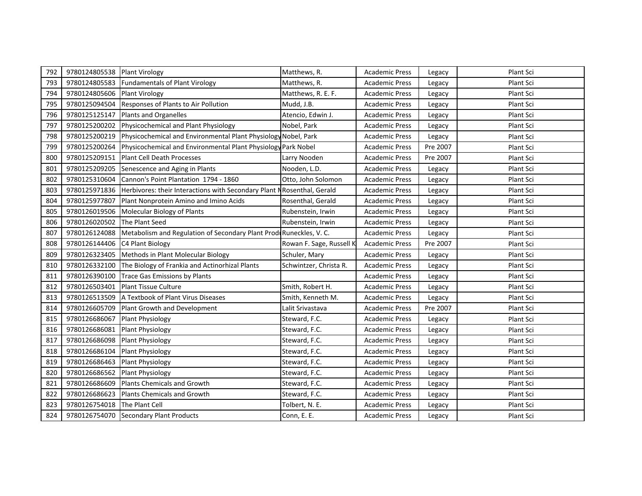| 792 | 9780124805538 | <b>Plant Virology</b>                                                   | Matthews, R.             | <b>Academic Press</b> | Legacy   | Plant Sci |
|-----|---------------|-------------------------------------------------------------------------|--------------------------|-----------------------|----------|-----------|
| 793 | 9780124805583 | <b>Fundamentals of Plant Virology</b>                                   | Matthews, R.             | <b>Academic Press</b> | Legacy   | Plant Sci |
| 794 | 9780124805606 | <b>Plant Virology</b>                                                   | Matthews, R. E. F.       | <b>Academic Press</b> | Legacy   | Plant Sci |
| 795 | 9780125094504 | Responses of Plants to Air Pollution                                    | Mudd, J.B.               | <b>Academic Press</b> | Legacy   | Plant Sci |
| 796 | 9780125125147 | Plants and Organelles                                                   | Atencio, Edwin J.        | <b>Academic Press</b> | Legacy   | Plant Sci |
| 797 | 9780125200202 | Physicochemical and Plant Physiology                                    | Nobel, Park              | <b>Academic Press</b> | Legacy   | Plant Sci |
| 798 | 9780125200219 | Physicochemical and Environmental Plant Physiology Nobel, Park          |                          | <b>Academic Press</b> | Legacy   | Plant Sci |
| 799 | 9780125200264 | Physicochemical and Environmental Plant Physiology Park Nobel           |                          | <b>Academic Press</b> | Pre 2007 | Plant Sci |
| 800 | 9780125209151 | Plant Cell Death Processes                                              | Larry Nooden             | <b>Academic Press</b> | Pre 2007 | Plant Sci |
| 801 | 9780125209205 | Senescence and Aging in Plants                                          | Nooden, L.D.             | <b>Academic Press</b> | Legacy   | Plant Sci |
| 802 | 9780125310604 | Cannon's Point Plantation 1794 - 1860                                   | Otto, John Solomon       | Academic Press        | Legacy   | Plant Sci |
| 803 | 9780125971836 | Herbivores: their Interactions with Secondary Plant N Rosenthal, Gerald |                          | <b>Academic Press</b> | Legacy   | Plant Sci |
| 804 | 9780125977807 | Plant Nonprotein Amino and Imino Acids                                  | Rosenthal, Gerald        | <b>Academic Press</b> | Legacy   | Plant Sci |
| 805 | 9780126019506 | Molecular Biology of Plants                                             | Rubenstein, Irwin        | <b>Academic Press</b> | Legacy   | Plant Sci |
| 806 | 9780126020502 | The Plant Seed                                                          | Rubenstein, Irwin        | <b>Academic Press</b> | Legacy   | Plant Sci |
| 807 | 9780126124088 | Metabolism and Regulation of Secondary Plant ProdeRuneckles, V.C.       |                          | <b>Academic Press</b> | Legacy   | Plant Sci |
| 808 | 9780126144406 | C4 Plant Biology                                                        | Rowan F. Sage, Russell K | <b>Academic Press</b> | Pre 2007 | Plant Sci |
| 809 | 9780126323405 | Methods in Plant Molecular Biology                                      | Schuler, Mary            | <b>Academic Press</b> | Legacy   | Plant Sci |
| 810 | 9780126332100 | The Biology of Frankia and Actinorhizal Plants                          | Schwintzer, Christa R.   | <b>Academic Press</b> | Legacy   | Plant Sci |
| 811 | 9780126390100 | <b>Trace Gas Emissions by Plants</b>                                    |                          | <b>Academic Press</b> | Legacy   | Plant Sci |
| 812 | 9780126503401 | <b>Plant Tissue Culture</b>                                             | Smith, Robert H.         | Academic Press        | Legacy   | Plant Sci |
| 813 | 9780126513509 | A Textbook of Plant Virus Diseases                                      | Smith, Kenneth M.        | <b>Academic Press</b> | Legacy   | Plant Sci |
| 814 | 9780126605709 | Plant Growth and Development                                            | Lalit Srivastava         | Academic Press        | Pre 2007 | Plant Sci |
| 815 | 9780126686067 | Plant Physiology                                                        | Steward, F.C.            | <b>Academic Press</b> | Legacy   | Plant Sci |
| 816 | 9780126686081 | <b>Plant Physiology</b>                                                 | Steward, F.C.            | <b>Academic Press</b> | Legacy   | Plant Sci |
| 817 | 9780126686098 | <b>Plant Physiology</b>                                                 | Steward, F.C.            | <b>Academic Press</b> | Legacy   | Plant Sci |
| 818 | 9780126686104 | Plant Physiology                                                        | Steward, F.C.            | <b>Academic Press</b> | Legacy   | Plant Sci |
| 819 | 9780126686463 | <b>Plant Physiology</b>                                                 | Steward, F.C.            | <b>Academic Press</b> | Legacy   | Plant Sci |
| 820 | 9780126686562 | <b>Plant Physiology</b>                                                 | Steward, F.C.            | <b>Academic Press</b> | Legacy   | Plant Sci |
| 821 | 9780126686609 | Plants Chemicals and Growth                                             | Steward, F.C.            | <b>Academic Press</b> | Legacy   | Plant Sci |
| 822 | 9780126686623 | Plants Chemicals and Growth                                             | Steward, F.C.            | <b>Academic Press</b> | Legacy   | Plant Sci |
| 823 | 9780126754018 | The Plant Cell                                                          | Tolbert, N. E.           | <b>Academic Press</b> | Legacy   | Plant Sci |
| 824 |               | 9780126754070 Secondary Plant Products                                  | Conn, E. E.              | <b>Academic Press</b> | Legacy   | Plant Sci |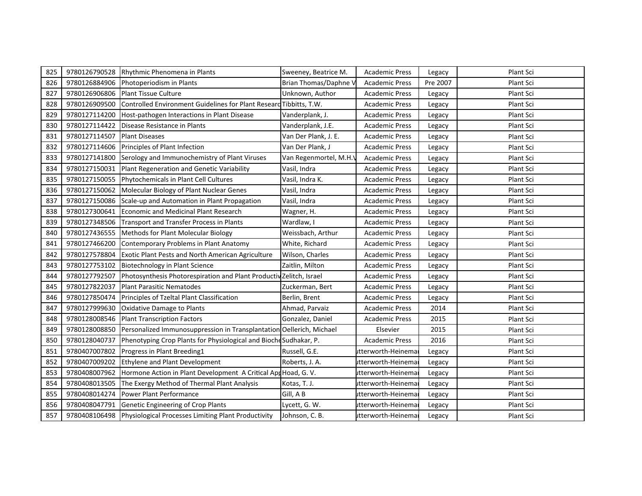| 825 | 9780126790528 | Rhythmic Phenomena in Plants                                         | Sweeney, Beatrice M.   | <b>Academic Press</b> | Legacy   | Plant Sci |
|-----|---------------|----------------------------------------------------------------------|------------------------|-----------------------|----------|-----------|
| 826 | 9780126884906 | Photoperiodism in Plants                                             | Brian Thomas/Daphne \  | <b>Academic Press</b> | Pre 2007 | Plant Sci |
| 827 | 9780126906806 | <b>Plant Tissue Culture</b>                                          | Unknown, Author        | <b>Academic Press</b> | Legacy   | Plant Sci |
| 828 | 9780126909500 | Controlled Environment Guidelines for Plant Researd Tibbitts, T.W.   |                        | <b>Academic Press</b> | Legacy   | Plant Sci |
| 829 | 9780127114200 | Host-pathogen Interactions in Plant Disease                          | Vanderplank, J.        | <b>Academic Press</b> | Legacy   | Plant Sci |
| 830 | 9780127114422 | Disease Resistance in Plants                                         | Vanderplank, J.E.      | <b>Academic Press</b> | Legacy   | Plant Sci |
| 831 | 9780127114507 | <b>Plant Diseases</b>                                                | Van Der Plank, J. E.   | <b>Academic Press</b> | Legacy   | Plant Sci |
| 832 | 9780127114606 | Principles of Plant Infection                                        | Van Der Plank, J       | <b>Academic Press</b> | Legacy   | Plant Sci |
| 833 | 9780127141800 | Serology and Immunochemistry of Plant Viruses                        | Van Regenmortel, M.H.V | <b>Academic Press</b> | Legacy   | Plant Sci |
| 834 | 9780127150031 | Plant Regeneration and Genetic Variability                           | Vasil, Indra           | <b>Academic Press</b> | Legacy   | Plant Sci |
| 835 | 9780127150055 | Phytochemicals in Plant Cell Cultures                                | Vasil, Indra K.        | <b>Academic Press</b> | Legacy   | Plant Sci |
| 836 | 9780127150062 | Molecular Biology of Plant Nuclear Genes                             | Vasil, Indra           | <b>Academic Press</b> | Legacy   | Plant Sci |
| 837 | 9780127150086 | Scale-up and Automation in Plant Propagation                         | Vasil, Indra           | <b>Academic Press</b> | Legacy   | Plant Sci |
| 838 | 9780127300641 | Economic and Medicinal Plant Research                                | Wagner, H.             | <b>Academic Press</b> | Legacy   | Plant Sci |
| 839 | 9780127348506 | Transport and Transfer Process in Plants                             | Wardlaw, I             | <b>Academic Press</b> | Legacy   | Plant Sci |
| 840 | 9780127436555 | Methods for Plant Molecular Biology                                  | Weissbach, Arthur      | <b>Academic Press</b> | Legacy   | Plant Sci |
| 841 | 9780127466200 | Contemporary Problems in Plant Anatomy                               | White, Richard         | <b>Academic Press</b> | Legacy   | Plant Sci |
| 842 | 9780127578804 | <b>Exotic Plant Pests and North American Agriculture</b>             | Wilson, Charles        | <b>Academic Press</b> | Legacy   | Plant Sci |
| 843 | 9780127753102 | <b>Biotechnology in Plant Science</b>                                | Zaitlin, Milton        | <b>Academic Press</b> | Legacy   | Plant Sci |
| 844 | 9780127792507 | Photosynthesis Photorespiration and Plant Productiv Zelitch, Israel  |                        | <b>Academic Press</b> | Legacy   | Plant Sci |
| 845 | 9780127822037 | <b>Plant Parasitic Nematodes</b>                                     | Zuckerman, Bert        | <b>Academic Press</b> | Legacy   | Plant Sci |
| 846 | 9780127850474 | Principles of Tzeltal Plant Classification                           | Berlin, Brent          | <b>Academic Press</b> | Legacy   | Plant Sci |
| 847 | 9780127999630 | <b>Oxidative Damage to Plants</b>                                    | Ahmad, Parvaiz         | <b>Academic Press</b> | 2014     | Plant Sci |
| 848 | 9780128008546 | <b>Plant Transcription Factors</b>                                   | Gonzalez, Daniel       | <b>Academic Press</b> | 2015     | Plant Sci |
| 849 | 9780128008850 | Personalized Immunosuppression in Transplantation Oellerich, Michael |                        | Elsevier              | 2015     | Plant Sci |
| 850 | 9780128040737 | Phenotyping Crop Plants for Physiological and Bioche Sudhakar, P.    |                        | <b>Academic Press</b> | 2016     | Plant Sci |
| 851 | 9780407007802 | Progress in Plant Breeding1                                          | Russell, G.E.          | utterworth-Heinema    | Legacy   | Plant Sci |
| 852 | 9780407009202 | Ethylene and Plant Development                                       | Roberts, J. A.         | utterworth-Heinema    | Legacy   | Plant Sci |
| 853 | 9780408007962 | Hormone Action in Plant Development A Critical App Hoad, G. V.       |                        | utterworth-Heinema    | Legacy   | Plant Sci |
| 854 | 9780408013505 | The Exergy Method of Thermal Plant Analysis                          | Kotas, T. J.           | itterworth-Heinema    | Legacy   | Plant Sci |
| 855 | 9780408014274 | Power Plant Performance                                              | Gill, A B              | utterworth-Heinemai   | Legacy   | Plant Sci |
| 856 | 9780408047791 | Genetic Engineering of Crop Plants                                   | Lycett, G. W.          | itterworth-Heinema    | Legacy   | Plant Sci |
| 857 | 9780408106498 | Physiological Processes Limiting Plant Productivity                  | Johnson, C. B.         | utterworth-Heinemal   | Legacy   | Plant Sci |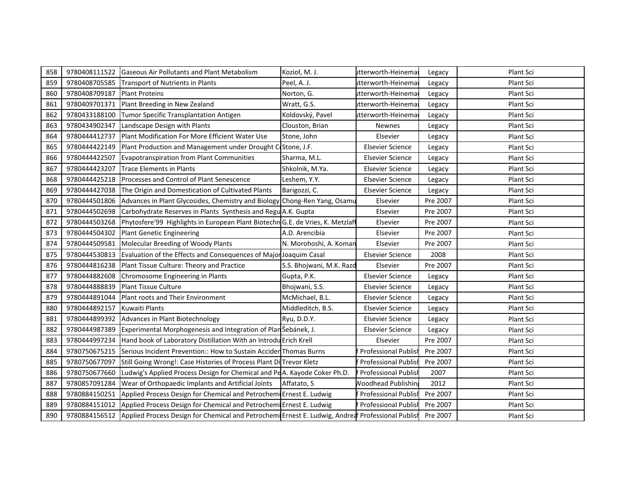| 858 | 9780408111522 | Gaseous Air Pollutants and Plant Metabolism                                                                     | Kozioł, M. J.            | itterworth-Heinemai         | Legacy   | Plant Sci |
|-----|---------------|-----------------------------------------------------------------------------------------------------------------|--------------------------|-----------------------------|----------|-----------|
| 859 | 9780408705585 | Transport of Nutrients in Plants                                                                                | Peel, A. J.              | itterworth-Heinema          | Legacy   | Plant Sci |
| 860 | 9780408709187 | <b>Plant Proteins</b>                                                                                           | Norton, G.               | itterworth-Heinema          | Legacy   | Plant Sci |
| 861 | 9780409701371 | Plant Breeding in New Zealand                                                                                   | Wratt, G.S.              | itterworth-Heinema          | Legacy   | Plant Sci |
| 862 | 9780433188100 | Tumor Specific Transplantation Antigen                                                                          | Koldovský, Pavel         | utterworth-Heinema          | Legacy   | Plant Sci |
| 863 | 9780434902347 | Landscape Design with Plants                                                                                    | Clouston, Brian          | <b>Newnes</b>               | Legacy   | Plant Sci |
| 864 | 9780444412737 | Plant Modification For More Efficient Water Use                                                                 | Stone, John              | Elsevier                    | Legacy   | Plant Sci |
| 865 | 9780444422149 | Plant Production and Management under Drought C Stone, J.F.                                                     |                          | <b>Elsevier Science</b>     | Legacy   | Plant Sci |
| 866 | 9780444422507 | <b>Evapotranspiration from Plant Communities</b>                                                                | Sharma, M.L.             | <b>Elsevier Science</b>     | Legacy   | Plant Sci |
| 867 | 9780444423207 | <b>Trace Elements in Plants</b>                                                                                 | Shkolnik, M.Ya.          | <b>Elsevier Science</b>     | Legacy   | Plant Sci |
| 868 | 9780444425218 | Processes and Control of Plant Senescence                                                                       | Leshem, Y.Y.             | <b>Elsevier Science</b>     | Legacy   | Plant Sci |
| 869 | 9780444427038 | The Origin and Domestication of Cultivated Plants                                                               | Barigozzi, C.            | <b>Elsevier Science</b>     | Legacy   | Plant Sci |
| 870 | 9780444501806 | Advances in Plant Glycosides, Chemistry and Biology Chong-Ren Yang, Osamu                                       |                          | Elsevier                    | Pre 2007 | Plant Sci |
| 871 | 9780444502698 | Carbohydrate Reserves in Plants Synthesis and Regu A.K. Gupta                                                   |                          | Elsevier                    | Pre 2007 | Plant Sci |
| 872 | 9780444503268 | Phytosfere'99 Highlights in European Plant Biotechn G.E. de Vries, K. Metzlaff                                  |                          | Elsevier                    | Pre 2007 | Plant Sci |
| 873 | 9780444504302 | <b>Plant Genetic Engineering</b>                                                                                | A.D. Arencibia           | Elsevier                    | Pre 2007 | Plant Sci |
| 874 | 9780444509581 | Molecular Breeding of Woody Plants                                                                              | N. Morohoshi, A. Koman   | Elsevier                    | Pre 2007 | Plant Sci |
| 875 | 9780444530813 | Evaluation of the Effects and Consequences of Major Joaquim Casal                                               |                          | <b>Elsevier Science</b>     | 2008     | Plant Sci |
| 876 | 9780444816238 | Plant Tissue Culture: Theory and Practice                                                                       | S.S. Bhojwani, M.K. Razd | Elsevier                    | Pre 2007 | Plant Sci |
| 877 | 9780444882608 | Chromosome Engineering in Plants                                                                                | Gupta, P.K.              | <b>Elsevier Science</b>     | Legacy   | Plant Sci |
| 878 | 9780444888839 | <b>Plant Tissue Culture</b>                                                                                     | Bhojwani, S.S.           | <b>Elsevier Science</b>     | Legacy   | Plant Sci |
| 879 | 9780444891044 | Plant roots and Their Environment                                                                               | McMichael, B.L.          | <b>Elsevier Science</b>     | Legacy   | Plant Sci |
| 880 | 9780444892157 | <b>Kuwaiti Plants</b>                                                                                           | Middleditch, B.S.        | <b>Elsevier Science</b>     | Legacy   | Plant Sci |
| 881 | 9780444899392 | Advances in Plant Biotechnology                                                                                 | Ryu, D.D.Y.              | <b>Elsevier Science</b>     | Legacy   | Plant Sci |
| 882 | 9780444987389 | Experimental Morphogenesis and Integration of Plan Šebánek, J.                                                  |                          | <b>Elsevier Science</b>     | Legacy   | Plant Sci |
| 883 | 9780444997234 | Hand book of Laboratory Distillation With an Introdu Erich Krell                                                |                          | Elsevier                    | Pre 2007 | Plant Sci |
| 884 | 9780750675215 | Serious Incident Prevention:: How to Sustain Accider Thomas Burns                                               |                          | Professional Publish        | Pre 2007 | Plant Sci |
| 885 | 9780750677097 | Still Going Wrong!: Case Histories of Process Plant Di Trevor Kletz                                             |                          | Professional Publish        | Pre 2007 | Plant Sci |
| 886 | 9780750677660 | Ludwig's Applied Process Design for Chemical and PeA. Kayode Coker Ph.D.                                        |                          | Professional Publisl        | 2007     | Plant Sci |
| 887 | 9780857091284 | Wear of Orthopaedic Implants and Artificial Joints                                                              | Affatato, S              | <b>Noodhead Publishin</b>   | 2012     | Plant Sci |
| 888 | 9780884150251 | Applied Process Design for Chemical and Petrochemi Ernest E. Ludwig                                             |                          | <b>Professional Publisl</b> | Pre 2007 | Plant Sci |
| 889 | 9780884151012 | Applied Process Design for Chemical and Petrochemi Ernest E. Ludwig                                             |                          | Professional Publisl        | Pre 2007 | Plant Sci |
| 890 |               | 9780884156512 Applied Process Design for Chemical and Petrochemi Ernest E. Ludwig, Andreaf Professional Publish |                          |                             | Pre 2007 | Plant Sci |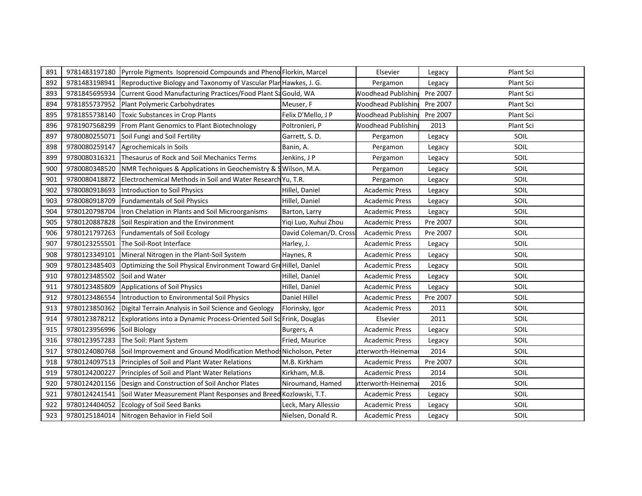| 891 | 9781483197180 | Pyrrole Pigments Isoprenoid Compounds and Pheno Florkin, Marcel     |                        | Elsevier                   | Legacy   | Plant Sci |
|-----|---------------|---------------------------------------------------------------------|------------------------|----------------------------|----------|-----------|
| 892 | 9781483198941 | Reproductive Biology and Taxonomy of Vascular Plan Hawkes, J. G.    |                        | Pergamon                   | Legacy   | Plant Sci |
| 893 | 9781845695934 | Current Good Manufacturing Practices/Food Plant Sa Gould, WA        |                        | <b>Noodhead Publishin</b>  | Pre 2007 | Plant Sci |
| 894 | 9781855737952 | Plant Polymeric Carbohydrates                                       | Meuser, F              | <b>Noodhead Publishing</b> | Pre 2007 | Plant Sci |
| 895 | 9781855738140 | <b>Toxic Substances in Crop Plants</b>                              | Felix D'Mello, J P     | <b>Noodhead Publishing</b> | Pre 2007 | Plant Sci |
| 896 | 9781907568299 | From Plant Genomics to Plant Biotechnology                          | Poltronieri, P         | <b>Noodhead Publishin</b>  | 2013     | Plant Sci |
| 897 | 9780080255071 | Soil Fungi and Soil Fertility                                       | Garrett, S.D.          | Pergamon                   | Legacy   | SOIL      |
| 898 | 9780080259147 | Agrochemicals in Soils                                              | Banin, A.              | Pergamon                   | Legacy   | SOIL      |
| 899 | 9780080316321 | Thesaurus of Rock and Soil Mechanics Terms                          | Jenkins, J P           | Pergamon                   | Legacy   | SOIL      |
| 900 | 9780080348520 | NMR Techniques & Applications in Geochemistry & SWilson, M.A.       |                        | Pergamon                   | Legacy   | SOIL      |
| 901 | 9780080418872 | Electrochemical Methods in Soil and Water Research Yu, T.R.         |                        | Pergamon                   | Legacy   | SOIL      |
| 902 | 9780080918693 | Introduction to Soil Physics                                        | Hillel, Daniel         | <b>Academic Press</b>      | Legacy   | SOIL      |
| 903 | 9780080918709 | <b>Fundamentals of Soil Physics</b>                                 | Hillel, Daniel         | <b>Academic Press</b>      | Legacy   | SOIL      |
| 904 | 9780120798704 | Iron Chelation in Plants and Soil Microorganisms                    | Barton, Larry          | <b>Academic Press</b>      | Legacy   | SOIL      |
| 905 | 9780120887828 | Soil Respiration and the Environment                                | Yiqi Luo, Xuhui Zhou   | <b>Academic Press</b>      | Pre 2007 | SOIL      |
| 906 | 9780121797263 | <b>Fundamentals of Soil Ecology</b>                                 | David Coleman/D. Cross | <b>Academic Press</b>      | Pre 2007 | SOIL      |
| 907 | 9780123255501 | The Soil-Root Interface                                             | Harley, J.             | <b>Academic Press</b>      | Legacy   | SOIL      |
| 908 | 9780123349101 | Mineral Nitrogen in the Plant-Soil System                           | Haynes, R              | <b>Academic Press</b>      | Legacy   | SOIL      |
| 909 | 9780123485403 | Optimizing the Soil Physical Environment Toward GreHillel, Daniel   |                        | <b>Academic Press</b>      | Legacy   | SOIL      |
| 910 | 9780123485502 | Soil and Water                                                      | Hillel, Daniel         | <b>Academic Press</b>      | Legacy   | SOIL      |
| 911 | 9780123485809 | <b>Applications of Soil Physics</b>                                 | Hillel, Daniel         | <b>Academic Press</b>      | Legacy   | SOIL      |
| 912 | 9780123486554 | Introduction to Environmental Soil Physics                          | Daniel Hillel          | <b>Academic Press</b>      | Pre 2007 | SOIL      |
| 913 | 9780123850362 | Digital Terrain Analysis in Soil Science and Geology                | Florinsky, Igor        | <b>Academic Press</b>      | 2011     | SOIL      |
| 914 | 9780123878212 | Explorations into a Dynamic Process-Oriented Soil Sc Frink, Douglas |                        | Elsevier                   | 2011     | SOIL      |
| 915 | 9780123956996 | Soil Biology                                                        | Burgers, A             | <b>Academic Press</b>      | Legacy   | SOIL      |
| 916 | 9780123957283 | The Soil: Plant System                                              | Fried, Maurice         | <b>Academic Press</b>      | Legacy   | SOIL      |
| 917 | 9780124080768 | Soil Improvement and Ground Modification Method: Nicholson, Peter   |                        | itterworth-Heinema         | 2014     | SOIL      |
| 918 | 9780124097513 | Principles of Soil and Plant Water Relations                        | M.B. Kirkham           | <b>Academic Press</b>      | Pre 2007 | SOIL      |
| 919 | 9780124200227 | Principles of Soil and Plant Water Relations                        | Kirkham, M.B.          | <b>Academic Press</b>      | 2014     | SOIL      |
| 920 | 9780124201156 | Design and Construction of Soil Anchor Plates                       | Niroumand, Hamed       | itterworth-Heinema         | 2016     | SOIL      |
| 921 | 9780124241541 | Soil Water Measurement Plant Responses and Breed Kozlowski, T.T.    |                        | <b>Academic Press</b>      | Legacy   | SOIL      |
| 922 | 9780124404052 | <b>Ecology of Soil Seed Banks</b>                                   | Leck, Mary Allessio    | <b>Academic Press</b>      | Legacy   | SOIL      |
| 923 | 9780125184014 | Nitrogen Behavior in Field Soil                                     | Nielsen, Donald R.     | Academic Press             | Legacy   | SOIL      |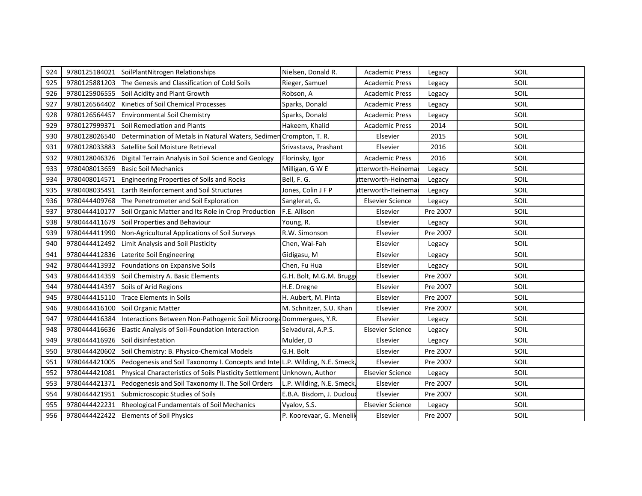| 924 | 9780125184021 | SoilPlantNitrogen Relationships                                              | Nielsen, Donald R.        | <b>Academic Press</b>   | Legacy   | SOIL |
|-----|---------------|------------------------------------------------------------------------------|---------------------------|-------------------------|----------|------|
| 925 | 9780125881203 | The Genesis and Classification of Cold Soils                                 | Rieger, Samuel            | <b>Academic Press</b>   | Legacy   | SOIL |
| 926 | 9780125906555 | Soil Acidity and Plant Growth                                                | Robson, A                 | <b>Academic Press</b>   | Legacy   | SOIL |
| 927 | 9780126564402 | Kinetics of Soil Chemical Processes                                          | Sparks, Donald            | <b>Academic Press</b>   | Legacy   | SOIL |
| 928 | 9780126564457 | <b>Environmental Soil Chemistry</b>                                          | Sparks, Donald            | <b>Academic Press</b>   | Legacy   | SOIL |
| 929 | 9780127999371 | Soil Remediation and Plants                                                  | Hakeem, Khalid            | <b>Academic Press</b>   | 2014     | SOIL |
| 930 | 9780128026540 | Determination of Metals in Natural Waters, Sedimen Crompton, T. R.           |                           | Elsevier                | 2015     | SOIL |
| 931 | 9780128033883 | Satellite Soil Moisture Retrieval                                            | Srivastava, Prashant      | Elsevier                | 2016     | SOIL |
| 932 | 9780128046326 | Digital Terrain Analysis in Soil Science and Geology                         | Florinsky, Igor           | <b>Academic Press</b>   | 2016     | SOIL |
| 933 | 9780408013659 | <b>Basic Soil Mechanics</b>                                                  | Milligan, G W E           | utterworth-Heinema      | Legacy   | SOIL |
| 934 | 9780408014571 | Engineering Properties of Soils and Rocks                                    | Bell, F. G.               | itterworth-Heinema      | Legacy   | SOIL |
| 935 | 9780408035491 | <b>Earth Reinforcement and Soil Structures</b>                               | Jones, Colin J F P        | itterworth-Heinemai     | Legacy   | SOIL |
| 936 | 9780444409768 | The Penetrometer and Soil Exploration                                        | Sanglerat, G.             | <b>Elsevier Science</b> | Legacy   | SOIL |
| 937 | 9780444410177 | Soil Organic Matter and Its Role in Crop Production                          | F.E. Allison              | Elsevier                | Pre 2007 | SOIL |
| 938 | 9780444411679 | Soil Properties and Behaviour                                                | Young, R.                 | Elsevier                | Legacy   | SOIL |
| 939 | 9780444411990 | Non-Agricultural Applications of Soil Surveys                                | R.W. Simonson             | Elsevier                | Pre 2007 | SOIL |
| 940 | 9780444412492 | Limit Analysis and Soil Plasticity                                           | Chen, Wai-Fah             | Elsevier                | Legacy   | SOIL |
| 941 | 9780444412836 | Laterite Soil Engineering                                                    | Gidigasu, M               | Elsevier                | Legacy   | SOIL |
| 942 | 9780444413932 | Foundations on Expansive Soils                                               | Chen, Fu Hua              | Elsevier                | Legacy   | SOIL |
| 943 | 9780444414359 | Soil Chemistry A. Basic Elements                                             | G.H. Bolt, M.G.M. Brugg   | Elsevier                | Pre 2007 | SOIL |
| 944 | 9780444414397 | Soils of Arid Regions                                                        | H.E. Dregne               | Elsevier                | Pre 2007 | SOIL |
| 945 | 9780444415110 | <b>Trace Elements in Soils</b>                                               | H. Aubert, M. Pinta       | Elsevier                | Pre 2007 | SOIL |
| 946 | 9780444416100 | Soil Organic Matter                                                          | M. Schnitzer, S.U. Khan   | Elsevier                | Pre 2007 | SOIL |
| 947 | 9780444416384 | Interactions Between Non-Pathogenic Soil Microorga Dommergues, Y.R.          |                           | Elsevier                | Legacy   | SOIL |
| 948 | 9780444416636 | Elastic Analysis of Soil-Foundation Interaction                              | Selvadurai, A.P.S.        | <b>Elsevier Science</b> | Legacy   | SOIL |
| 949 | 9780444416926 | Soil disinfestation                                                          | Mulder, D                 | Elsevier                | Legacy   | SOIL |
| 950 | 9780444420602 | Soil Chemistry: B. Physico-Chemical Models                                   | G.H. Bolt                 | Elsevier                | Pre 2007 | SOIL |
| 951 | 9780444421005 | Pedogenesis and Soil Taxonomy I. Concepts and InterL.P. Wilding, N.E. Smeck, |                           | Elsevier                | Pre 2007 | SOIL |
| 952 | 9780444421081 | Physical Characteristics of Soils Plasticity Settlement Unknown, Author      |                           | <b>Elsevier Science</b> | Legacy   | SOIL |
| 953 | 9780444421371 | Pedogenesis and Soil Taxonomy II. The Soil Orders                            | L.P. Wilding, N.E. Smeck, | Elsevier                | Pre 2007 | SOIL |
| 954 | 9780444421951 | Submicroscopic Studies of Soils                                              | E.B.A. Bisdom, J. Ducloux | Elsevier                | Pre 2007 | SOIL |
| 955 | 9780444422231 | Rheological Fundamentals of Soil Mechanics                                   | Vyalov, S.S.              | <b>Elsevier Science</b> | Legacy   | SOIL |
| 956 | 9780444422422 | <b>Elements of Soil Physics</b>                                              | P. Koorevaar, G. Menelik  | Elsevier                | Pre 2007 | SOIL |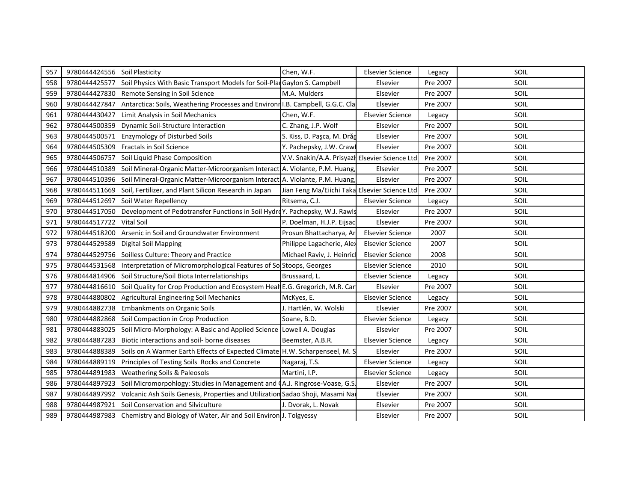| 957 | 9780444424556 | Soil Plasticity                                                                | Chen, W.F.                                     | <b>Elsevier Science</b> | Legacy   | SOIL |
|-----|---------------|--------------------------------------------------------------------------------|------------------------------------------------|-------------------------|----------|------|
| 958 | 9780444425577 | Soil Physics With Basic Transport Models for Soil-Plan Gaylon S. Campbell      |                                                | Elsevier                | Pre 2007 | SOIL |
| 959 | 9780444427830 | Remote Sensing in Soil Science                                                 | M.A. Mulders                                   | Elsevier                | Pre 2007 | SOIL |
| 960 | 9780444427847 | Antarctica: Soils, Weathering Processes and Environn I.B. Campbell, G.G.C. Cla |                                                | Elsevier                | Pre 2007 | SOIL |
| 961 | 9780444430427 | Limit Analysis in Soil Mechanics                                               | Chen, W.F.                                     | <b>Elsevier Science</b> | Legacy   | SOIL |
| 962 | 9780444500359 | Dynamic Soil-Structure Interaction                                             | C. Zhang, J.P. Wolf                            | Elsevier                | Pre 2007 | SOIL |
| 963 | 9780444500571 | <b>Enzymology of Disturbed Soils</b>                                           | S. Kiss, D. Paşca, M. Drăg                     | Elsevier                | Pre 2007 | SOIL |
| 964 | 9780444505309 | <b>Fractals in Soil Science</b>                                                | Y. Pachepsky, J.W. Crawl                       | Elsevier                | Pre 2007 | SOIL |
| 965 | 9780444506757 | Soil Liquid Phase Composition                                                  | V.V. Snakin/A.A. Prisyazh Elsevier Science Ltd |                         | Pre 2007 | SOIL |
| 966 | 9780444510389 | Soil Mineral-Organic Matter-Microorganism Interact A. Violante, P.M. Huang,    |                                                | Elsevier                | Pre 2007 | SOIL |
| 967 | 9780444510396 | Soil Mineral-Organic Matter-Microorganism InteractiA. Violante, P.M. Huang,    |                                                | Elsevier                | Pre 2007 | SOIL |
| 968 | 9780444511669 | Soil, Fertilizer, and Plant Silicon Research in Japan                          | Jian Feng Ma/Eiichi Taka Elsevier Science Ltd  |                         | Pre 2007 | SOIL |
| 969 | 9780444512697 | Soil Water Repellency                                                          | Ritsema, C.J.                                  | <b>Elsevier Science</b> | Legacy   | SOIL |
| 970 | 9780444517050 | Development of Pedotransfer Functions in Soil HydroY. Pachepsky, W.J. Rawls    |                                                | Elsevier                | Pre 2007 | SOIL |
| 971 | 9780444517722 | <b>Vital Soil</b>                                                              | P. Doelman, H.J.P. Eijsac                      | Elsevier                | Pre 2007 | SOIL |
| 972 | 9780444518200 | Arsenic in Soil and Groundwater Environment                                    | Prosun Bhattacharya, Ar                        | <b>Elsevier Science</b> | 2007     | SOIL |
| 973 | 9780444529589 | Digital Soil Mapping                                                           | Philippe Lagacherie, Alex                      | <b>Elsevier Science</b> | 2007     | SOIL |
| 974 | 9780444529756 | Soilless Culture: Theory and Practice                                          | Michael Raviv, J. Heinric                      | <b>Elsevier Science</b> | 2008     | SOIL |
| 975 | 9780444531568 | Interpretation of Micromorphological Features of SolStoops, Georges            |                                                | <b>Elsevier Science</b> | 2010     | SOIL |
| 976 | 9780444814906 | Soil Structure/Soil Biota Interrelationships                                   | Brussaard, L.                                  | <b>Elsevier Science</b> | Legacy   | SOIL |
| 977 | 9780444816610 | Soil Quality for Crop Production and Ecosystem Healt E.G. Gregorich, M.R. Car  |                                                | Elsevier                | Pre 2007 | SOIL |
| 978 | 9780444880802 | Agricultural Engineering Soil Mechanics                                        | McKyes, E.                                     | <b>Elsevier Science</b> | Legacy   | SOIL |
| 979 | 9780444882738 | <b>Embankments on Organic Soils</b>                                            | J. Hartlén, W. Wolski                          | Elsevier                | Pre 2007 | SOIL |
| 980 | 9780444882868 | Soil Compaction in Crop Production                                             | Soane, B.D.                                    | <b>Elsevier Science</b> | Legacy   | SOIL |
| 981 | 9780444883025 | Soil Micro-Morphology: A Basic and Applied Science Lowell A. Douglas           |                                                | Elsevier                | Pre 2007 | SOIL |
| 982 | 9780444887283 | Biotic interactions and soil- borne diseases                                   | Beemster, A.B.R.                               | <b>Elsevier Science</b> | Legacy   | SOIL |
| 983 | 9780444888389 | Soils on A Warmer Earth Effects of Expected Climate H.W. Scharpenseel, M. S    |                                                | Elsevier                | Pre 2007 | SOIL |
| 984 | 9780444889119 | Principles of Testing Soils Rocks and Concrete                                 | Nagaraj, T.S.                                  | <b>Elsevier Science</b> | Legacy   | SOIL |
| 985 | 9780444891983 | <b>Weathering Soils &amp; Paleosols</b>                                        | Martini, I.P.                                  | <b>Elsevier Science</b> | Legacy   | SOIL |
| 986 | 9780444897923 | Soil Micromorpohlogy: Studies in Management and (A.J. Ringrose-Voase, G.S.     |                                                | Elsevier                | Pre 2007 | SOIL |
| 987 | 9780444897992 | Volcanic Ash Soils Genesis, Properties and Utilization Sadao Shoji, Masami Nai |                                                | Elsevier                | Pre 2007 | SOIL |
| 988 | 9780444987921 | Soil Conservation and Silviculture                                             | J. Dvorak, L. Novak                            | Elsevier                | Pre 2007 | SOIL |
| 989 | 9780444987983 | Chemistry and Biology of Water, Air and Soil Environ J. Tolgyessy              |                                                | Elsevier                | Pre 2007 | SOIL |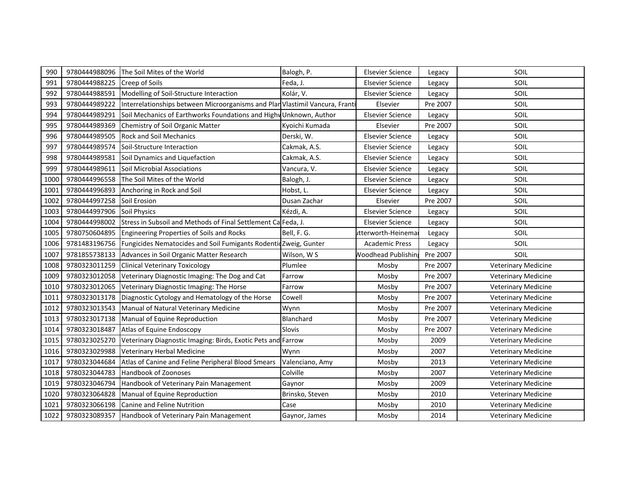| 990  | 9780444988096 | The Soil Mites of the World                                                  | Balogh, P.      | <b>Elsevier Science</b>   | Legacy   | SOIL                       |
|------|---------------|------------------------------------------------------------------------------|-----------------|---------------------------|----------|----------------------------|
| 991  | 9780444988225 | Creep of Soils                                                               | Feda, J.        | <b>Elsevier Science</b>   | Legacy   | SOIL                       |
| 992  | 9780444988591 | Modelling of Soil-Structure Interaction                                      | Kolár, V.       | <b>Elsevier Science</b>   | Legacy   | SOIL                       |
| 993  | 9780444989222 | Interrelationships between Microorganisms and Plan Vlastimil Vancura, Franti |                 | Elsevier                  | Pre 2007 | SOIL                       |
| 994  | 9780444989291 | Soil Mechanics of Earthworks Foundations and Highy Unknown, Author           |                 | <b>Elsevier Science</b>   | Legacy   | SOIL                       |
| 995  | 9780444989369 | Chemistry of Soil Organic Matter                                             | Kyoichi Kumada  | Elsevier                  | Pre 2007 | SOIL                       |
| 996  | 9780444989505 | <b>Rock and Soil Mechanics</b>                                               | Derski, W.      | <b>Elsevier Science</b>   | Legacy   | SOIL                       |
| 997  | 9780444989574 | <b>ISoil-Structure Interaction</b>                                           | Cakmak, A.S.    | <b>Elsevier Science</b>   | Legacy   | SOIL                       |
| 998  | 9780444989581 | Soil Dynamics and Liquefaction                                               | Cakmak, A.S.    | <b>Elsevier Science</b>   | Legacy   | SOIL                       |
| 999  | 9780444989611 | Soil Microbial Associations                                                  | Vancura, V.     | <b>Elsevier Science</b>   | Legacy   | SOIL                       |
| 1000 | 9780444996558 | The Soil Mites of the World                                                  | Balogh, J.      | <b>Elsevier Science</b>   | Legacy   | SOIL                       |
| 1001 | 9780444996893 | Anchoring in Rock and Soil                                                   | Hobst, L.       | <b>Elsevier Science</b>   | Legacy   | SOIL                       |
| 1002 | 9780444997258 | Soil Erosion                                                                 | Dusan Zachar    | Elsevier                  | Pre 2007 | SOIL                       |
| 1003 | 9780444997906 | <b>Soil Physics</b>                                                          | Kézdi, A.       | <b>Elsevier Science</b>   | Legacy   | SOIL                       |
| 1004 | 9780444998002 | Stress in Subsoil and Methods of Final Settlement Ca Feda, J.                |                 | <b>Elsevier Science</b>   | Legacy   | SOIL                       |
| 1005 | 9780750604895 | Engineering Properties of Soils and Rocks                                    | Bell, F. G.     | itterworth-Heinema        | Legacy   | SOIL                       |
| 1006 | 9781483196756 | Fungicides Nematocides and Soil Fumigants Rodentid Zweig, Gunter             |                 | <b>Academic Press</b>     | Legacy   | SOIL                       |
| 1007 | 9781855738133 | Advances in Soil Organic Matter Research                                     | Wilson, W S     | <b>Noodhead Publishin</b> | Pre 2007 | SOIL                       |
| 1008 | 9780323011259 | <b>Clinical Veterinary Toxicology</b>                                        | Plumlee         | Mosby                     | Pre 2007 | Veterinary Medicine        |
| 1009 | 9780323012058 | Veterinary Diagnostic Imaging: The Dog and Cat                               | Farrow          | Mosby                     | Pre 2007 | Veterinary Medicine        |
| 1010 | 9780323012065 | Veterinary Diagnostic Imaging: The Horse                                     | Farrow          | Mosby                     | Pre 2007 | <b>Veterinary Medicine</b> |
| 1011 | 9780323013178 | Diagnostic Cytology and Hematology of the Horse                              | Cowell          | Mosby                     | Pre 2007 | Veterinary Medicine        |
| 1012 | 9780323013543 | Manual of Natural Veterinary Medicine                                        | Wynn            | Mosby                     | Pre 2007 | <b>Veterinary Medicine</b> |
| 1013 | 9780323017138 | Manual of Equine Reproduction                                                | Blanchard       | Mosby                     | Pre 2007 | <b>Veterinary Medicine</b> |
| 1014 | 9780323018487 | Atlas of Equine Endoscopy                                                    | Slovis          | Mosby                     | Pre 2007 | <b>Veterinary Medicine</b> |
| 1015 | 9780323025270 | Veterinary Diagnostic Imaging: Birds, Exotic Pets and Farrow                 |                 | Mosby                     | 2009     | <b>Veterinary Medicine</b> |
| 1016 | 9780323029988 | Veterinary Herbal Medicine                                                   | Wynn            | Mosby                     | 2007     | <b>Veterinary Medicine</b> |
| 1017 | 9780323044684 | Atlas of Canine and Feline Peripheral Blood Smears                           | Valenciano, Amy | Mosby                     | 2013     | <b>Veterinary Medicine</b> |
| 1018 | 9780323044783 | Handbook of Zoonoses                                                         | Colville        | Mosby                     | 2007     | Veterinary Medicine        |
| 1019 | 9780323046794 | Handbook of Veterinary Pain Management                                       | Gaynor          | Mosby                     | 2009     | <b>Veterinary Medicine</b> |
| 1020 | 9780323064828 | Manual of Equine Reproduction                                                | Brinsko, Steven | Mosby                     | 2010     | Veterinary Medicine        |
| 1021 | 9780323066198 | Canine and Feline Nutrition                                                  | Case            | Mosby                     | 2010     | <b>Veterinary Medicine</b> |
| 1022 | 9780323089357 | Handbook of Veterinary Pain Management                                       | Gaynor, James   | Mosby                     | 2014     | Veterinary Medicine        |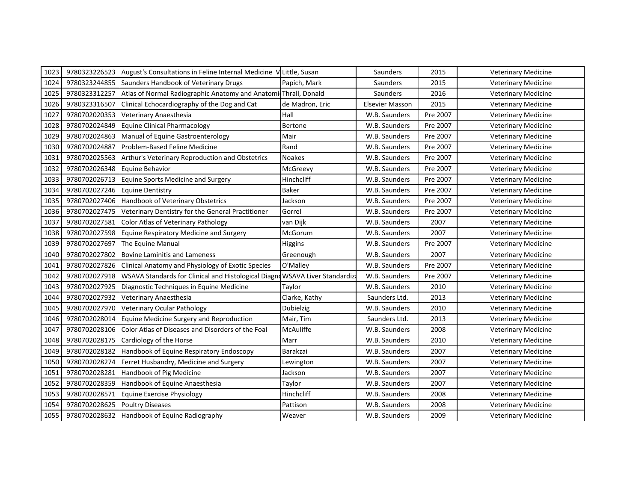| 1023 | 9780323226523 | August's Consultations in Feline Internal Medicine V Little, Susan          |                  | Saunders               | 2015     | <b>Veterinary Medicine</b> |
|------|---------------|-----------------------------------------------------------------------------|------------------|------------------------|----------|----------------------------|
| 1024 | 9780323244855 | Saunders Handbook of Veterinary Drugs                                       | Papich, Mark     | Saunders               | 2015     | <b>Veterinary Medicine</b> |
| 1025 | 9780323312257 | Atlas of Normal Radiographic Anatomy and Anatomi Thrall, Donald             |                  | Saunders               | 2016     | <b>Veterinary Medicine</b> |
| 1026 | 9780323316507 | Clinical Echocardiography of the Dog and Cat                                | de Madron, Eric  | <b>Elsevier Masson</b> | 2015     | <b>Veterinary Medicine</b> |
| 1027 | 9780702020353 | Veterinary Anaesthesia                                                      | Hall             | W.B. Saunders          | Pre 2007 | <b>Veterinary Medicine</b> |
| 1028 | 9780702024849 | Equine Clinical Pharmacology                                                | Bertone          | W.B. Saunders          | Pre 2007 | <b>Veterinary Medicine</b> |
| 1029 | 9780702024863 | Manual of Equine Gastroenterology                                           | Mair             | W.B. Saunders          | Pre 2007 | <b>Veterinary Medicine</b> |
| 1030 | 9780702024887 | Problem-Based Feline Medicine                                               | Rand             | W.B. Saunders          | Pre 2007 | <b>Veterinary Medicine</b> |
| 1031 | 9780702025563 | Arthur's Veterinary Reproduction and Obstetrics                             | <b>Noakes</b>    | W.B. Saunders          | Pre 2007 | <b>Veterinary Medicine</b> |
| 1032 | 9780702026348 | Equine Behavior                                                             | McGreevy         | W.B. Saunders          | Pre 2007 | Veterinary Medicine        |
| 1033 | 9780702026713 | Equine Sports Medicine and Surgery                                          | Hinchcliff       | W.B. Saunders          | Pre 2007 | <b>Veterinary Medicine</b> |
| 1034 | 9780702027246 | <b>Equine Dentistry</b>                                                     | Baker            | W.B. Saunders          | Pre 2007 | <b>Veterinary Medicine</b> |
| 1035 | 9780702027406 | Handbook of Veterinary Obstetrics                                           | Jackson          | W.B. Saunders          | Pre 2007 | <b>Veterinary Medicine</b> |
| 1036 | 9780702027475 | Veterinary Dentistry for the General Practitioner                           | Gorrel           | W.B. Saunders          | Pre 2007 | <b>Veterinary Medicine</b> |
| 1037 | 9780702027581 | Color Atlas of Veterinary Pathology                                         | van Dijk         | W.B. Saunders          | 2007     | <b>Veterinary Medicine</b> |
| 1038 | 9780702027598 | Equine Respiratory Medicine and Surgery                                     | McGorum          | W.B. Saunders          | 2007     | <b>Veterinary Medicine</b> |
| 1039 | 9780702027697 | The Equine Manual                                                           | Higgins          | W.B. Saunders          | Pre 2007 | <b>Veterinary Medicine</b> |
| 1040 | 9780702027802 | <b>Bovine Laminitis and Lameness</b>                                        | Greenough        | W.B. Saunders          | 2007     | <b>Veterinary Medicine</b> |
| 1041 | 9780702027826 | Clinical Anatomy and Physiology of Exotic Species                           | O'Malley         | W.B. Saunders          | Pre 2007 | <b>Veterinary Medicine</b> |
| 1042 | 9780702027918 | WSAVA Standards for Clinical and Histological Diagnd WSAVA Liver Standardiz |                  | W.B. Saunders          | Pre 2007 | <b>Veterinary Medicine</b> |
| 1043 | 9780702027925 | Diagnostic Techniques in Equine Medicine                                    | Taylor           | W.B. Saunders          | 2010     | Veterinary Medicine        |
| 1044 | 9780702027932 | Veterinary Anaesthesia                                                      | Clarke, Kathy    | Saunders Ltd.          | 2013     | <b>Veterinary Medicine</b> |
| 1045 | 9780702027970 | <b>Veterinary Ocular Pathology</b>                                          | <b>Dubielzig</b> | W.B. Saunders          | 2010     | <b>Veterinary Medicine</b> |
| 1046 | 9780702028014 | Equine Medicine Surgery and Reproduction                                    | Mair, Tim        | Saunders Ltd.          | 2013     | <b>Veterinary Medicine</b> |
| 1047 | 9780702028106 | Color Atlas of Diseases and Disorders of the Foal                           | McAuliffe        | W.B. Saunders          | 2008     | <b>Veterinary Medicine</b> |
| 1048 | 9780702028175 | Cardiology of the Horse                                                     | Marr             | W.B. Saunders          | 2010     | <b>Veterinary Medicine</b> |
| 1049 | 9780702028182 | Handbook of Equine Respiratory Endoscopy                                    | Barakzai         | W.B. Saunders          | 2007     | <b>Veterinary Medicine</b> |
| 1050 | 9780702028274 | Ferret Husbandry, Medicine and Surgery                                      | Lewington        | W.B. Saunders          | 2007     | <b>Veterinary Medicine</b> |
| 1051 | 9780702028281 | Handbook of Pig Medicine                                                    | Jackson          | W.B. Saunders          | 2007     | <b>Veterinary Medicine</b> |
| 1052 | 9780702028359 | Handbook of Equine Anaesthesia                                              | Taylor           | W.B. Saunders          | 2007     | <b>Veterinary Medicine</b> |
| 1053 | 9780702028571 | <b>Equine Exercise Physiology</b>                                           | Hinchcliff       | W.B. Saunders          | 2008     | <b>Veterinary Medicine</b> |
| 1054 | 9780702028625 | <b>Poultry Diseases</b>                                                     | Pattison         | W.B. Saunders          | 2008     | <b>Veterinary Medicine</b> |
| 1055 |               | 9780702028632 Handbook of Equine Radiography                                | Weaver           | W.B. Saunders          | 2009     | <b>Veterinary Medicine</b> |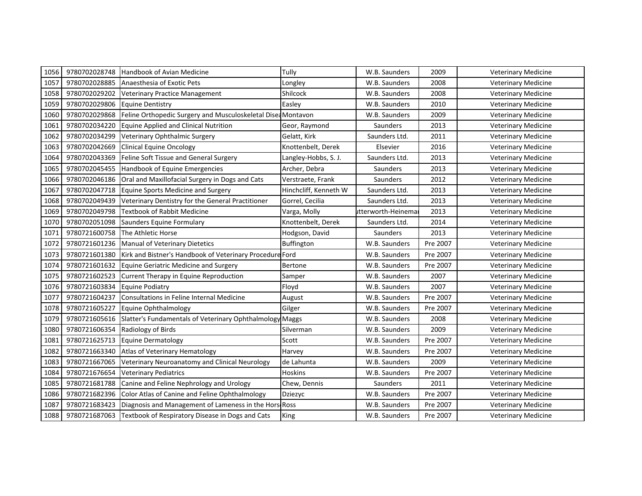| 1056 | 9780702028748 | Handbook of Avian Medicine                                   | Tully                 | W.B. Saunders      | 2009     | <b>Veterinary Medicine</b> |
|------|---------------|--------------------------------------------------------------|-----------------------|--------------------|----------|----------------------------|
| 1057 | 9780702028885 | Anaesthesia of Exotic Pets                                   | Longley               | W.B. Saunders      | 2008     | <b>Veterinary Medicine</b> |
| 1058 | 9780702029202 | Veterinary Practice Management                               | Shilcock              | W.B. Saunders      | 2008     | <b>Veterinary Medicine</b> |
| 1059 | 9780702029806 | <b>Equine Dentistry</b>                                      | Easley                | W.B. Saunders      | 2010     | <b>Veterinary Medicine</b> |
| 1060 | 9780702029868 | Feline Orthopedic Surgery and Musculoskeletal Disea Montavon |                       | W.B. Saunders      | 2009     | <b>Veterinary Medicine</b> |
| 1061 | 9780702034220 | <b>Equine Applied and Clinical Nutrition</b>                 | Geor, Raymond         | Saunders           | 2013     | <b>Veterinary Medicine</b> |
| 1062 | 9780702034299 | Veterinary Ophthalmic Surgery                                | Gelatt, Kirk          | Saunders Ltd.      | 2011     | <b>Veterinary Medicine</b> |
| 1063 | 9780702042669 | <b>Clinical Equine Oncology</b>                              | Knottenbelt, Derek    | Elsevier           | 2016     | <b>Veterinary Medicine</b> |
| 1064 | 9780702043369 | Feline Soft Tissue and General Surgery                       | Langley-Hobbs, S. J.  | Saunders Ltd.      | 2013     | <b>Veterinary Medicine</b> |
| 1065 | 9780702045455 | Handbook of Equine Emergencies                               | Archer, Debra         | Saunders           | 2013     | <b>Veterinary Medicine</b> |
| 1066 | 9780702046186 | Oral and Maxillofacial Surgery in Dogs and Cats              | Verstraete, Frank     | Saunders           | 2012     | <b>Veterinary Medicine</b> |
| 1067 | 9780702047718 | <b>Equine Sports Medicine and Surgery</b>                    | Hinchcliff, Kenneth W | Saunders Ltd.      | 2013     | <b>Veterinary Medicine</b> |
| 1068 | 9780702049439 | Veterinary Dentistry for the General Practitioner            | Gorrel, Cecilia       | Saunders Ltd.      | 2013     | <b>Veterinary Medicine</b> |
| 1069 | 9780702049798 | Textbook of Rabbit Medicine                                  | Varga, Molly          | itterworth-Heinema | 2013     | <b>Veterinary Medicine</b> |
| 1070 | 9780702051098 | Saunders Equine Formulary                                    | Knottenbelt, Derek    | Saunders Ltd.      | 2014     | <b>Veterinary Medicine</b> |
| 1071 | 9780721600758 | <b>The Athletic Horse</b>                                    | Hodgson, David        | Saunders           | 2013     | <b>Veterinary Medicine</b> |
| 1072 | 9780721601236 | Manual of Veterinary Dietetics                               | Buffington            | W.B. Saunders      | Pre 2007 | <b>Veterinary Medicine</b> |
| 1073 | 9780721601380 | Kirk and Bistner's Handbook of Veterinary Procedure Ford     |                       | W.B. Saunders      | Pre 2007 | <b>Veterinary Medicine</b> |
| 1074 | 9780721601632 | Equine Geriatric Medicine and Surgery                        | Bertone               | W.B. Saunders      | Pre 2007 | <b>Veterinary Medicine</b> |
| 1075 | 9780721602523 | Current Therapy in Equine Reproduction                       | Samper                | W.B. Saunders      | 2007     | <b>Veterinary Medicine</b> |
| 1076 | 9780721603834 | <b>Equine Podiatry</b>                                       | Floyd                 | W.B. Saunders      | 2007     | <b>Veterinary Medicine</b> |
| 1077 | 9780721604237 | Consultations in Feline Internal Medicine                    | August                | W.B. Saunders      | Pre 2007 | <b>Veterinary Medicine</b> |
| 1078 | 9780721605227 | Equine Ophthalmology                                         | Gilger                | W.B. Saunders      | Pre 2007 | <b>Veterinary Medicine</b> |
| 1079 | 9780721605616 | Slatter's Fundamentals of Veterinary Ophthalmology Maggs     |                       | W.B. Saunders      | 2008     | <b>Veterinary Medicine</b> |
| 1080 | 9780721606354 | Radiology of Birds                                           | Silverman             | W.B. Saunders      | 2009     | <b>Veterinary Medicine</b> |
| 1081 | 9780721625713 | Equine Dermatology                                           | Scott                 | W.B. Saunders      | Pre 2007 | <b>Veterinary Medicine</b> |
| 1082 | 9780721663340 | Atlas of Veterinary Hematology                               | Harvey                | W.B. Saunders      | Pre 2007 | <b>Veterinary Medicine</b> |
| 1083 | 9780721667065 | Veterinary Neuroanatomy and Clinical Neurology               | de Lahunta            | W.B. Saunders      | 2009     | <b>Veterinary Medicine</b> |
| 1084 | 9780721676654 | <b>Veterinary Pediatrics</b>                                 | Hoskins               | W.B. Saunders      | Pre 2007 | Veterinary Medicine        |
| 1085 | 9780721681788 | Canine and Feline Nephrology and Urology                     | Chew, Dennis          | Saunders           | 2011     | <b>Veterinary Medicine</b> |
| 1086 | 9780721682396 | Color Atlas of Canine and Feline Ophthalmology               | Dziezyc               | W.B. Saunders      | Pre 2007 | <b>Veterinary Medicine</b> |
| 1087 | 9780721683423 | Diagnosis and Management of Lameness in the Hors Ross        |                       | W.B. Saunders      | Pre 2007 | <b>Veterinary Medicine</b> |
| 1088 | 9780721687063 | Textbook of Respiratory Disease in Dogs and Cats             | King                  | W.B. Saunders      | Pre 2007 | <b>Veterinary Medicine</b> |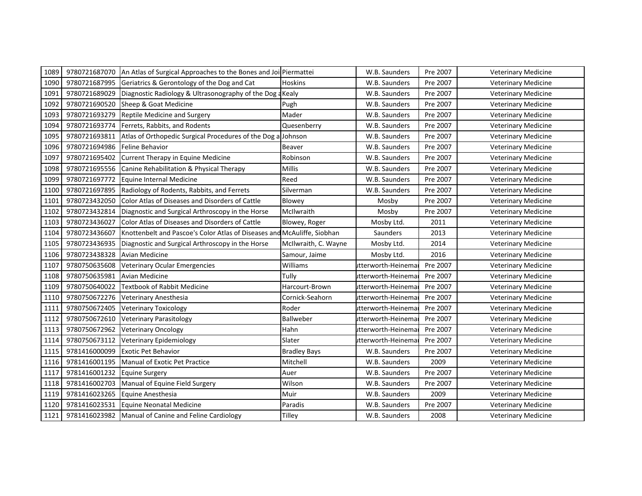| 1089 | 9780721687070 | An Atlas of Surgical Approaches to the Bones and Joi Piermattei         |                      | W.B. Saunders       | Pre 2007 | <b>Veterinary Medicine</b> |
|------|---------------|-------------------------------------------------------------------------|----------------------|---------------------|----------|----------------------------|
| 1090 | 9780721687995 | Geriatrics & Gerontology of the Dog and Cat                             | Hoskins              | W.B. Saunders       | Pre 2007 | <b>Veterinary Medicine</b> |
| 1091 | 9780721689029 | Diagnostic Radiology & Ultrasonography of the Dog a Kealy               |                      | W.B. Saunders       | Pre 2007 | <b>Veterinary Medicine</b> |
| 1092 | 9780721690520 | Sheep & Goat Medicine                                                   | Pugh                 | W.B. Saunders       | Pre 2007 | <b>Veterinary Medicine</b> |
| 1093 | 9780721693279 | Reptile Medicine and Surgery                                            | Mader                | W.B. Saunders       | Pre 2007 | <b>Veterinary Medicine</b> |
| 1094 | 9780721693774 | Ferrets, Rabbits, and Rodents                                           | Quesenberry          | W.B. Saunders       | Pre 2007 | <b>Veterinary Medicine</b> |
| 1095 | 9780721693811 | Atlas of Orthopedic Surgical Procedures of the Dog a Johnson            |                      | W.B. Saunders       | Pre 2007 | <b>Veterinary Medicine</b> |
| 1096 | 9780721694986 | Feline Behavior                                                         | Beaver               | W.B. Saunders       | Pre 2007 | Veterinary Medicine        |
| 1097 | 9780721695402 | Current Therapy in Equine Medicine                                      | Robinson             | W.B. Saunders       | Pre 2007 | <b>Veterinary Medicine</b> |
| 1098 | 9780721695556 | Canine Rehabilitation & Physical Therapy                                | Millis               | W.B. Saunders       | Pre 2007 | <b>Veterinary Medicine</b> |
| 1099 | 9780721697772 | Equine Internal Medicine                                                | Reed                 | W.B. Saunders       | Pre 2007 | <b>Veterinary Medicine</b> |
| 1100 | 9780721697895 | Radiology of Rodents, Rabbits, and Ferrets                              | Silverman            | W.B. Saunders       | Pre 2007 | <b>Veterinary Medicine</b> |
| 1101 | 9780723432050 | Color Atlas of Diseases and Disorders of Cattle                         | Blowey               | Mosby               | Pre 2007 | <b>Veterinary Medicine</b> |
| 1102 | 9780723432814 | Diagnostic and Surgical Arthroscopy in the Horse                        | McIlwraith           | Mosby               | Pre 2007 | <b>Veterinary Medicine</b> |
| 1103 | 9780723436027 | Color Atlas of Diseases and Disorders of Cattle                         | Blowey, Roger        | Mosby Ltd.          | 2011     | <b>Veterinary Medicine</b> |
| 1104 | 9780723436607 | Knottenbelt and Pascoe's Color Atlas of Diseases and McAuliffe, Siobhan |                      | Saunders            | 2013     | <b>Veterinary Medicine</b> |
| 1105 | 9780723436935 | Diagnostic and Surgical Arthroscopy in the Horse                        | McIlwraith, C. Wayne | Mosby Ltd.          | 2014     | <b>Veterinary Medicine</b> |
| 1106 | 9780723438328 | Avian Medicine                                                          | Samour, Jaime        | Mosby Ltd.          | 2016     | <b>Veterinary Medicine</b> |
| 1107 | 9780750635608 | Veterinary Ocular Emergencies                                           | Williams             | utterworth-Heinema  | Pre 2007 | <b>Veterinary Medicine</b> |
| 1108 | 9780750635981 | <b>Avian Medicine</b>                                                   | Tully                | utterworth-Heinema  | Pre 2007 | <b>Veterinary Medicine</b> |
| 1109 | 9780750640022 | <b>Textbook of Rabbit Medicine</b>                                      | Harcourt-Brown       | utterworth-Heinema  | Pre 2007 | <b>Veterinary Medicine</b> |
| 1110 | 9780750672276 | Veterinary Anesthesia                                                   | Cornick-Seahorn      | itterworth-Heinemai | Pre 2007 | <b>Veterinary Medicine</b> |
| 1111 | 9780750672405 | <b>Veterinary Toxicology</b>                                            | Roder                | utterworth-Heinema  | Pre 2007 | <b>Veterinary Medicine</b> |
| 1112 | 9780750672610 | <b>Veterinary Parasitology</b>                                          | Ballweber            | utterworth-Heinema  | Pre 2007 | <b>Veterinary Medicine</b> |
| 1113 | 9780750672962 | <b>Veterinary Oncology</b>                                              | Hahn                 | utterworth-Heinema  | Pre 2007 | <b>Veterinary Medicine</b> |
| 1114 | 9780750673112 | Veterinary Epidemiology                                                 | Slater               | itterworth-Heinemai | Pre 2007 | <b>Veterinary Medicine</b> |
| 1115 | 9781416000099 | <b>Exotic Pet Behavior</b>                                              | Bradley Bays         | W.B. Saunders       | Pre 2007 | <b>Veterinary Medicine</b> |
| 1116 | 9781416001195 | Manual of Exotic Pet Practice                                           | Mitchell             | W.B. Saunders       | 2009     | <b>Veterinary Medicine</b> |
| 1117 | 9781416001232 | <b>Equine Surgery</b>                                                   | Auer                 | W.B. Saunders       | Pre 2007 | <b>Veterinary Medicine</b> |
| 1118 | 9781416002703 | Manual of Equine Field Surgery                                          | Wilson               | W.B. Saunders       | Pre 2007 | <b>Veterinary Medicine</b> |
| 1119 | 9781416023265 | Equine Anesthesia                                                       | Muir                 | W.B. Saunders       | 2009     | <b>Veterinary Medicine</b> |
| 1120 | 9781416023531 | Equine Neonatal Medicine                                                | Paradis              | W.B. Saunders       | Pre 2007 | <b>Veterinary Medicine</b> |
| 1121 |               | 9781416023982 Manual of Canine and Feline Cardiology                    | Tilley               | W.B. Saunders       | 2008     | <b>Veterinary Medicine</b> |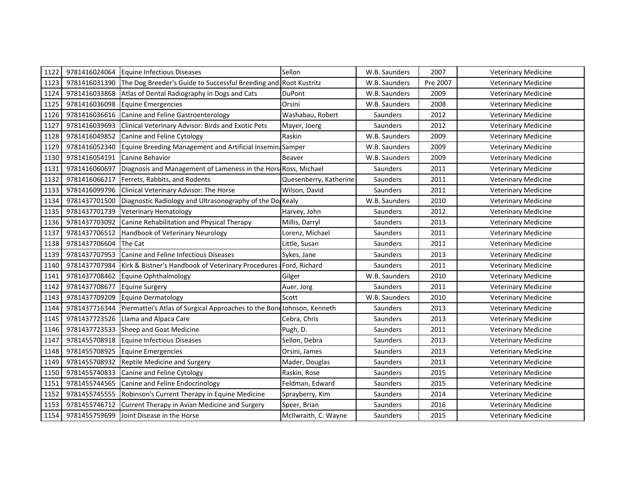| 1122 | 9781416024064 | Equine Infectious Diseases                                             | Sellon                 | W.B. Saunders | 2007     | <b>Veterinary Medicine</b> |
|------|---------------|------------------------------------------------------------------------|------------------------|---------------|----------|----------------------------|
| 1123 | 9781416031390 | The Dog Breeder's Guide to Successful Breeding and Root Kustritz       |                        | W.B. Saunders | Pre 2007 | <b>Veterinary Medicine</b> |
| 1124 | 9781416033868 | Atlas of Dental Radiography in Dogs and Cats                           | <b>DuPont</b>          | W.B. Saunders | 2009     | <b>Veterinary Medicine</b> |
| 1125 | 9781416036098 | Equine Emergencies                                                     | Orsini                 | W.B. Saunders | 2008     | <b>Veterinary Medicine</b> |
| 1126 | 9781416036616 | Canine and Feline Gastroenterology                                     | Washabau, Robert       | Saunders      | 2012     | <b>Veterinary Medicine</b> |
| 1127 | 9781416039693 | <b>Clinical Veterinary Advisor: Birds and Exotic Pets</b>              | Mayer, Joerg           | Saunders      | 2012     | <b>Veterinary Medicine</b> |
| 1128 | 9781416049852 | Canine and Feline Cytology                                             | Raskin                 | W.B. Saunders | 2009     | <b>Veterinary Medicine</b> |
| 1129 | 9781416052340 | Equine Breeding Management and Artificial Insemina Samper              |                        | W.B. Saunders | 2009     | <b>Veterinary Medicine</b> |
| 1130 | 9781416054191 | Canine Behavior                                                        | Beaver                 | W.B. Saunders | 2009     | <b>Veterinary Medicine</b> |
| 1131 | 9781416060697 | Diagnosis and Management of Lameness in the Hors Ross, Michael         |                        | Saunders      | 2011     | <b>Veterinary Medicine</b> |
| 1132 | 9781416066217 | Ferrets, Rabbits, and Rodents                                          | Quesenberry, Katherine | Saunders      | 2011     | <b>Veterinary Medicine</b> |
| 1133 | 9781416099796 | Clinical Veterinary Advisor: The Horse                                 | Wilson, David          | Saunders      | 2011     | <b>Veterinary Medicine</b> |
| 1134 | 9781437701500 | Diagnostic Radiology and Ultrasonography of the Do, Kealy              |                        | W.B. Saunders | 2010     | <b>Veterinary Medicine</b> |
| 1135 | 9781437701739 | <b>Veterinary Hematology</b>                                           | Harvey, John           | Saunders      | 2012     | <b>Veterinary Medicine</b> |
| 1136 | 9781437703092 | Canine Rehabilitation and Physical Therapy                             | Millis, Darryl         | Saunders      | 2013     | <b>Veterinary Medicine</b> |
| 1137 | 9781437706512 | Handbook of Veterinary Neurology                                       | Lorenz, Michael        | Saunders      | 2011     | <b>Veterinary Medicine</b> |
| 1138 | 9781437706604 | The Cat                                                                | Little, Susan          | Saunders      | 2011     | <b>Veterinary Medicine</b> |
| 1139 | 9781437707953 | Canine and Feline Infectious Diseases                                  | Sykes, Jane            | Saunders      | 2013     | <b>Veterinary Medicine</b> |
| 1140 | 9781437707984 | Kirk & Bistner's Handbook of Veterinary Procedures (Ford, Richard      |                        | Saunders      | 2011     | <b>Veterinary Medicine</b> |
| 1141 | 9781437708462 | Equine Ophthalmology                                                   | Gilger                 | W.B. Saunders | 2010     | <b>Veterinary Medicine</b> |
| 1142 | 9781437708677 | <b>Equine Surgery</b>                                                  | Auer, Jorg             | Saunders      | 2011     | <b>Veterinary Medicine</b> |
| 1143 | 9781437709209 | Equine Dermatology                                                     | Scott                  | W.B. Saunders | 2010     | <b>Veterinary Medicine</b> |
| 1144 | 9781437716344 | Piermattei's Atlas of Surgical Approaches to the Bond Johnson, Kenneth |                        | Saunders      | 2013     | <b>Veterinary Medicine</b> |
| 1145 | 9781437723526 | Llama and Alpaca Care                                                  | Cebra, Chris           | Saunders      | 2013     | <b>Veterinary Medicine</b> |
| 1146 | 9781437723533 | Sheep and Goat Medicine                                                | Pugh, D.               | Saunders      | 2011     | <b>Veterinary Medicine</b> |
| 1147 | 9781455708918 | Equine Infectious Diseases                                             | Sellon, Debra          | Saunders      | 2013     | <b>Veterinary Medicine</b> |
| 1148 | 9781455708925 | Equine Emergencies                                                     | Orsini, James          | Saunders      | 2013     | <b>Veterinary Medicine</b> |
| 1149 | 9781455708932 | <b>Reptile Medicine and Surgery</b>                                    | Mader, Douglas         | Saunders      | 2013     | <b>Veterinary Medicine</b> |
| 1150 | 9781455740833 | Canine and Feline Cytology                                             | Raskin, Rose           | Saunders      | 2015     | <b>Veterinary Medicine</b> |
| 1151 | 9781455744565 | Canine and Feline Endocrinology                                        | Feldman, Edward        | Saunders      | 2015     | <b>Veterinary Medicine</b> |
| 1152 | 9781455745555 | Robinson's Current Therapy in Equine Medicine                          | Sprayberry, Kim        | Saunders      | 2014     | <b>Veterinary Medicine</b> |
| 1153 | 9781455746712 | Current Therapy in Avian Medicine and Surgery                          | Speer, Brian           | Saunders      | 2016     | <b>Veterinary Medicine</b> |
| 1154 | 9781455759699 | Joint Disease in the Horse                                             | McIlwraith, C. Wayne   | Saunders      | 2015     | <b>Veterinary Medicine</b> |